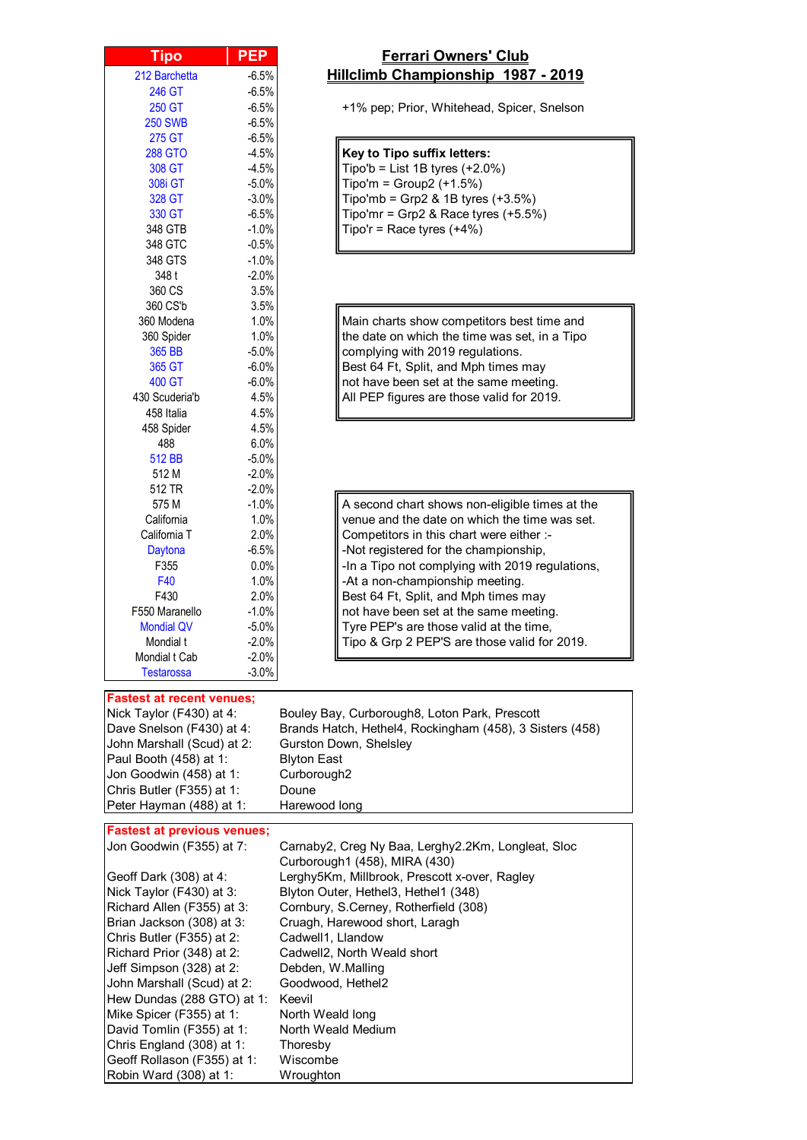| <u>Tipo</u>                                                       | <b>PEP</b>   |
|-------------------------------------------------------------------|--------------|
| 212 Barchetta                                                     | $-6.5%$      |
| 246 GT                                                            | $-6.5%$      |
| 250 GT                                                            | $-6.5%$      |
| <b>250 SWB</b>                                                    | $-6.5%$      |
| 275 GT                                                            | $-6.5%$      |
| <b>288 GTO</b>                                                    | $-4.5%$      |
| 308 GT                                                            | $-4.5%$      |
| 308i GT                                                           | $-5.0%$      |
| 328 GT                                                            | $-3.0%$      |
| 330 GT                                                            | $-6.5%$      |
| 348 GTB                                                           | $-1.0%$      |
| 348 GTC                                                           | $-0.5%$      |
| 348 GTS                                                           | $-1.0%$      |
| 348 t                                                             | $-2.0%$      |
| 360 CS                                                            | 3.5%         |
| 360 CS'b                                                          | 3.5%         |
| 360 Modena                                                        | 1.0%         |
| 360 Spider                                                        | 1.0%         |
| 365 BB                                                            | $-5.0%$      |
| 365 GT                                                            | $-6.0%$      |
| 400 GT                                                            | $-6.0%$      |
| 430 Scuderia'b<br>458 Italia                                      | 4.5%<br>4.5% |
| 458 Spider                                                        | 4.5%         |
| 488                                                               | 6.0%         |
| 512 BB                                                            | $-5.0%$      |
| 512 M                                                             | $-2.0%$      |
| 512 TR                                                            | $-2.0%$      |
| 575 M                                                             | $-1.0%$      |
| California                                                        | 1.0%         |
| California T                                                      | 2.0%         |
| Daytona                                                           | $-6.5%$      |
| F355                                                              | 0.0%         |
| F40                                                               | 1.0%         |
| F430                                                              | $2.0\%$      |
| F550 Maranello                                                    | $-1.0%$      |
| <b>Mondial QV</b>                                                 | $-5.0%$      |
| Mondial t                                                         | $-2.0%$      |
| Mondial t Cab                                                     | $-2.0%$      |
| <b>Testarossa</b>                                                 | $-3.0%$      |
|                                                                   |              |
| astest at recent venues;<br>Nlick<br>Taylor (E430) at $\Lambda$ . |              |

Chris England (308) at 1: Thoresby<br>Geoff Rollason (F355) at 1: Wiscombe

Robin Ward (308) at 1: Wroughton

Geoff Rollason (F355) at 1:

## **Ferrari Owners' Club Hillclimb Championship 1987 - 2019**

+1% pep; Prior, Whitehead, Spicer, Snelson

## **Key to Tipo suffix letters:**

| 308 GT  | $-4.5\%$ | $\parallel$ Tipo'b = List 1B tyres (+2.0%)                                                                           |
|---------|----------|----------------------------------------------------------------------------------------------------------------------|
| 308i GT | $-5.0\%$ | $\int$ Tipo'm = Group2 (+1.5%)                                                                                       |
| 328 GT  | $-3.0\%$ | $\begin{cases} \text{Tipo'mb = Grp2 & 1B types (+3.5\%)} \\ \text{Tipo'mr = Grp2 & Race types (+5.5\%)} \end{cases}$ |
| 330 GT  | $-6.5\%$ |                                                                                                                      |
| 348 GTB | $-1.0\%$ | $\parallel$ Tipo'r = Race tyres (+4%)                                                                                |

Main charts show competitors best time and the date on which the time was set, in a Tipo complying with 2019 regulations. Best 64 Ft, Split, and Mph times may not have been set at the same meeting. All PEP figures are those valid for 2019.

A second chart shows non-eligible times at the venue and the date on which the time was set. Competitors in this chart were either :--Not registered for the championship, -In a Tipo not complying with 2019 regulations, -At a non-championship meeting. Best 64 Ft, Split, and Mph times may not have been set at the same meeting. Tyre PEP's are those valid at the time, Tipo & Grp 2 PEP'S are those valid for 2019.

| <b>Fastest at recent venues;</b>   |                                                          |
|------------------------------------|----------------------------------------------------------|
| Nick Taylor (F430) at 4:           | Bouley Bay, Curborough8, Loton Park, Prescott            |
| Dave Snelson (F430) at 4:          | Brands Hatch, Hethel4, Rockingham (458), 3 Sisters (458) |
| John Marshall (Scud) at 2:         | Gurston Down, Shelsley                                   |
| Paul Booth (458) at 1:             | <b>Blyton East</b>                                       |
| Jon Goodwin (458) at 1:            | Curborough <sub>2</sub>                                  |
| Chris Butler (F355) at 1:          | Doune                                                    |
| Peter Hayman (488) at 1:           | Harewood long                                            |
|                                    |                                                          |
| <b>Fastest at previous venues;</b> |                                                          |
| Jon Goodwin (F355) at 7:           | Carnaby2, Creg Ny Baa, Lerghy2.2Km, Longleat, Sloc       |
|                                    | Curborough1 (458), MIRA (430)                            |
| Geoff Dark (308) at 4:             | Lerghy5Km, Millbrook, Prescott x-over, Ragley            |
| Nick Taylor (F430) at 3:           | Blyton Outer, Hethel3, Hethel1 (348)                     |
| Richard Allen (F355) at 3:         | Cornbury, S.Cerney, Rotherfield (308)                    |
| Brian Jackson (308) at 3:          | Cruagh, Harewood short, Laragh                           |
| Chris Butler (F355) at 2:          | Cadwell1, Llandow                                        |
| Richard Prior (348) at 2:          | Cadwell2, North Weald short                              |
| Jeff Simpson (328) at 2:           | Debden, W.Malling                                        |
| John Marshall (Scud) at 2:         | Goodwood, Hethel2                                        |
| Hew Dundas (288 GTO) at 1:         | Keevil                                                   |
| Mike Spicer (F355) at 1:           | North Weald long                                         |
| David Tomlin (F355) at 1:          | North Weald Medium                                       |
| Chris England (308) at 1:          | Thoresby                                                 |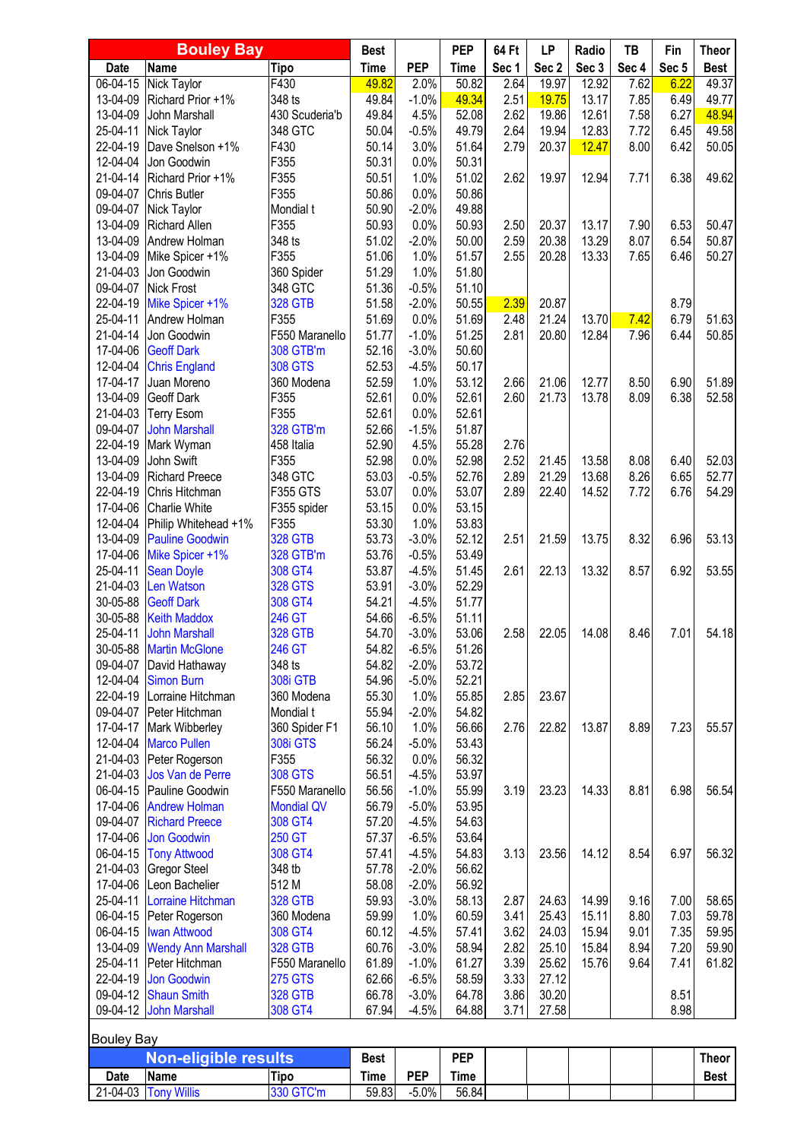| <b>Bouley Bay</b>    |                                             | <b>Best</b>               |                | <b>PEP</b>         | 64 Ft          | LP           | Radio          | TB             | Fin          | <b>Theor</b> |                |
|----------------------|---------------------------------------------|---------------------------|----------------|--------------------|----------------|--------------|----------------|----------------|--------------|--------------|----------------|
| Date                 | <b>Name</b>                                 | <b>Tipo</b>               | <b>Time</b>    | <b>PEP</b>         | <b>Time</b>    | Sec 1        | Sec 2          | Sec 3          | Sec 4        | Sec 5        | <b>Best</b>    |
| $06 - 04 - 15$       | <b>Nick Taylor</b>                          | F430                      | 49.82          | 2.0%               | 50.82          | 2.64         | 19.97          | 12.92          | 7.62         | 6.22         | 49.37          |
| 13-04-09             | Richard Prior +1%                           | 348 ts                    | 49.84          | $-1.0%$            | 49.34          | 2.51         | 19.75          | 13.17          | 7.85         | 6.49         | 49.77          |
| 13-04-09             | John Marshall                               | 430 Scuderia'b            | 49.84          | 4.5%               | 52.08          | 2.62         | 19.86          | 12.61          | 7.58         | 6.27         | 48.94          |
| 25-04-11             | Nick Taylor                                 | 348 GTC                   | 50.04          | $-0.5%$            | 49.79          | 2.64         | 19.94          | 12.83          | 7.72         | 6.45         | 49.58          |
| 22-04-19<br>12-04-04 | Dave Snelson +1%<br>Jon Goodwin             | F430<br>F355              | 50.14<br>50.31 | 3.0%<br>0.0%       | 51.64<br>50.31 | 2.79         | 20.37          | 12.47          | 8.00         | 6.42         | 50.05          |
| 21-04-14             | Richard Prior +1%                           | F355                      | 50.51          | 1.0%               | 51.02          | 2.62         | 19.97          | 12.94          | 7.71         | 6.38         | 49.62          |
| 09-04-07             | <b>Chris Butler</b>                         | F355                      | 50.86          | 0.0%               | 50.86          |              |                |                |              |              |                |
| 09-04-07             | Nick Taylor                                 | Mondial t                 | 50.90          | $-2.0%$            | 49.88          |              |                |                |              |              |                |
| 13-04-09             | <b>Richard Allen</b>                        | F355                      | 50.93          | 0.0%               | 50.93          | 2.50         | 20.37          | 13.17          | 7.90         | 6.53         | 50.47          |
| 13-04-09             | Andrew Holman                               | 348 ts                    | 51.02          | $-2.0%$            | 50.00          | 2.59         | 20.38          | 13.29          | 8.07         | 6.54         | 50.87          |
| 13-04-09             | Mike Spicer +1%                             | F355                      | 51.06          | 1.0%               | 51.57          | 2.55         | 20.28          | 13.33          | 7.65         | 6.46         | 50.27          |
| 21-04-03             | Jon Goodwin                                 | 360 Spider                | 51.29          | 1.0%               | 51.80          |              |                |                |              |              |                |
| 09-04-07             | <b>Nick Frost</b>                           | 348 GTC                   | 51.36          | $-0.5%$            | 51.10          |              |                |                |              |              |                |
| 22-04-19             | Mike Spicer +1%                             | <b>328 GTB</b>            | 51.58          | $-2.0%$            | 50.55          | 2.39         | 20.87          |                |              | 8.79         |                |
| 25-04-11             | Andrew Holman                               | F355                      | 51.69          | 0.0%               | 51.69          | 2.48         | 21.24          | 13.70          | 7.42         | 6.79         | 51.63          |
| 21-04-14             | Jon Goodwin                                 | F550 Maranello            | 51.77          | $-1.0%$            | 51.25          | 2.81         | 20.80          | 12.84          | 7.96         | 6.44         | 50.85          |
| 17-04-06             | <b>Geoff Dark</b>                           | 308 GTB'm                 | 52.16          | $-3.0%$            | 50.60          |              |                |                |              |              |                |
| 12-04-04             | <b>Chris England</b>                        | <b>308 GTS</b>            | 52.53          | $-4.5%$            | 50.17          |              |                |                |              |              |                |
| 17-04-17<br>13-04-09 | Juan Moreno                                 | 360 Modena<br>F355        | 52.59<br>52.61 | 1.0%<br>0.0%       | 53.12<br>52.61 | 2.66<br>2.60 | 21.06<br>21.73 | 12.77<br>13.78 | 8.50<br>8.09 | 6.90<br>6.38 | 51.89<br>52.58 |
| 21-04-03             | <b>Geoff Dark</b><br><b>Terry Esom</b>      | F355                      | 52.61          | 0.0%               | 52.61          |              |                |                |              |              |                |
| 09-04-07             | <b>John Marshall</b>                        | 328 GTB'm                 | 52.66          | $-1.5%$            | 51.87          |              |                |                |              |              |                |
| 22-04-19             | Mark Wyman                                  | 458 Italia                | 52.90          | 4.5%               | 55.28          | 2.76         |                |                |              |              |                |
| 13-04-09             | John Swift                                  | F355                      | 52.98          | 0.0%               | 52.98          | 2.52         | 21.45          | 13.58          | 8.08         | 6.40         | 52.03          |
| 13-04-09             | <b>Richard Preece</b>                       | 348 GTC                   | 53.03          | $-0.5%$            | 52.76          | 2.89         | 21.29          | 13.68          | 8.26         | 6.65         | 52.77          |
| 22-04-19             | Chris Hitchman                              | F355 GTS                  | 53.07          | 0.0%               | 53.07          | 2.89         | 22.40          | 14.52          | 7.72         | 6.76         | 54.29          |
| 17-04-06             | <b>Charlie White</b>                        | F355 spider               | 53.15          | 0.0%               | 53.15          |              |                |                |              |              |                |
| 12-04-04             | Philip Whitehead +1%                        | F355                      | 53.30          | 1.0%               | 53.83          |              |                |                |              |              |                |
| 13-04-09             | <b>Pauline Goodwin</b>                      | <b>328 GTB</b>            | 53.73          | $-3.0%$            | 52.12          | 2.51         | 21.59          | 13.75          | 8.32         | 6.96         | 53.13          |
| 17-04-06             | Mike Spicer +1%                             | 328 GTB'm                 | 53.76          | $-0.5%$            | 53.49          |              |                |                |              |              |                |
| 25-04-11             | <b>Sean Doyle</b>                           | 308 GT4                   | 53.87          | $-4.5%$            | 51.45          | 2.61         | 22.13          | 13.32          | 8.57         | 6.92         | 53.55          |
| 21-04-03             | Len Watson                                  | <b>328 GTS</b>            | 53.91          | $-3.0%$            | 52.29          |              |                |                |              |              |                |
| 30-05-88             | <b>Geoff Dark</b>                           | 308 GT4                   | 54.21          | $-4.5%$            | 51.77          |              |                |                |              |              |                |
| 30-05-88             | <b>Keith Maddox</b>                         | 246 GT                    | 54.66          | $-6.5%$            | 51.11          |              |                |                |              |              |                |
| 25-04-11             | <b>John Marshall</b>                        | <b>328 GTB</b>            | 54.70          | $-3.0%$            | 53.06          | 2.58         | 22.05          | 14.08          | 8.46         | 7.01         | 54.18          |
| 30-05-88<br>09-04-07 | <b>Martin McGlone</b><br>David Hathaway     | 246 GT<br>348 ts          | 54.82<br>54.82 | $-6.5%$<br>$-2.0%$ | 51.26<br>53.72 |              |                |                |              |              |                |
| 12-04-04             | <b>Simon Burn</b>                           | 308i GTB                  | 54.96          | $-5.0%$            | 52.21          |              |                |                |              |              |                |
| 22-04-19             | Lorraine Hitchman                           | 360 Modena                | 55.30          | 1.0%               | 55.85          | 2.85         | 23.67          |                |              |              |                |
| 09-04-07             | Peter Hitchman                              | Mondial t                 | 55.94          | $-2.0%$            | 54.82          |              |                |                |              |              |                |
| 17-04-17             | Mark Wibberley                              | 360 Spider F1             | 56.10          | 1.0%               | 56.66          | 2.76         | 22.82          | 13.87          | 8.89         | 7.23         | 55.57          |
| 12-04-04             | <b>Marco Pullen</b>                         | <b>308i GTS</b>           | 56.24          | $-5.0%$            | 53.43          |              |                |                |              |              |                |
| 21-04-03             | Peter Rogerson                              | F355                      | 56.32          | 0.0%               | 56.32          |              |                |                |              |              |                |
| 21-04-03             | Jos Van de Perre                            | <b>308 GTS</b>            | 56.51          | $-4.5%$            | 53.97          |              |                |                |              |              |                |
| 06-04-15             | Pauline Goodwin                             | F550 Maranello            | 56.56          | $-1.0%$            | 55.99          | 3.19         | 23.23          | 14.33          | 8.81         | 6.98         | 56.54          |
| 17-04-06             | <b>Andrew Holman</b>                        | <b>Mondial QV</b>         | 56.79          | $-5.0%$            | 53.95          |              |                |                |              |              |                |
| 09-04-07             | <b>Richard Preece</b>                       | 308 GT4                   | 57.20          | $-4.5%$            | 54.63          |              |                |                |              |              |                |
| 17-04-06             | <b>Jon Goodwin</b>                          | 250 GT                    | 57.37          | $-6.5%$            | 53.64          |              |                |                |              |              |                |
| 06-04-15             | <b>Tony Attwood</b>                         | 308 GT4                   | 57.41          | $-4.5%$            | 54.83          | 3.13         | 23.56          | 14.12          | 8.54         | 6.97         | 56.32          |
| 21-04-03             | Gregor Steel                                | 348 tb                    | 57.78          | $-2.0%$            | 56.62          |              |                |                |              |              |                |
| 17-04-06             | Leon Bachelier                              | 512 M                     | 58.08          | $-2.0%$            | 56.92          |              |                |                |              |              |                |
| 25-04-11             | Lorraine Hitchman                           | <b>328 GTB</b>            | 59.93          | $-3.0%$            | 58.13          | 2.87         | 24.63          | 14.99          | 9.16         | 7.00         | 58.65          |
| 06-04-15             | Peter Rogerson                              | 360 Modena                | 59.99          | 1.0%               | 60.59          | 3.41         | 25.43          | 15.11          | 8.80         | 7.03         | 59.78          |
| 06-04-15<br>13-04-09 | <b>Iwan Attwood</b>                         | 308 GT4<br><b>328 GTB</b> | 60.12<br>60.76 | $-4.5%$            | 57.41          | 3.62<br>2.82 | 24.03          | 15.94          | 9.01         | 7.35<br>7.20 | 59.95          |
| 25-04-11             | <b>Wendy Ann Marshall</b><br>Peter Hitchman | F550 Maranello            | 61.89          | $-3.0%$<br>$-1.0%$ | 58.94<br>61.27 | 3.39         | 25.10<br>25.62 | 15.84<br>15.76 | 8.94<br>9.64 | 7.41         | 59.90<br>61.82 |
| 22-04-19             | Jon Goodwin                                 | <b>275 GTS</b>            | 62.66          | $-6.5%$            | 58.59          | 3.33         | 27.12          |                |              |              |                |
| 09-04-12             | <b>Shaun Smith</b>                          | <b>328 GTB</b>            | 66.78          | $-3.0%$            | 64.78          | 3.86         | 30.20          |                |              | 8.51         |                |
| 09-04-12             | <b>John Marshall</b>                        | 308 GT4                   | 67.94          | $-4.5%$            | 64.88          | 3.71         | 27.58          |                |              | 8.98         |                |
| <b>Bouley Bay</b>    |                                             |                           |                |                    |                |              |                |                |              |              |                |
|                      | <b>Non-eligible results</b>                 |                           | <b>Best</b>    |                    | <b>PEP</b>     |              |                |                |              |              | <b>Theor</b>   |
| Date                 | <b>Name</b>                                 | Tipo                      | Time           | <b>PEP</b>         | <b>Time</b>    |              |                |                |              |              | <b>Best</b>    |
| $21 - 04 - 03$       | <b>Tony Willis</b>                          | 330 GTC'm                 | 59.83          | $-5.0%$            | 56.84          |              |                |                |              |              |                |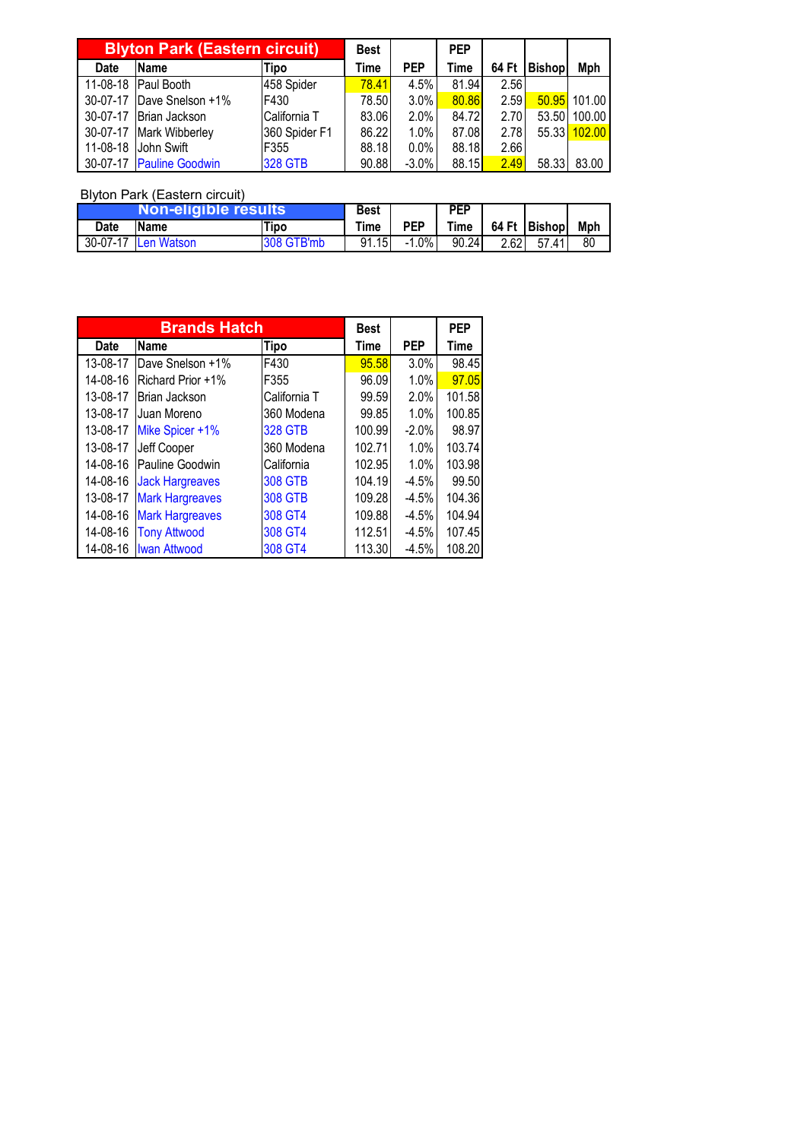| <b>Blyton Park (Eastern circuit)</b> |                          | <b>Best</b>    |       | <b>PEP</b> |       |       |               |        |
|--------------------------------------|--------------------------|----------------|-------|------------|-------|-------|---------------|--------|
| Date                                 | Name                     | Tipo           | Time  | <b>PEP</b> | Time  | 64 Ft | <b>Bishop</b> | Mph    |
|                                      | 11-08-18 Paul Booth      | 458 Spider     | 78.41 | 4.5%       | 81.94 | 2.56  |               |        |
| 30-07-17                             | Dave Snelson +1%         | F430           | 78.50 | 3.0%       | 80.86 | 2.59  | 50.95         | 101.00 |
|                                      | 30-07-17 Brian Jackson   | California T   | 83.06 | 2.0%       | 84.72 | 2.70  | 53.50         | 100.00 |
| 30-07-17                             | <b>Mark Wibberley</b>    | 360 Spider F1  | 86.22 | 1.0%       | 87.08 | 2.78  | 55.33         | 102.00 |
|                                      | 11-08-18 John Swift      | F355           | 88.18 | $0.0\%$    | 88.18 | 2.66  |               |        |
|                                      | 30-07-17 Pauline Goodwin | <b>328 GTB</b> | 90.88 | $-3.0%$    | 88.15 | 2.49  | 58.33         | 83.00  |

| Non-eligible results |                     |            | Best        |            | <b>PEP</b> |      |                       |     |
|----------------------|---------------------|------------|-------------|------------|------------|------|-----------------------|-----|
| Date                 | Name                | Tipo       | <b>Time</b> | <b>PEP</b> |            |      | Time   64 Ft   Bishop | Mph |
|                      | 30-07-17 Len Watson | 308 GTB'mb | 91.15       | $-1.0\%$   | 90.24      | 2.62 | 57.41                 | 80  |

|             | <b>Brands Hatch</b>    |                | <b>Best</b> |            | <b>PEP</b> |
|-------------|------------------------|----------------|-------------|------------|------------|
| <b>Date</b> | <b>Name</b>            | Tipo           | <b>Time</b> | <b>PEP</b> | Time       |
| 13-08-17    | Dave Snelson +1%       | F430           | 95.58       | 3.0%       | 98.45      |
| 14-08-16    | Richard Prior +1%      | F355           | 96.09       | 1.0%       | 97.05      |
| 13-08-17    | Brian Jackson          | California T   | 99.59       | 2.0%       | 101.58     |
| 13-08-17    | Juan Moreno            | 360 Modena     | 99.85       | 1.0%       | 100.85     |
| 13-08-17    | Mike Spicer +1%        | <b>328 GTB</b> | 100.99      | $-2.0%$    | 98.97      |
| 13-08-17    | Jeff Cooper            | 360 Modena     | 102.71      | 1.0%       | 103.74     |
| 14-08-16    | Pauline Goodwin        | California     | 102.95      | 1.0%       | 103.98     |
| 14-08-16    | <b>Jack Hargreaves</b> | <b>308 GTB</b> | 104.19      | $-4.5%$    | 99.50      |
| 13-08-17    | <b>Mark Hargreaves</b> | <b>308 GTB</b> | 109.28      | $-4.5%$    | 104.36     |
| 14-08-16    | <b>Mark Hargreaves</b> | 308 GT4        | 109.88      | $-4.5%$    | 104.94     |
| 14-08-16    | <b>Tony Attwood</b>    | 308 GT4        | 112.51      | $-4.5%$    | 107.45     |
| 14-08-16    | <b>Iwan Attwood</b>    | 308 GT4        | 113.30      | $-4.5%$    | 108.20     |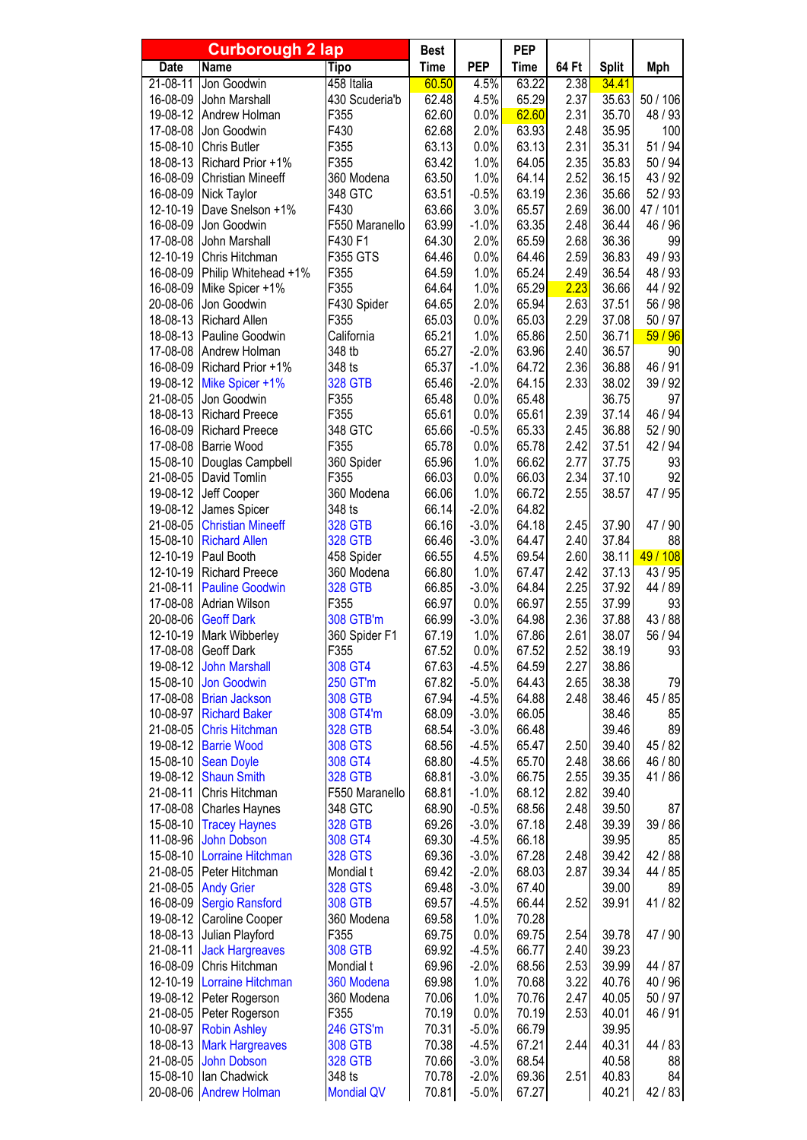| <b>Curborough 2 lap</b> |                                         | <b>Best</b>               |                | <b>PEP</b>         |                |              |                |                    |
|-------------------------|-----------------------------------------|---------------------------|----------------|--------------------|----------------|--------------|----------------|--------------------|
| <b>Date</b>             | <b>Name</b>                             | <b>Tipo</b>               | <b>Time</b>    | <b>PEP</b>         | <b>Time</b>    | 64 Ft        | <b>Split</b>   | <b>Mph</b>         |
| $21 - 08 - 11$          | Jon Goodwin                             | 458 Italia                | 60.50          | 4.5%               | 63.22          | 2.38         | 34.41          |                    |
| 16-08-09                | John Marshall                           | 430 Scuderia'b            | 62.48          | 4.5%               | 65.29          | 2.37         | 35.63          | 50 / 106           |
| 19-08-12<br>17-08-08    | Andrew Holman<br>Jon Goodwin            | F355<br>F430              | 62.60<br>62.68 | 0.0%<br>2.0%       | 62.60<br>63.93 | 2.31<br>2.48 | 35.70<br>35.95 | 48 / 93<br>100     |
| 15-08-10                | Chris Butler                            | F355                      | 63.13          | 0.0%               | 63.13          | 2.31         | 35.31          | 51 / 94            |
| 18-08-13                | Richard Prior +1%                       | F355                      | 63.42          | 1.0%               | 64.05          | 2.35         | 35.83          | 50 / 94            |
| 16-08-09                | <b>Christian Mineeff</b>                | 360 Modena                | 63.50          | 1.0%               | 64.14          | 2.52         | 36.15          | 43 / 92            |
| 16-08-09                | Nick Taylor                             | 348 GTC                   | 63.51          | $-0.5%$            | 63.19          | 2.36         | 35.66          | 52/93              |
| 12-10-19                | Dave Snelson +1%                        | F430                      | 63.66          | 3.0%               | 65.57          | 2.69         | 36.00          | 47 / 101           |
| 16-08-09                | Jon Goodwin                             | F550 Maranello            | 63.99          | $-1.0%$            | 63.35          | 2.48         | 36.44          | 46 / 96            |
| 17-08-08                | John Marshall                           | F430 F1                   | 64.30          | 2.0%               | 65.59          | 2.68         | 36.36          | 99                 |
| 12-10-19                | Chris Hitchman                          | F355 GTS                  | 64.46          | 0.0%               | 64.46          | 2.59         | 36.83          | 49 / 93            |
| 16-08-09                | Philip Whitehead +1%                    | F355                      | 64.59          | 1.0%               | 65.24          | 2.49         | 36.54          | 48 / 93            |
| 16-08-09                | Mike Spicer +1%                         | F355                      | 64.64          | 1.0%               | 65.29          | 2.23         | 36.66          | 44 / 92            |
| 20-08-06                | Jon Goodwin                             | F430 Spider<br>F355       | 64.65          | 2.0%<br>0.0%       | 65.94          | 2.63<br>2.29 | 37.51          | 56 / 98            |
| 18-08-13<br>18-08-13    | <b>Richard Allen</b><br>Pauline Goodwin | California                | 65.03<br>65.21 | 1.0%               | 65.03<br>65.86 | 2.50         | 37.08<br>36.71 | 50 / 97<br>59/96   |
| 17-08-08                | Andrew Holman                           | 348 tb                    | 65.27          | $-2.0%$            | 63.96          | 2.40         | 36.57          | 90                 |
| 16-08-09                | Richard Prior +1%                       | 348 ts                    | 65.37          | $-1.0%$            | 64.72          | 2.36         | 36.88          | 46 / 91            |
| 19-08-12                | Mike Spicer +1%                         | <b>328 GTB</b>            | 65.46          | $-2.0%$            | 64.15          | 2.33         | 38.02          | 39 / 92            |
| 21-08-05                | Jon Goodwin                             | F355                      | 65.48          | 0.0%               | 65.48          |              | 36.75          | 97                 |
| 18-08-13                | <b>Richard Preece</b>                   | F355                      | 65.61          | 0.0%               | 65.61          | 2.39         | 37.14          | 46 / 94            |
| 16-08-09                | <b>Richard Preece</b>                   | 348 GTC                   | 65.66          | $-0.5%$            | 65.33          | 2.45         | 36.88          | 52/90              |
| 17-08-08                | <b>Barrie Wood</b>                      | F355                      | 65.78          | 0.0%               | 65.78          | 2.42         | 37.51          | 42 / 94            |
| 15-08-10                | Douglas Campbell                        | 360 Spider                | 65.96          | 1.0%               | 66.62          | 2.77         | 37.75          | 93                 |
| 21-08-05                | David Tomlin                            | F355                      | 66.03          | 0.0%               | 66.03          | 2.34         | 37.10          | 92                 |
| 19-08-12                | Jeff Cooper                             | 360 Modena                | 66.06          | 1.0%               | 66.72          | 2.55         | 38.57          | 47 / 95            |
| 19-08-12                | James Spicer                            | 348 ts                    | 66.14          | $-2.0%$            | 64.82          |              |                |                    |
| 21-08-05                | <b>Christian Mineeff</b>                | <b>328 GTB</b>            | 66.16          | $-3.0%$            | 64.18          | 2.45         | 37.90          | 47 / 90            |
| 15-08-10<br>12-10-19    | <b>Richard Allen</b>                    | <b>328 GTB</b>            | 66.46          | $-3.0%$            | 64.47          | 2.40<br>2.60 | 37.84<br>38.11 | 88<br>49 / 108     |
| 12-10-19                | Paul Booth<br><b>Richard Preece</b>     | 458 Spider<br>360 Modena  | 66.55<br>66.80 | 4.5%<br>1.0%       | 69.54<br>67.47 | 2.42         | 37.13          | 43 / 95            |
| 21-08-11                | <b>Pauline Goodwin</b>                  | <b>328 GTB</b>            | 66.85          | $-3.0%$            | 64.84          | 2.25         | 37.92          | 44 / 89            |
| 17-08-08                | Adrian Wilson                           | F355                      | 66.97          | 0.0%               | 66.97          | 2.55         | 37.99          | 93                 |
| 20-08-06                | <b>Geoff Dark</b>                       | 308 GTB'm                 | 66.99          | $-3.0%$            | 64.98          | 2.36         | 37.88          | 43 / 88            |
| 12-10-19                | Mark Wibberley                          | 360 Spider F1             | 67.19          | 1.0%               | 67.86          | 2.61         | 38.07          | 56 / 94            |
| 17-08-08                | Geoff Dark                              | F355                      | 67.52          | 0.0%               | 67.52          | 2.52         | 38.19          | 93                 |
| 19-08-12                | <b>John Marshall</b>                    | 308 GT4                   | 67.63          | $-4.5%$            | 64.59          | 2.27         | 38.86          |                    |
| 15-08-10                | <b>Jon Goodwin</b>                      | 250 GT'm                  | 67.82          | $-5.0%$            | 64.43          | 2.65         | 38.38          | 79                 |
| 17-08-08                | <b>Brian Jackson</b>                    | <b>308 GTB</b>            | 67.94          | $-4.5%$            | 64.88          | 2.48         | 38.46          | 45 / 85            |
| 10-08-97                | <b>Richard Baker</b>                    | 308 GT4'm                 | 68.09          | $-3.0%$            | 66.05          |              | 38.46          | 85                 |
| 21-08-05                | <b>Chris Hitchman</b>                   | <b>328 GTB</b>            | 68.54          | $-3.0%$            | 66.48          |              | 39.46          | 89                 |
| 19-08-12                | <b>Barrie Wood</b>                      | <b>308 GTS</b>            | 68.56<br>68.80 | $-4.5%$<br>$-4.5%$ | 65.47<br>65.70 | 2.50<br>2.48 | 39.40<br>38.66 | 45 / 82<br>46 / 80 |
| 15-08-10<br>19-08-12    | <b>Sean Doyle</b><br><b>Shaun Smith</b> | 308 GT4<br><b>328 GTB</b> | 68.81          | $-3.0%$            | 66.75          | 2.55         | 39.35          | 41/86              |
| 21-08-11                | Chris Hitchman                          | F550 Maranello            | 68.81          | $-1.0%$            | 68.12          | 2.82         | 39.40          |                    |
| 17-08-08                | <b>Charles Haynes</b>                   | 348 GTC                   | 68.90          | $-0.5%$            | 68.56          | 2.48         | 39.50          | 87                 |
| 15-08-10                | <b>Tracey Haynes</b>                    | <b>328 GTB</b>            | 69.26          | $-3.0%$            | 67.18          | 2.48         | 39.39          | 39 / 86            |
| 11-08-96                | <b>John Dobson</b>                      | 308 GT4                   | 69.30          | $-4.5%$            | 66.18          |              | 39.95          | 85                 |
| 15-08-10                | Lorraine Hitchman                       | <b>328 GTS</b>            | 69.36          | $-3.0%$            | 67.28          | 2.48         | 39.42          | 42 / 88            |
| 21-08-05                | Peter Hitchman                          | Mondial t                 | 69.42          | $-2.0%$            | 68.03          | 2.87         | 39.34          | 44 / 85            |
| 21-08-05                | <b>Andy Grier</b>                       | <b>328 GTS</b>            | 69.48          | $-3.0%$            | 67.40          |              | 39.00          | 89                 |
| 16-08-09                | <b>Sergio Ransford</b>                  | <b>308 GTB</b>            | 69.57          | $-4.5%$            | 66.44          | 2.52         | 39.91          | 41/82              |
| 19-08-12                | Caroline Cooper                         | 360 Modena                | 69.58          | 1.0%               | 70.28          |              |                |                    |
| 18-08-13                | Julian Playford                         | F355                      | 69.75          | 0.0%               | 69.75          | 2.54         | 39.78          | 47 / 90            |
| 21-08-11                | <b>Jack Hargreaves</b>                  | <b>308 GTB</b>            | 69.92          | $-4.5%$            | 66.77          | 2.40         | 39.23          |                    |
| 16-08-09<br>12-10-19    | Chris Hitchman                          | Mondial t                 | 69.96<br>69.98 | $-2.0%$            | 68.56          | 2.53         | 39.99<br>40.76 | 44 / 87            |
| 19-08-12                | Lorraine Hitchman<br>Peter Rogerson     | 360 Modena<br>360 Modena  | 70.06          | 1.0%<br>1.0%       | 70.68<br>70.76 | 3.22<br>2.47 | 40.05          | 40 / 96<br>50 / 97 |
| 21-08-05                | Peter Rogerson                          | F355                      | 70.19          | 0.0%               | 70.19          | 2.53         | 40.01          | 46 / 91            |
| 10-08-97                | <b>Robin Ashley</b>                     | 246 GTS'm                 | 70.31          | $-5.0%$            | 66.79          |              | 39.95          |                    |
| 18-08-13                | <b>Mark Hargreaves</b>                  | <b>308 GTB</b>            | 70.38          | $-4.5%$            | 67.21          | 2.44         | 40.31          | 44 / 83            |
| 21-08-05                | <b>John Dobson</b>                      | <b>328 GTB</b>            | 70.66          | $-3.0%$            | 68.54          |              | 40.58          | 88                 |
| 15-08-10                | lan Chadwick                            | 348 ts                    | 70.78          | $-2.0%$            | 69.36          | 2.51         | 40.83          | 84                 |
| 20-08-06                | <b>Andrew Holman</b>                    | <b>Mondial QV</b>         | 70.81          | $-5.0%$            | 67.27          |              | 40.21          | 42 / 83            |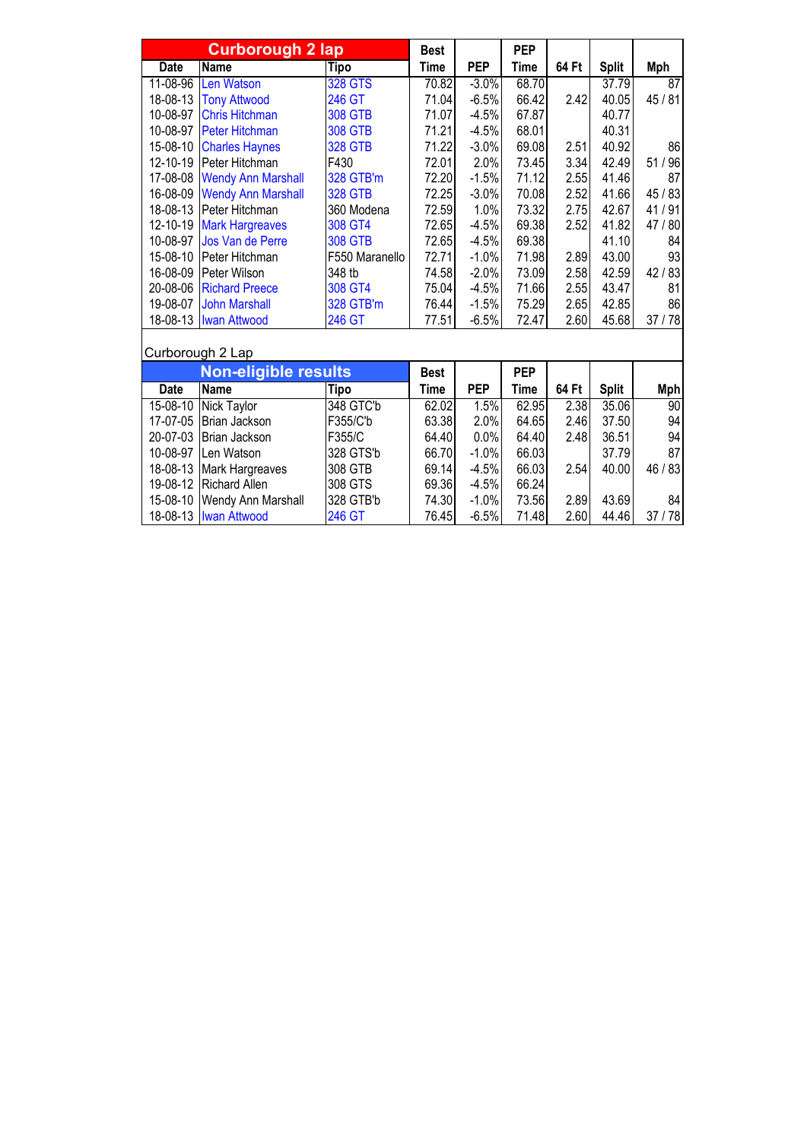|             | <b>Curborough 2 lap</b>     |                | <b>Best</b> |            | <b>PEP</b>  |       |              |                 |
|-------------|-----------------------------|----------------|-------------|------------|-------------|-------|--------------|-----------------|
| <b>Date</b> | <b>Name</b>                 | Tipo           | <b>Time</b> | <b>PEP</b> | <b>Time</b> | 64 Ft | <b>Split</b> | <b>Mph</b>      |
| 11-08-96    | <b>Len Watson</b>           | <b>328 GTS</b> | 70.82       | $-3.0%$    | 68.70       |       | 37.79        | 87              |
| 18-08-13    | <b>Tony Attwood</b>         | 246 GT         | 71.04       | $-6.5%$    | 66.42       | 2.42  | 40.05        | 45 / 81         |
| 10-08-97    | <b>Chris Hitchman</b>       | <b>308 GTB</b> | 71.07       | $-4.5%$    | 67.87       |       | 40.77        |                 |
| 10-08-97    | <b>Peter Hitchman</b>       | <b>308 GTB</b> | 71.21       | $-4.5%$    | 68.01       |       | 40.31        |                 |
| 15-08-10    | <b>Charles Haynes</b>       | <b>328 GTB</b> | 71.22       | $-3.0%$    | 69.08       | 2.51  | 40.92        | 86              |
| 12-10-19    | Peter Hitchman              | F430           | 72.01       | 2.0%       | 73.45       | 3.34  | 42.49        | 51 / 96         |
| 17-08-08    | <b>Wendy Ann Marshall</b>   | 328 GTB'm      | 72.20       | $-1.5%$    | 71.12       | 2.55  | 41.46        | 87              |
| 16-08-09    | <b>Wendy Ann Marshall</b>   | <b>328 GTB</b> | 72.25       | $-3.0%$    | 70.08       | 2.52  | 41.66        | 45 / 83         |
| 18-08-13    | Peter Hitchman              | 360 Modena     | 72.59       | 1.0%       | 73.32       | 2.75  | 42.67        | 41/91           |
| 12-10-19    | <b>Mark Hargreaves</b>      | 308 GT4        | 72.65       | $-4.5%$    | 69.38       | 2.52  | 41.82        | 47 / 80         |
| 10-08-97    | Jos Van de Perre            | <b>308 GTB</b> | 72.65       | $-4.5%$    | 69.38       |       | 41.10        | 84              |
| 15-08-10    | Peter Hitchman              | F550 Maranello | 72.71       | $-1.0%$    | 71.98       | 2.89  | 43.00        | 93              |
| 16-08-09    | Peter Wilson                | 348 tb         | 74.58       | $-2.0%$    | 73.09       | 2.58  | 42.59        | 42/83           |
| 20-08-06    | <b>Richard Preece</b>       | 308 GT4        | 75.04       | $-4.5%$    | 71.66       | 2.55  | 43.47        | 81              |
| 19-08-07    | <b>John Marshall</b>        | 328 GTB'm      | 76.44       | $-1.5%$    | 75.29       | 2.65  | 42.85        | 86              |
| 18-08-13    | <b>Iwan Attwood</b>         | 246 GT         | 77.51       | $-6.5%$    | 72.47       | 2.60  | 45.68        | 37/78           |
|             | Curborough 2 Lap            |                |             |            |             |       |              |                 |
|             | <b>Non-eligible results</b> |                | <b>Best</b> |            | <b>PEP</b>  |       |              |                 |
| Date        | Name                        | Tipo           | Time        | <b>PEP</b> | <b>Time</b> | 64 Ft | <b>Split</b> | <b>Mph</b>      |
| 15-08-10    | Nick Taylor                 | 348 GTC'b      | 62.02       | 1.5%       | 62.95       | 2.38  | 35.06        | $\overline{90}$ |
| 17-07-05    | Brian Jackson               | F355/C'b       | 63.38       | 2.0%       | 64.65       | 2.46  | 37.50        | 94              |
| 20-07-03    | Brian Jackson               | F355/C         | 64.40       | 0.0%       | 64.40       | 2.48  | 36.51        | 94              |
| 10-08-97    | Len Watson                  | 328 GTS'b      | 66.70       | $-1.0%$    | 66.03       |       | 37.79        | 87              |
| 18-08-13    | Mark Hargreaves             | 308 GTB        | 69.14       | $-4.5%$    | 66.03       | 2.54  | 40.00        | 46 / 83         |
| 19-08-12    | <b>Richard Allen</b>        | 308 GTS        | 69.36       | $-4.5%$    | 66.24       |       |              |                 |
| 15-08-10    | Wendy Ann Marshall          | 328 GTB'b      | 74.30       | $-1.0%$    | 73.56       | 2.89  | 43.69        | 84              |
| 18-08-13    | <b>Iwan Attwood</b>         | 246 GT         | 76.45       | $-6.5%$    | 71.48       | 2.60  | 44.46        | 37/78           |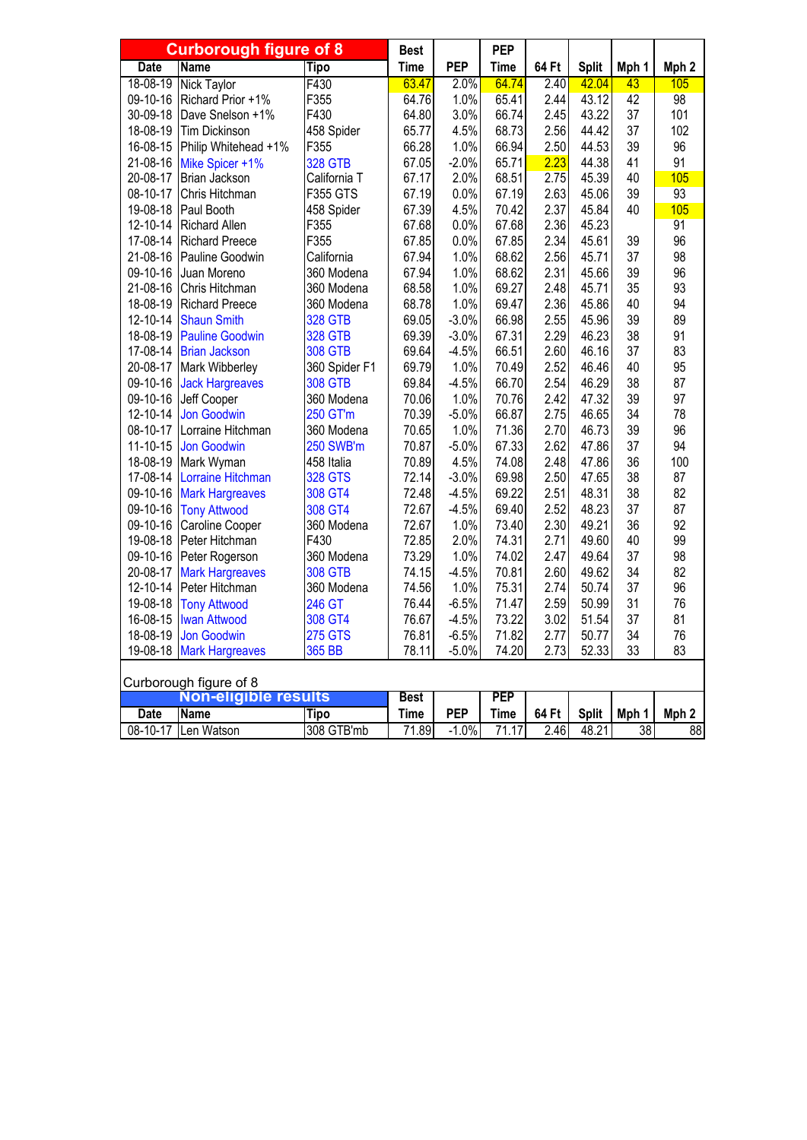|             | <b>Curborough figure of 8</b> |                | <b>Best</b> |            | <b>PEP</b>  |       |              |                 |                  |
|-------------|-------------------------------|----------------|-------------|------------|-------------|-------|--------------|-----------------|------------------|
| <b>Date</b> | <b>Name</b>                   | <b>Tipo</b>    | <b>Time</b> | <b>PEP</b> | Time        | 64 Ft | <b>Split</b> | Mph 1           | Mph <sub>2</sub> |
| 18-08-19    | <b>Nick Taylor</b>            | F430           | 63.47       | 2.0%       | 64.74       | 2.40  | 42.04        | 43              | 105              |
| 09-10-16    | Richard Prior +1%             | F355           | 64.76       | 1.0%       | 65.41       | 2.44  | 43.12        | 42              | 98               |
| 30-09-18    | Dave Snelson +1%              | F430           | 64.80       | 3.0%       | 66.74       | 2.45  | 43.22        | 37              | 101              |
| 18-08-19    | <b>Tim Dickinson</b>          | 458 Spider     | 65.77       | 4.5%       | 68.73       | 2.56  | 44.42        | 37              | 102              |
| 16-08-15    | Philip Whitehead +1%          | F355           | 66.28       | 1.0%       | 66.94       | 2.50  | 44.53        | 39              | 96               |
| 21-08-16    | Mike Spicer +1%               | <b>328 GTB</b> | 67.05       | $-2.0%$    | 65.71       | 2.23  | 44.38        | 41              | 91               |
| 20-08-17    | Brian Jackson                 | California T   | 67.17       | 2.0%       | 68.51       | 2.75  | 45.39        | 40              | 105              |
| 08-10-17    | Chris Hitchman                | F355 GTS       | 67.19       | 0.0%       | 67.19       | 2.63  | 45.06        | 39              | 93               |
| 19-08-18    | Paul Booth                    | 458 Spider     | 67.39       | 4.5%       | 70.42       | 2.37  | 45.84        | 40              | 105              |
| 12-10-14    | <b>Richard Allen</b>          | F355           | 67.68       | 0.0%       | 67.68       | 2.36  | 45.23        |                 | 91               |
| 17-08-14    | <b>Richard Preece</b>         | F355           | 67.85       | 0.0%       | 67.85       | 2.34  | 45.61        | 39              | 96               |
| 21-08-16    | Pauline Goodwin               | California     | 67.94       | 1.0%       | 68.62       | 2.56  | 45.71        | 37              | 98               |
| 09-10-16    | Juan Moreno                   | 360 Modena     | 67.94       | 1.0%       | 68.62       | 2.31  | 45.66        | 39              | 96               |
| 21-08-16    | Chris Hitchman                | 360 Modena     | 68.58       | 1.0%       | 69.27       | 2.48  | 45.71        | 35              | 93               |
| 18-08-19    | <b>Richard Preece</b>         | 360 Modena     | 68.78       | 1.0%       | 69.47       | 2.36  | 45.86        | 40              | 94               |
| 12-10-14    | <b>Shaun Smith</b>            | <b>328 GTB</b> | 69.05       | $-3.0%$    | 66.98       | 2.55  | 45.96        | 39              | 89               |
| 18-08-19    | <b>Pauline Goodwin</b>        | <b>328 GTB</b> | 69.39       | $-3.0%$    | 67.31       | 2.29  | 46.23        | 38              | 91               |
| 17-08-14    | <b>Brian Jackson</b>          | <b>308 GTB</b> | 69.64       | $-4.5%$    | 66.51       | 2.60  | 46.16        | 37              | 83               |
| 20-08-17    | Mark Wibberley                | 360 Spider F1  | 69.79       | 1.0%       | 70.49       | 2.52  | 46.46        | 40              | 95               |
| 09-10-16    | <b>Jack Hargreaves</b>        | <b>308 GTB</b> | 69.84       | $-4.5%$    | 66.70       | 2.54  | 46.29        | 38              | 87               |
| 09-10-16    | Jeff Cooper                   | 360 Modena     | 70.06       | 1.0%       | 70.76       | 2.42  | 47.32        | 39              | 97               |
| 12-10-14    | <b>Jon Goodwin</b>            | 250 GT'm       | 70.39       | $-5.0%$    | 66.87       | 2.75  | 46.65        | 34              | 78               |
| 08-10-17    | Lorraine Hitchman             | 360 Modena     | 70.65       | 1.0%       | 71.36       | 2.70  | 46.73        | 39              | 96               |
| 11-10-15    | <b>Jon Goodwin</b>            | 250 SWB'm      | 70.87       | $-5.0%$    | 67.33       | 2.62  | 47.86        | 37              | 94               |
| 18-08-19    | Mark Wyman                    | 458 Italia     | 70.89       | 4.5%       | 74.08       | 2.48  | 47.86        | 36              | 100              |
| 17-08-14    | Lorraine Hitchman             | <b>328 GTS</b> | 72.14       | $-3.0%$    | 69.98       | 2.50  | 47.65        | 38              | 87               |
| 09-10-16    | <b>Mark Hargreaves</b>        | 308 GT4        | 72.48       | $-4.5%$    | 69.22       | 2.51  | 48.31        | 38              | 82               |
| 09-10-16    | <b>Tony Attwood</b>           | 308 GT4        | 72.67       | $-4.5%$    | 69.40       | 2.52  | 48.23        | 37              | 87               |
| 09-10-16    | Caroline Cooper               | 360 Modena     | 72.67       | 1.0%       | 73.40       | 2.30  | 49.21        | 36              | 92               |
| 19-08-18    | Peter Hitchman                | F430           | 72.85       | 2.0%       | 74.31       | 2.71  | 49.60        | 40              | 99               |
| 09-10-16    | Peter Rogerson                | 360 Modena     | 73.29       | 1.0%       | 74.02       | 2.47  | 49.64        | 37              | 98               |
| 20-08-17    | <b>Mark Hargreaves</b>        | <b>308 GTB</b> | 74.15       | $-4.5%$    | 70.81       | 2.60  | 49.62        | 34              | 82               |
| 12-10-14    | Peter Hitchman                | 360 Modena     | 74.56       | 1.0%       | 75.31       | 2.74  | 50.74        | 37              | 96               |
| 19-08-18    | <b>Tony Attwood</b>           | 246 GT         | 76.44       | $-6.5%$    | 71.47       | 2.59  | 50.99        | 31              | 76               |
| 16-08-15    | <b>Iwan Attwood</b>           | 308 GT4        | 76.67       | $-4.5%$    | 73.22       | 3.02  | 51.54        | 37              | 81               |
| 18-08-19    | <b>Jon Goodwin</b>            | <b>275 GTS</b> | 76.81       | $-6.5%$    | 71.82       | 2.77  | 50.77        | 34              | 76               |
| 19-08-18    | <b>Mark Hargreaves</b>        | 365 BB         | 78.11       | $-5.0%$    | 74.20       | 2.73  | 52.33        | 33              | 83               |
|             | Curborough figure of 8        |                |             |            |             |       |              |                 |                  |
|             | <b>Non-eligible results</b>   |                | <b>Best</b> |            | <b>PEP</b>  |       |              |                 |                  |
| <b>Date</b> | <b>Name</b>                   | <b>Tipo</b>    | <b>Time</b> | <b>PEP</b> | <b>Time</b> | 64 Ft | <b>Split</b> | Mph 1           | Mph <sub>2</sub> |
| 08-10-17    | Len Watson                    | 308 GTB'mb     | 71.89       | $-1.0%$    | 71.17       | 2.46  | 48.21        | $\overline{38}$ | 88               |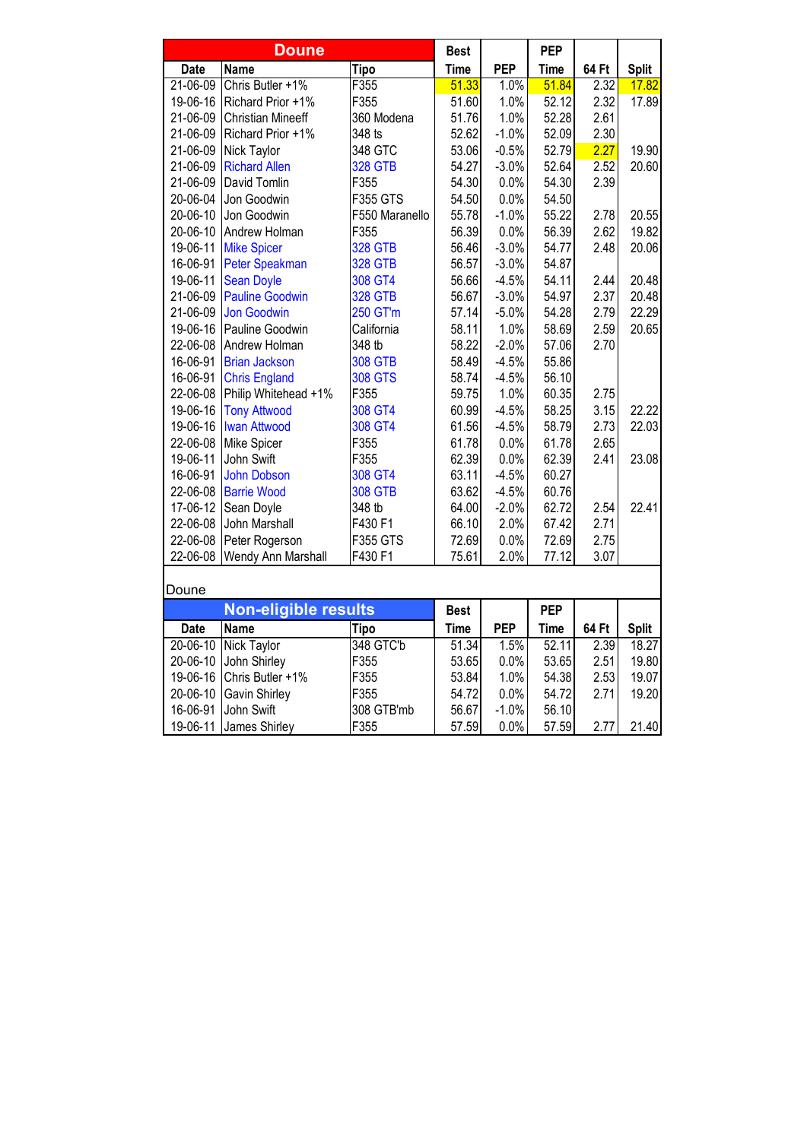|                | <b>Doune</b>             |                 | <b>Best</b> |            | <b>PEP</b>  |       |              |
|----------------|--------------------------|-----------------|-------------|------------|-------------|-------|--------------|
| Date           | <b>Name</b>              | <b>Tipo</b>     | <b>Time</b> | <b>PEP</b> | <b>Time</b> | 64 Ft | <b>Split</b> |
| $21 - 06 - 09$ | Chris Butler +1%         | F355            | 51.33       | 1.0%       | 51.84       | 2.32  | 17.82        |
| 19-06-16       | Richard Prior +1%        | F355            | 51.60       | 1.0%       | 52.12       | 2.32  | 17.89        |
| 21-06-09       | <b>Christian Mineeff</b> | 360 Modena      | 51.76       | 1.0%       | 52.28       | 2.61  |              |
| 21-06-09       | Richard Prior +1%        | 348 ts          | 52.62       | $-1.0%$    | 52.09       | 2.30  |              |
| 21-06-09       | Nick Taylor              | 348 GTC         | 53.06       | $-0.5%$    | 52.79       | 2.27  | 19.90        |
| 21-06-09       | <b>Richard Allen</b>     | <b>328 GTB</b>  | 54.27       | $-3.0%$    | 52.64       | 2.52  | 20.60        |
| 21-06-09       | David Tomlin             | F355            | 54.30       | 0.0%       | 54.30       | 2.39  |              |
| 20-06-04       | Jon Goodwin              | <b>F355 GTS</b> | 54.50       | 0.0%       | 54.50       |       |              |
| 20-06-10       | Jon Goodwin              | F550 Maranello  | 55.78       | $-1.0%$    | 55.22       | 2.78  | 20.55        |
| 20-06-10       | Andrew Holman            | F355            | 56.39       | 0.0%       | 56.39       | 2.62  | 19.82        |
| 19-06-11       | <b>Mike Spicer</b>       | <b>328 GTB</b>  | 56.46       | $-3.0%$    | 54.77       | 2.48  | 20.06        |
| 16-06-91       | <b>Peter Speakman</b>    | <b>328 GTB</b>  | 56.57       | $-3.0%$    | 54.87       |       |              |
| 19-06-11       | <b>Sean Doyle</b>        | 308 GT4         | 56.66       | $-4.5%$    | 54.11       | 2.44  | 20.48        |
| 21-06-09       | <b>Pauline Goodwin</b>   | <b>328 GTB</b>  | 56.67       | $-3.0%$    | 54.97       | 2.37  | 20.48        |
| 21-06-09       | Jon Goodwin              | 250 GT'm        | 57.14       | $-5.0%$    | 54.28       | 2.79  | 22.29        |
| 19-06-16       | Pauline Goodwin          | California      | 58.11       | 1.0%       | 58.69       | 2.59  | 20.65        |
| 22-06-08       | Andrew Holman            | 348 tb          | 58.22       | $-2.0%$    | 57.06       | 2.70  |              |
| 16-06-91       | <b>Brian Jackson</b>     | <b>308 GTB</b>  | 58.49       | $-4.5%$    | 55.86       |       |              |
| 16-06-91       | <b>Chris England</b>     | <b>308 GTS</b>  | 58.74       | $-4.5%$    | 56.10       |       |              |
| 22-06-08       | Philip Whitehead +1%     | F355            | 59.75       | 1.0%       | 60.35       | 2.75  |              |
| 19-06-16       | <b>Tony Attwood</b>      | 308 GT4         | 60.99       | $-4.5%$    | 58.25       | 3.15  | 22.22        |
| 19-06-16       | <b>Iwan Attwood</b>      | 308 GT4         | 61.56       | $-4.5%$    | 58.79       | 2.73  | 22.03        |
| 22-06-08       | Mike Spicer              | F355            | 61.78       | 0.0%       | 61.78       | 2.65  |              |
| 19-06-11       | John Swift               | F355            | 62.39       | 0.0%       | 62.39       | 2.41  | 23.08        |
| 16-06-91       | <b>John Dobson</b>       | 308 GT4         | 63.11       | $-4.5%$    | 60.27       |       |              |
| 22-06-08       | <b>Barrie Wood</b>       | <b>308 GTB</b>  | 63.62       | $-4.5%$    | 60.76       |       |              |
| 17-06-12       | Sean Doyle               | 348 tb          | 64.00       | $-2.0%$    | 62.72       | 2.54  | 22.41        |
| 22-06-08       | John Marshall            | F430 F1         | 66.10       | 2.0%       | 67.42       | 2.71  |              |
| 22-06-08       | Peter Rogerson           | F355 GTS        | 72.69       | 0.0%       | 72.69       | 2.75  |              |
| 22-06-08       | Wendy Ann Marshall       | F430 F1         | 75.61       | 2.0%       | 77.12       | 3.07  |              |
|                |                          |                 |             |            |             |       |              |
| Doune          |                          |                 |             |            |             |       |              |
|                | Non-eligible results     |                 | <b>Best</b> |            | <b>PEP</b>  |       |              |
| Date           | <b>Name</b>              | <b>Tipo</b>     | <b>Time</b> | <b>PEP</b> | <b>Time</b> | 64 Ft | <b>Split</b> |
| $20 - 06 - 10$ | <b>Nick Taylor</b>       | 348 GTC'b       | 51.34       | 1.5%       | 52.11       | 2.39  | 18.27        |
| 20-06-10       | John Shirley             | F355            | 53.65       | 0.0%       | 53.65       | 2.51  | 19.80        |
| 19-06-16       | Chris Butler +1%         | F355            | 53.84       | 1.0%       | 54.38       | 2.53  | 19.07        |
| 20-06-10       | Gavin Shirley            | F355            | 54.72       | 0.0%       | 54.72       | 2.71  | 19.20        |
| 16-06-91       | John Swift               | 308 GTB'mb      | 56.67       | $-1.0%$    | 56.10       |       |              |
| 19-06-11       | James Shirley            | F355            | 57.59       | 0.0%       | 57.59       | 2.77  | 21.40        |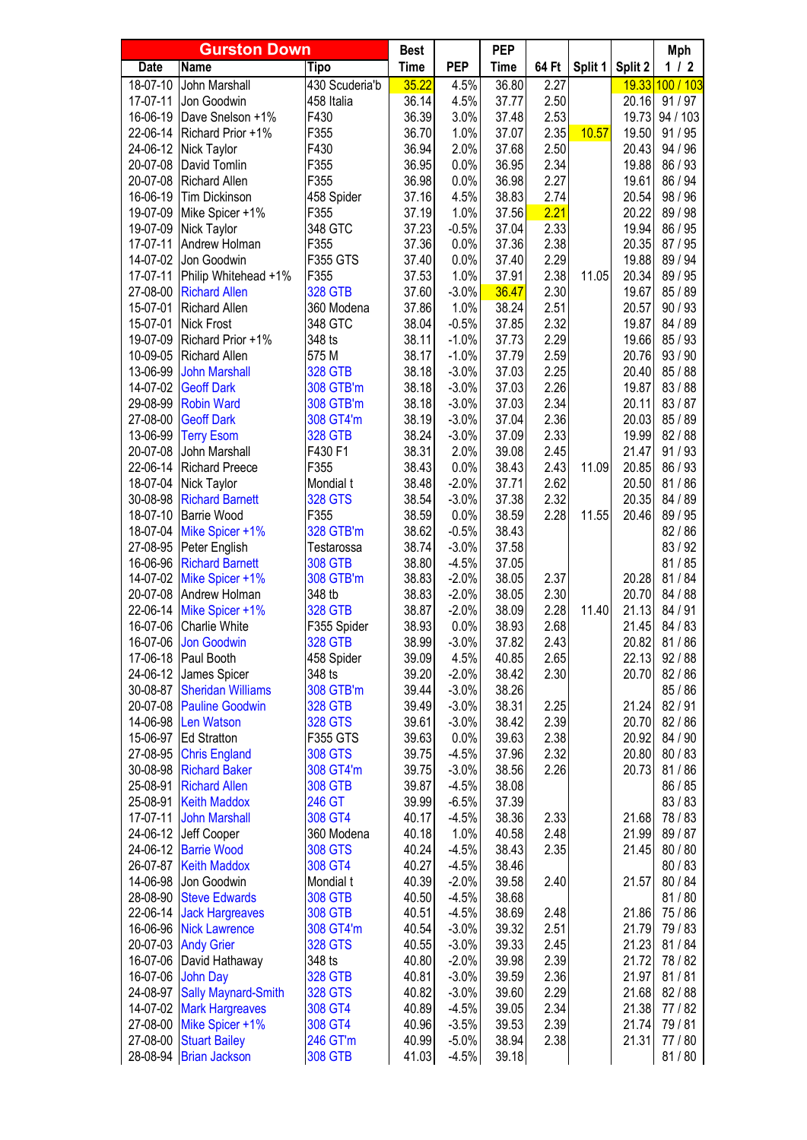|                      | <b>Gurston Down</b>                                  |                              | <b>Best</b>    |                    | <b>PEP</b>     |              |         |                | Mph                |
|----------------------|------------------------------------------------------|------------------------------|----------------|--------------------|----------------|--------------|---------|----------------|--------------------|
| <b>Date</b>          | <b>Name</b>                                          | Tipo                         | <b>Time</b>    | <b>PEP</b>         | <b>Time</b>    | 64 Ft        | Split 1 | Split 2        | $1/2$              |
| 18-07-10             | John Marshall                                        | 430 Scuderia'b               | 35.22          | 4.5%               | 36.80          | 2.27         |         | 19.33          | 100/103            |
| 17-07-11             | Jon Goodwin                                          | 458 Italia                   | 36.14          | 4.5%               | 37.77          | 2.50         |         | 20.16          | 91/97              |
| 16-06-19             | Dave Snelson +1%                                     | F430                         | 36.39          | 3.0%               | 37.48          | 2.53         |         | 19.73          | 94 / 103           |
| 22-06-14             | Richard Prior +1%                                    | F355                         | 36.70          | 1.0%               | 37.07          | 2.35         | 10.57   | 19.50          | 91/95              |
| 24-06-12             | Nick Taylor                                          | F430                         | 36.94          | 2.0%               | 37.68          | 2.50         |         | 20.43          | 94 / 96            |
| 20-07-08             | David Tomlin                                         | F355                         | 36.95          | 0.0%               | 36.95          | 2.34         |         | 19.88          | 86 / 93            |
| 20-07-08             | <b>Richard Allen</b>                                 | F355                         | 36.98          | 0.0%               | 36.98          | 2.27         |         | 19.61          | 86 / 94            |
| 16-06-19             | <b>Tim Dickinson</b>                                 | 458 Spider                   | 37.16          | 4.5%               | 38.83          | 2.74         |         | 20.54          | 98 / 96            |
| 19-07-09             | Mike Spicer +1%                                      | F355                         | 37.19          | 1.0%               | 37.56          | 2.21         |         | 20.22          | 89 / 98            |
| 19-07-09             | Nick Taylor                                          | 348 GTC                      | 37.23          | $-0.5%$            | 37.04          | 2.33         |         | 19.94          | 86 / 95            |
| 17-07-11             | Andrew Holman                                        | F355                         | 37.36          | 0.0%               | 37.36          | 2.38         |         | 20.35          | 87 / 95            |
| 14-07-02             | Jon Goodwin                                          | F355 GTS                     | 37.40          | 0.0%<br>1.0%       | 37.40<br>37.91 | 2.29         |         | 19.88          | 89 / 94            |
| 17-07-11<br>27-08-00 | Philip Whitehead +1%<br><b>Richard Allen</b>         | F355<br><b>328 GTB</b>       | 37.53<br>37.60 | $-3.0%$            | 36.47          | 2.38<br>2.30 | 11.05   | 20.34<br>19.67 | 89 / 95<br>85 / 89 |
| 15-07-01             | Richard Allen                                        | 360 Modena                   | 37.86          | 1.0%               | 38.24          | 2.51         |         | 20.57          | 90/93              |
| 15-07-01             | <b>Nick Frost</b>                                    | 348 GTC                      | 38.04          | $-0.5%$            | 37.85          | 2.32         |         | 19.87          | 84 / 89            |
| 19-07-09             | Richard Prior +1%                                    | 348 ts                       | 38.11          | $-1.0%$            | 37.73          | 2.29         |         | 19.66          | 85/93              |
| 10-09-05             | <b>Richard Allen</b>                                 | 575 M                        | 38.17          | $-1.0%$            | 37.79          | 2.59         |         | 20.76          | 93/90              |
| 13-06-99             | <b>John Marshall</b>                                 | <b>328 GTB</b>               | 38.18          | $-3.0%$            | 37.03          | 2.25         |         | 20.40          | 85/88              |
| 14-07-02             | <b>Geoff Dark</b>                                    | 308 GTB'm                    | 38.18          | $-3.0%$            | 37.03          | 2.26         |         | 19.87          | 83/88              |
| 29-08-99             | <b>Robin Ward</b>                                    | 308 GTB'm                    | 38.18          | $-3.0%$            | 37.03          | 2.34         |         | 20.11          | 83/87              |
| 27-08-00             | <b>Geoff Dark</b>                                    | 308 GT4'm                    | 38.19          | $-3.0%$            | 37.04          | 2.36         |         | 20.03          | 85 / 89            |
| 13-06-99             | <b>Terry Esom</b>                                    | <b>328 GTB</b>               | 38.24          | $-3.0%$            | 37.09          | 2.33         |         | 19.99          | 82/88              |
| 20-07-08             | John Marshall                                        | F430 F1                      | 38.31          | 2.0%               | 39.08          | 2.45         |         | 21.47          | 91/93              |
| 22-06-14             | <b>Richard Preece</b>                                | F355                         | 38.43          | 0.0%               | 38.43          | 2.43         | 11.09   | 20.85          | 86 / 93            |
| 18-07-04             | Nick Taylor                                          | Mondial t                    | 38.48          | $-2.0%$            | 37.71          | 2.62         |         | 20.50          | 81/86              |
| 30-08-98             | <b>Richard Barnett</b>                               | <b>328 GTS</b>               | 38.54          | $-3.0%$            | 37.38          | 2.32         |         | 20.35          | 84 / 89            |
| 18-07-10             | <b>Barrie Wood</b>                                   | F355                         | 38.59          | 0.0%               | 38.59          | 2.28         | 11.55   | 20.46          | 89 / 95            |
| 18-07-04             | Mike Spicer +1%                                      | 328 GTB'm                    | 38.62          | $-0.5%$            | 38.43          |              |         |                | 82/86              |
| 27-08-95             | Peter English                                        | Testarossa                   | 38.74          | $-3.0%$            | 37.58          |              |         |                | 83/92              |
| 16-06-96             | <b>Richard Barnett</b>                               | <b>308 GTB</b>               | 38.80          | $-4.5%$            | 37.05          |              |         |                | 81/85              |
| 14-07-02             | Mike Spicer +1%                                      | 308 GTB'm                    | 38.83          | $-2.0%$            | 38.05          | 2.37         |         | 20.28          | 81/84              |
| 20-07-08             | Andrew Holman                                        | 348 tb                       | 38.83          | $-2.0%$            | 38.05          | 2.30         |         | 20.70          | 84 / 88            |
| 22-06-14             | Mike Spicer +1%                                      | <b>328 GTB</b>               | 38.87          | $-2.0%$            | 38.09          | 2.28         | 11.40   | 21.13          | 84 / 91            |
| 16-07-06             | <b>Charlie White</b>                                 | F355 Spider                  | 38.93<br>38.99 | 0.0%               | 38.93          | 2.68         |         | 21.45          | 84 / 83            |
| 16-07-06<br>17-06-18 | <b>Jon Goodwin</b><br>Paul Booth                     | <b>328 GTB</b><br>458 Spider | 39.09          | $-3.0%$<br>4.5%    | 37.82<br>40.85 | 2.43<br>2.65 |         | 20.82<br>22.13 | 81/86<br>92/88     |
| 24-06-12             | James Spicer                                         | 348 ts                       | 39.20          | $-2.0%$            | 38.42          | 2.30         |         | 20.70          | 82/86              |
| 30-08-87             | <b>Sheridan Williams</b>                             | 308 GTB'm                    | 39.44          | $-3.0%$            | 38.26          |              |         |                | 85/86              |
| 20-07-08             | <b>Pauline Goodwin</b>                               | <b>328 GTB</b>               | 39.49          | $-3.0%$            | 38.31          | 2.25         |         | 21.24          | 82/91              |
| 14-06-98             | Len Watson                                           | <b>328 GTS</b>               | 39.61          | $-3.0%$            | 38.42          | 2.39         |         | 20.70          | 82/86              |
| 15-06-97             | <b>Ed Stratton</b>                                   | F355 GTS                     | 39.63          | 0.0%               | 39.63          | 2.38         |         | 20.92          | 84 / 90            |
| 27-08-95             | <b>Chris England</b>                                 | <b>308 GTS</b>               | 39.75          | $-4.5%$            | 37.96          | 2.32         |         | 20.80          | 80/83              |
| 30-08-98             | <b>Richard Baker</b>                                 | 308 GT4'm                    | 39.75          | $-3.0%$            | 38.56          | 2.26         |         | 20.73          | 81/86              |
| 25-08-91             | <b>Richard Allen</b>                                 | <b>308 GTB</b>               | 39.87          | $-4.5%$            | 38.08          |              |         |                | 86 / 85            |
| 25-08-91             | <b>Keith Maddox</b>                                  | 246 GT                       | 39.99          | $-6.5%$            | 37.39          |              |         |                | 83/83              |
| 17-07-11             | <b>John Marshall</b>                                 | 308 GT4                      | 40.17          | $-4.5%$            | 38.36          | 2.33         |         | 21.68          | 78/83              |
| 24-06-12             | Jeff Cooper                                          | 360 Modena                   | 40.18          | 1.0%               | 40.58          | 2.48         |         | 21.99          | 89/87              |
| 24-06-12             | <b>Barrie Wood</b>                                   | <b>308 GTS</b>               | 40.24          | $-4.5%$            | 38.43          | 2.35         |         | 21.45          | 80/80              |
| 26-07-87             | <b>Keith Maddox</b>                                  | 308 GT4                      | 40.27          | $-4.5%$            | 38.46          |              |         |                | 80/83              |
| 14-06-98             | Jon Goodwin                                          | Mondial t                    | 40.39          | $-2.0%$            | 39.58          | 2.40         |         | 21.57          | 80 / 84            |
| 28-08-90             | <b>Steve Edwards</b>                                 | <b>308 GTB</b>               | 40.50          | $-4.5%$            | 38.68          |              |         |                | 81/80              |
| 22-06-14             | <b>Jack Hargreaves</b>                               | <b>308 GTB</b>               | 40.51          | $-4.5%$            | 38.69          | 2.48         |         | 21.86          | 75 / 86            |
| 16-06-96             | <b>Nick Lawrence</b>                                 | 308 GT4'm                    | 40.54          | $-3.0%$            | 39.32          | 2.51         |         | 21.79          | 79/83              |
| 20-07-03             | <b>Andy Grier</b>                                    | <b>328 GTS</b>               | 40.55          | $-3.0%$            | 39.33          | 2.45         |         | 21.23          | 81/84              |
| 16-07-06             | David Hathaway                                       | 348 ts                       | 40.80          | $-2.0%$            | 39.98          | 2.39         |         | 21.72          | 78/82              |
| 16-07-06             | <b>John Day</b>                                      | <b>328 GTB</b>               | 40.81          | $-3.0%$            | 39.59          | 2.36         |         | 21.97          | 81/81              |
| 24-08-97<br>14-07-02 | <b>Sally Maynard-Smith</b><br><b>Mark Hargreaves</b> | <b>328 GTS</b><br>308 GT4    | 40.82<br>40.89 | $-3.0%$<br>$-4.5%$ | 39.60<br>39.05 | 2.29<br>2.34 |         | 21.68<br>21.38 | 82/88<br>77/82     |
| 27-08-00             | Mike Spicer +1%                                      | 308 GT4                      | 40.96          | $-3.5%$            | 39.53          | 2.39         |         | 21.74          | 79/81              |
| 27-08-00             | <b>Stuart Bailey</b>                                 | 246 GT'm                     | 40.99          | $-5.0%$            | 38.94          | 2.38         |         | 21.31          | 77/80              |
| 28-08-94             | <b>Brian Jackson</b>                                 | <b>308 GTB</b>               | 41.03          | $-4.5%$            | 39.18          |              |         |                | 81/80              |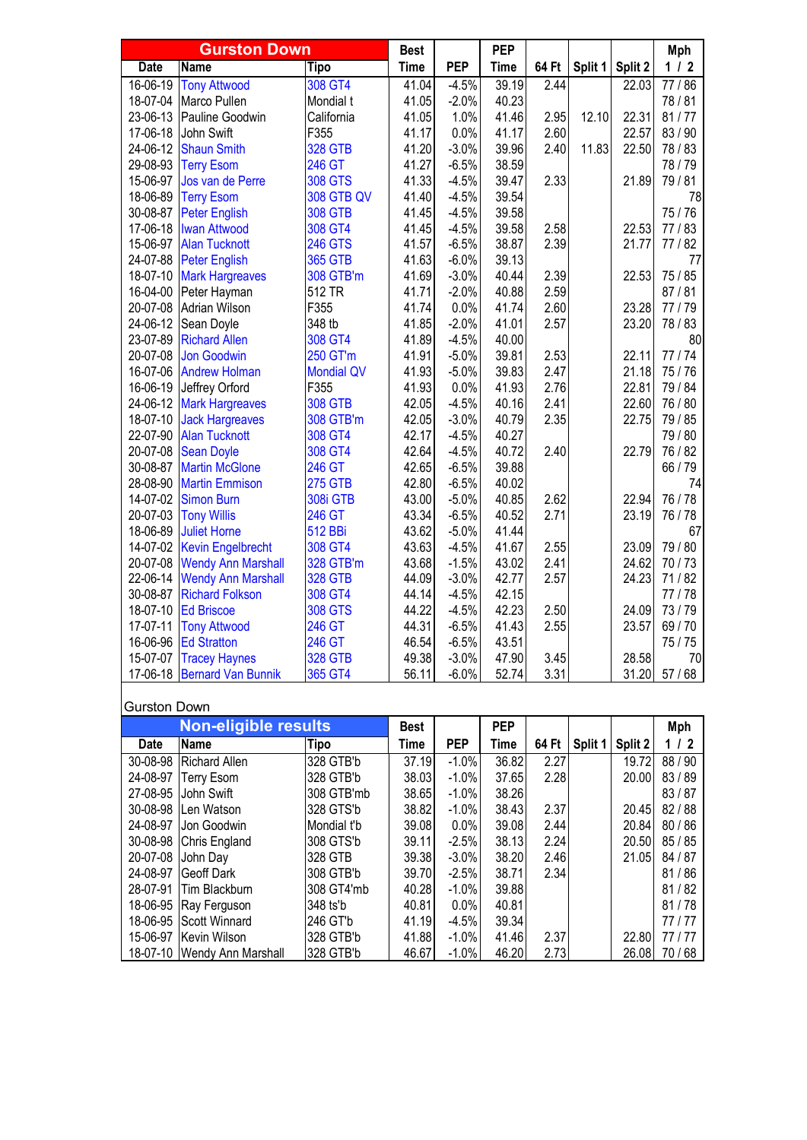|             | <b>Gurston Down</b>       |                   | <b>Best</b> |            | <b>PEP</b>  |       |         |         | Mph     |
|-------------|---------------------------|-------------------|-------------|------------|-------------|-------|---------|---------|---------|
| <b>Date</b> | Name                      | <b>Tipo</b>       | <b>Time</b> | <b>PEP</b> | <b>Time</b> | 64 Ft | Split 1 | Split 2 | $1/2$   |
| 16-06-19    | <b>Tony Attwood</b>       | 308 GT4           | 41.04       | $-4.5%$    | 39.19       | 2.44  |         | 22.03   | 77/86   |
| 18-07-04    | Marco Pullen              | Mondial t         | 41.05       | $-2.0%$    | 40.23       |       |         |         | 78/81   |
| 23-06-13    | Pauline Goodwin           | California        | 41.05       | 1.0%       | 41.46       | 2.95  | 12.10   | 22.31   | 81/77   |
| 17-06-18    | John Swift                | F355              | 41.17       | 0.0%       | 41.17       | 2.60  |         | 22.57   | 83 / 90 |
| 24-06-12    | <b>Shaun Smith</b>        | <b>328 GTB</b>    | 41.20       | $-3.0%$    | 39.96       | 2.40  | 11.83   | 22.50   | 78/83   |
| 29-08-93    | <b>Terry Esom</b>         | <b>246 GT</b>     | 41.27       | $-6.5%$    | 38.59       |       |         |         | 78/79   |
| 15-06-97    | Jos van de Perre          | <b>308 GTS</b>    | 41.33       | $-4.5%$    | 39.47       | 2.33  |         | 21.89   | 79/81   |
| 18-06-89    | <b>Terry Esom</b>         | <b>308 GTB QV</b> | 41.40       | $-4.5%$    | 39.54       |       |         |         | 78      |
| 30-08-87    | <b>Peter English</b>      | <b>308 GTB</b>    | 41.45       | $-4.5%$    | 39.58       |       |         |         | 75/76   |
| 17-06-18    | <b>Iwan Attwood</b>       | 308 GT4           | 41.45       | $-4.5%$    | 39.58       | 2.58  |         | 22.53   | 77/83   |
| 15-06-97    | <b>Alan Tucknott</b>      | <b>246 GTS</b>    | 41.57       | $-6.5%$    | 38.87       | 2.39  |         | 21.77   | 77/82   |
| 24-07-88    | <b>Peter English</b>      | <b>365 GTB</b>    | 41.63       | $-6.0%$    | 39.13       |       |         |         | 77      |
| 18-07-10    | <b>Mark Hargreaves</b>    | 308 GTB'm         | 41.69       | $-3.0%$    | 40.44       | 2.39  |         | 22.53   | 75 / 85 |
| 16-04-00    | Peter Hayman              | 512 TR            | 41.71       | $-2.0%$    | 40.88       | 2.59  |         |         | 87/81   |
| 20-07-08    | <b>Adrian Wilson</b>      | F355              | 41.74       | 0.0%       | 41.74       | 2.60  |         | 23.28   | 77/79   |
| 24-06-12    | Sean Doyle                | 348 tb            | 41.85       | $-2.0%$    | 41.01       | 2.57  |         | 23.20   | 78/83   |
| 23-07-89    | <b>Richard Allen</b>      | 308 GT4           | 41.89       | $-4.5%$    | 40.00       |       |         |         | 80      |
| 20-07-08    | <b>Jon Goodwin</b>        | 250 GT'm          | 41.91       | $-5.0%$    | 39.81       | 2.53  |         | 22.11   | 77/74   |
| 16-07-06    | <b>Andrew Holman</b>      | <b>Mondial QV</b> | 41.93       | $-5.0%$    | 39.83       | 2.47  |         | 21.18   | 75/76   |
| 16-06-19    | Jeffrey Orford            | F355              | 41.93       | 0.0%       | 41.93       | 2.76  |         | 22.81   | 79 / 84 |
| 24-06-12    | <b>Mark Hargreaves</b>    | <b>308 GTB</b>    | 42.05       | $-4.5%$    | 40.16       | 2.41  |         | 22.60   | 76 / 80 |
| 18-07-10    | <b>Jack Hargreaves</b>    | 308 GTB'm         | 42.05       | $-3.0%$    | 40.79       | 2.35  |         | 22.75   | 79 / 85 |
| 22-07-90    | <b>Alan Tucknott</b>      | 308 GT4           | 42.17       | $-4.5%$    | 40.27       |       |         |         | 79/80   |
| 20-07-08    | <b>Sean Doyle</b>         | 308 GT4           | 42.64       | $-4.5%$    | 40.72       | 2.40  |         | 22.79   | 76 / 82 |
| 30-08-87    | <b>Martin McGlone</b>     | 246 GT            | 42.65       | $-6.5%$    | 39.88       |       |         |         | 66 / 79 |
| 28-08-90    | <b>Martin Emmison</b>     | <b>275 GTB</b>    | 42.80       | $-6.5%$    | 40.02       |       |         |         | 74      |
| 14-07-02    | <b>Simon Burn</b>         | 308i GTB          | 43.00       | $-5.0%$    | 40.85       | 2.62  |         | 22.94   | 76 / 78 |
| 20-07-03    | <b>Tony Willis</b>        | 246 GT            | 43.34       | $-6.5%$    | 40.52       | 2.71  |         | 23.19   | 76 / 78 |
| 18-06-89    | <b>Juliet Horne</b>       | <b>512 BBi</b>    | 43.62       | $-5.0%$    | 41.44       |       |         |         | 67      |
| 14-07-02    | <b>Kevin Engelbrecht</b>  | 308 GT4           | 43.63       | $-4.5%$    | 41.67       | 2.55  |         | 23.09   | 79 / 80 |
| 20-07-08    | <b>Wendy Ann Marshall</b> | 328 GTB'm         | 43.68       | $-1.5%$    | 43.02       | 2.41  |         | 24.62   | 70/73   |
| 22-06-14    | <b>Wendy Ann Marshall</b> | <b>328 GTB</b>    | 44.09       | $-3.0%$    | 42.77       | 2.57  |         | 24.23   | 71/82   |
| 30-08-87    | <b>Richard Folkson</b>    | 308 GT4           | 44.14       | $-4.5%$    | 42.15       |       |         |         | 77/78   |
| 18-07-10    | <b>Ed Briscoe</b>         | <b>308 GTS</b>    | 44.22       | $-4.5%$    | 42.23       | 2.50  |         | 24.09   | 73/79   |
| 17-07-11    | <b>Tony Attwood</b>       | 246 GT            | 44.31       | $-6.5%$    | 41.43       | 2.55  |         | 23.57   | 69/70   |
| 16-06-96    | <b>Ed Stratton</b>        | 246 GT            | 46.54       | $-6.5%$    | 43.51       |       |         |         | 75/75   |
| 15-07-07    | <b>Tracey Haynes</b>      | <b>328 GTB</b>    | 49.38       | $-3.0%$    | 47.90       | 3.45  |         | 28.58   | 70      |
| 17-06-18    | <b>Bernard Van Bunnik</b> | 365 GT4           | 56.11       | $-6.0%$    | 52.74       | 3.31  |         | 31.20   | 57/68   |

## Gurston Down

|             | <b>Non-eligible results</b> |             | <b>Best</b> |            | <b>PEP</b> |       |         |         | Mph     |
|-------------|-----------------------------|-------------|-------------|------------|------------|-------|---------|---------|---------|
| <b>Date</b> | <b>Name</b>                 | <b>Tipo</b> | Time        | <b>PEP</b> | Time       | 64 Ft | Split 1 | Split 2 | 1/2     |
| 30-08-98    | Richard Allen               | 328 GTB'b   | 37.19       | $-1.0%$    | 36.82      | 2.27  |         | 19.72   | 88/90   |
| 24-08-97    | Terry Esom                  | 328 GTB'b   | 38.03       | $-1.0\%$   | 37.65      | 2.28  |         | 20.00   | 83/89   |
| 27-08-95    | John Swift                  | 308 GTB'mb  | 38.65       | $-1.0\%$   | 38.26      |       |         |         | 83/87   |
| 30-08-98    | Len Watson                  | 328 GTS'b   | 38.82       | $-1.0%$    | 38.43      | 2.37  |         | 20.45   | 82/88   |
| 24-08-97    | Jon Goodwin                 | Mondial t'b | 39.08       | 0.0%       | 39.08      | 2.44  |         | 20.84   | 80/86   |
| 30-08-98    | Chris England               | 308 GTS'b   | 39.11       | $-2.5\%$   | 38.13      | 2.24  |         | 20.50   | 85/85   |
| 20-07-08    | John Day                    | 328 GTB     | 39.38       | $-3.0\%$   | 38.20      | 2.46  |         | 21.05   | 84 / 87 |
| 24-08-97    | Geoff Dark                  | 308 GTB'b   | 39.70       | $-2.5%$    | 38.71      | 2.34  |         |         | 81/86   |
|             | 28-07-91 Tim Blackburn      | 308 GT4'mb  | 40.28       | $-1.0\%$   | 39.88      |       |         |         | 81/82   |
| 18-06-95    | Ray Ferguson                | 348 ts'b    | 40.81       | $0.0\%$    | 40.81      |       |         |         | 81/78   |
|             | 18-06-95 Scott Winnard      | 246 GT'b    | 41.19       | $-4.5%$    | 39.34      |       |         |         | 77 / 77 |
| 15-06-97    | Kevin Wilson                | 328 GTB'b   | 41.88       | $-1.0\%$   | 41.46      | 2.37  |         | 22.80   | 77 / 77 |
|             | 18-07-10 Wendy Ann Marshall | 328 GTB'b   | 46.67       | $-1.0\%$   | 46.20      | 2.73  |         | 26.08   | 70/68   |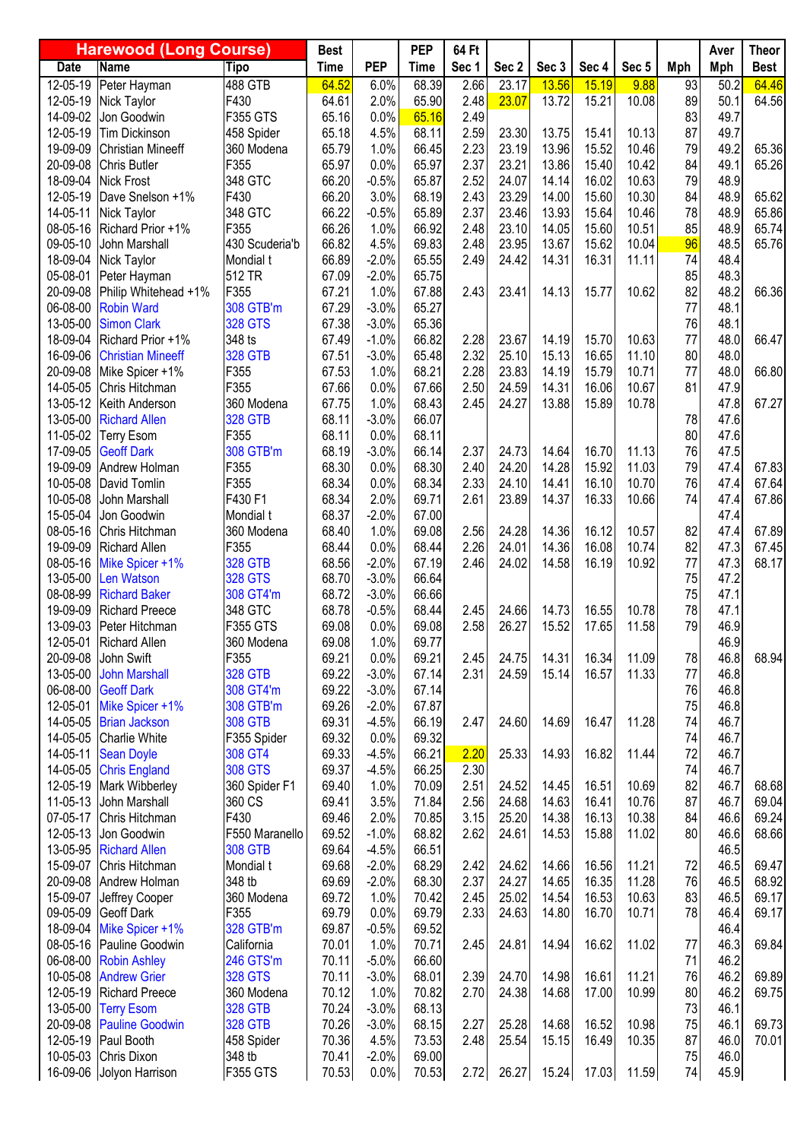|                      | <b>Harewood (Long Course)</b>             |                      | <b>Best</b>    |                    | <b>PEP</b>     | 64 Ft        |                |                |                |                |          | Aver         | <b>Theor</b>   |
|----------------------|-------------------------------------------|----------------------|----------------|--------------------|----------------|--------------|----------------|----------------|----------------|----------------|----------|--------------|----------------|
| <b>Date</b>          | <b>Name</b>                               | <b>Tipo</b>          | <b>Time</b>    | <b>PEP</b>         | <b>Time</b>    | Sec 1        | Sec 2          | Sec 3          | Sec 4          | Sec 5          | Mph      | <b>Mph</b>   | <b>Best</b>    |
| 12-05-19             | Peter Hayman                              | 488 GTB              | 64.52          | 6.0%               | 68.39          | 2.66         | 23.17          | 13.56          | 15.19          | 9.88           | 93       | 50.2         | 64.46          |
| 12-05-19             | Nick Taylor                               | F430                 | 64.61          | 2.0%               | 65.90          | 2.48         | 23.07          | 13.72          | 15.21          | 10.08          | 89       | 50.1         | 64.56          |
| 14-09-02             | Jon Goodwin                               | <b>F355 GTS</b>      | 65.16          | 0.0%               | 65.16          | 2.49         |                |                |                |                | 83       | 49.7         |                |
| 12-05-19             | <b>Tim Dickinson</b>                      | 458 Spider           | 65.18          | 4.5%               | 68.11          | 2.59         | 23.30          | 13.75          | 15.41          | 10.13          | 87       | 49.7         |                |
| 19-09-09             | <b>Christian Mineeff</b>                  | 360 Modena           | 65.79          | 1.0%               | 66.45          | 2.23         | 23.19          | 13.96          | 15.52          | 10.46          | 79       | 49.2         | 65.36          |
| 20-09-08             | Chris Butler                              | F355                 | 65.97          | 0.0%               | 65.97          | 2.37         | 23.21          | 13.86          | 15.40          | 10.42          | 84       | 49.1         | 65.26          |
| 18-09-04             | <b>Nick Frost</b>                         | 348 GTC              | 66.20          | $-0.5%$            | 65.87          | 2.52         | 24.07          | 14.14          | 16.02          | 10.63          | 79       | 48.9         |                |
| 12-05-19             | Dave Snelson +1%                          | F430                 | 66.20          | 3.0%               | 68.19          | 2.43         | 23.29          | 14.00          | 15.60          | 10.30          | 84       | 48.9         | 65.62          |
| 14-05-11             | Nick Taylor<br>Richard Prior +1%          | 348 GTC<br>F355      | 66.22          | $-0.5%$            | 65.89          | 2.37         | 23.46<br>23.10 | 13.93          | 15.64<br>15.60 | 10.46<br>10.51 | 78<br>85 | 48.9         | 65.86          |
| 08-05-16<br>09-05-10 | John Marshall                             | 430 Scuderia'b       | 66.26<br>66.82 | 1.0%<br>4.5%       | 66.92<br>69.83 | 2.48<br>2.48 | 23.95          | 14.05<br>13.67 | 15.62          | 10.04          | 96       | 48.9<br>48.5 | 65.74<br>65.76 |
| 18-09-04             | Nick Taylor                               | Mondial t            | 66.89          | $-2.0%$            | 65.55          | 2.49         | 24.42          | 14.31          | 16.31          | 11.11          | 74       | 48.4         |                |
| 05-08-01             | Peter Hayman                              | 512 TR               | 67.09          | $-2.0%$            | 65.75          |              |                |                |                |                | 85       | 48.3         |                |
| 20-09-08             | Philip Whitehead +1%                      | F355                 | 67.21          | 1.0%               | 67.88          | 2.43         | 23.41          | 14.13          | 15.77          | 10.62          | 82       | 48.2         | 66.36          |
| 06-08-00             | <b>Robin Ward</b>                         | 308 GTB'm            | 67.29          | $-3.0%$            | 65.27          |              |                |                |                |                | 77       | 48.1         |                |
| 13-05-00             | <b>Simon Clark</b>                        | <b>328 GTS</b>       | 67.38          | $-3.0%$            | 65.36          |              |                |                |                |                | 76       | 48.1         |                |
| 18-09-04             | Richard Prior +1%                         | 348 ts               | 67.49          | $-1.0%$            | 66.82          | 2.28         | 23.67          | 14.19          | 15.70          | 10.63          | 77       | 48.0         | 66.47          |
| 16-09-06             | <b>Christian Mineeff</b>                  | <b>328 GTB</b>       | 67.51          | $-3.0%$            | 65.48          | 2.32         | 25.10          | 15.13          | 16.65          | 11.10          | 80       | 48.0         |                |
| 20-09-08             | Mike Spicer +1%                           | F355                 | 67.53          | 1.0%               | 68.21          | 2.28         | 23.83          | 14.19          | 15.79          | 10.71          | 77       | 48.0         | 66.80          |
| 14-05-05             | Chris Hitchman                            | F355                 | 67.66          | 0.0%               | 67.66          | 2.50         | 24.59          | 14.31          | 16.06          | 10.67          | 81       | 47.9         |                |
| 13-05-12             | Keith Anderson                            | 360 Modena           | 67.75          | 1.0%               | 68.43          | 2.45         | 24.27          | 13.88          | 15.89          | 10.78          |          | 47.8         | 67.27          |
| 13-05-00             | <b>Richard Allen</b>                      | <b>328 GTB</b>       | 68.11          | $-3.0%$            | 66.07          |              |                |                |                |                | 78       | 47.6         |                |
| 11-05-02             | <b>Terry Esom</b>                         | F355                 | 68.11          | 0.0%               | 68.11          |              |                |                |                |                | 80       | 47.6         |                |
| 17-09-05             | <b>Geoff Dark</b>                         | 308 GTB'm            | 68.19          | $-3.0%$            | 66.14          | 2.37         | 24.73          | 14.64          | 16.70          | 11.13          | 76       | 47.5         |                |
| 19-09-09             | Andrew Holman                             | F355                 | 68.30          | 0.0%               | 68.30          | 2.40         | 24.20          | 14.28          | 15.92          | 11.03          | 79       | 47.4         | 67.83          |
| 10-05-08             | David Tomlin                              | F355                 | 68.34          | 0.0%               | 68.34          | 2.33         | 24.10          | 14.41          | 16.10          | 10.70          | 76       | 47.4         | 67.64          |
| 10-05-08             | John Marshall                             | F430 F1              | 68.34          | 2.0%               | 69.71          | 2.61         | 23.89          | 14.37          | 16.33          | 10.66          | 74       | 47.4         | 67.86          |
| 15-05-04             | Jon Goodwin                               | Mondial t            | 68.37          | $-2.0%$            | 67.00          |              |                |                |                |                |          | 47.4         |                |
| 08-05-16             | Chris Hitchman                            | 360 Modena           | 68.40          | 1.0%               | 69.08          | 2.56         | 24.28          | 14.36          | 16.12          | 10.57          | 82       | 47.4         | 67.89          |
| 19-09-09             | <b>Richard Allen</b>                      | F355                 | 68.44          | 0.0%               | 68.44          | 2.26         | 24.01          | 14.36          | 16.08          | 10.74          | 82       | 47.3         | 67.45          |
| 08-05-16             | Mike Spicer +1%                           | <b>328 GTB</b>       | 68.56          | $-2.0%$            | 67.19          | 2.46         | 24.02          | 14.58          | 16.19          | 10.92          | 77       | 47.3         | 68.17          |
| 13-05-00             | <b>Len Watson</b><br><b>Richard Baker</b> | <b>328 GTS</b>       | 68.70          | $-3.0%$            | 66.64          |              |                |                |                |                | 75<br>75 | 47.2         |                |
| 08-08-99<br>19-09-09 | <b>Richard Preece</b>                     | 308 GT4'm<br>348 GTC | 68.72<br>68.78 | $-3.0%$<br>$-0.5%$ | 66.66<br>68.44 | 2.45         | 24.66          | 14.73          | 16.55          | 10.78          | 78       | 47.1<br>47.1 |                |
| 13-09-03             | Peter Hitchman                            | <b>F355 GTS</b>      | 69.08          | 0.0%               | 69.08          | 2.58         | 26.27          | 15.52          | 17.65          | 11.58          | 79       | 46.9         |                |
|                      | 12-05-01 Richard Allen                    | 360 Modena           | 69.08          | 1.0%               | 69.77          |              |                |                |                |                |          | 46.9         |                |
| 20-09-08             | John Swift                                | F355                 | 69.21          | 0.0%               | 69.21          | 2.45         | 24.75          | 14.31          | 16.34          | 11.09          | 78       | 46.8         | 68.94          |
| 13-05-00             | <b>John Marshall</b>                      | <b>328 GTB</b>       | 69.22          | $-3.0%$            | 67.14          | 2.31         | 24.59          | 15.14          | 16.57          | 11.33          | 77       | 46.8         |                |
| 06-08-00             | <b>Geoff Dark</b>                         | 308 GT4'm            | 69.22          | $-3.0%$            | 67.14          |              |                |                |                |                | 76       | 46.8         |                |
| 12-05-01             | Mike Spicer +1%                           | 308 GTB'm            | 69.26          | $-2.0%$            | 67.87          |              |                |                |                |                | 75       | 46.8         |                |
| 14-05-05             | <b>Brian Jackson</b>                      | <b>308 GTB</b>       | 69.31          | $-4.5%$            | 66.19          | 2.47         | 24.60          | 14.69          | 16.47          | 11.28          | 74       | 46.7         |                |
| 14-05-05             | <b>Charlie White</b>                      | F355 Spider          | 69.32          | 0.0%               | 69.32          |              |                |                |                |                | 74       | 46.7         |                |
| 14-05-11             | <b>Sean Doyle</b>                         | 308 GT4              | 69.33          | $-4.5%$            | 66.21          | 2.20         | 25.33          | 14.93          | 16.82          | 11.44          | 72       | 46.7         |                |
| 14-05-05             | <b>Chris England</b>                      | <b>308 GTS</b>       | 69.37          | $-4.5%$            | 66.25          | 2.30         |                |                |                |                | 74       | 46.7         |                |
| 12-05-19             | Mark Wibberley                            | 360 Spider F1        | 69.40          | 1.0%               | 70.09          | 2.51         | 24.52          | 14.45          | 16.51          | 10.69          | 82       | 46.7         | 68.68          |
| 11-05-13             | John Marshall                             | 360 CS               | 69.41          | 3.5%               | 71.84          | 2.56         | 24.68          | 14.63          | 16.41          | 10.76          | 87       | 46.7         | 69.04          |
| 07-05-17             | Chris Hitchman                            | F430                 | 69.46          | 2.0%               | 70.85          | 3.15         | 25.20          | 14.38          | 16.13          | 10.38          | 84       | 46.6         | 69.24          |
| 12-05-13             | Jon Goodwin                               | F550 Maranello       | 69.52          | $-1.0%$            | 68.82          | 2.62         | 24.61          | 14.53          | 15.88          | 11.02          | 80       | 46.6         | 68.66          |
| 13-05-95             | <b>Richard Allen</b>                      | <b>308 GTB</b>       | 69.64          | $-4.5%$            | 66.51          |              |                |                |                |                |          | 46.5         |                |
| 15-09-07             | Chris Hitchman                            | Mondial t            | 69.68          | $-2.0%$            | 68.29          | 2.42         | 24.62          | 14.66          | 16.56          | 11.21          | 72       | 46.5         | 69.47          |
| 20-09-08             | Andrew Holman                             | 348 tb               | 69.69          | $-2.0%$            | 68.30          | 2.37         | 24.27<br>25.02 | 14.65          | 16.35<br>16.53 | 11.28          | 76       | 46.5         | 68.92          |
| 15-09-07<br>09-05-09 | Jeffrey Cooper<br>Geoff Dark              | 360 Modena<br>F355   | 69.72<br>69.79 | 1.0%<br>0.0%       | 70.42<br>69.79 | 2.45<br>2.33 | 24.63          | 14.54<br>14.80 | 16.70          | 10.63<br>10.71 | 83<br>78 | 46.5<br>46.4 | 69.17<br>69.17 |
| 18-09-04             | Mike Spicer +1%                           | 328 GTB'm            | 69.87          | $-0.5%$            | 69.52          |              |                |                |                |                |          | 46.4         |                |
| 08-05-16             | Pauline Goodwin                           | California           | 70.01          | 1.0%               | 70.71          | 2.45         | 24.81          | 14.94          | 16.62          | 11.02          | 77       | 46.3         | 69.84          |
| 06-08-00             | <b>Robin Ashley</b>                       | 246 GTS'm            | 70.11          | $-5.0%$            | 66.60          |              |                |                |                |                | 71       | 46.2         |                |
| 10-05-08             | <b>Andrew Grier</b>                       | <b>328 GTS</b>       | 70.11          | $-3.0%$            | 68.01          | 2.39         | 24.70          | 14.98          | 16.61          | 11.21          | 76       | 46.2         | 69.89          |
| 12-05-19             | <b>Richard Preece</b>                     | 360 Modena           | 70.12          | 1.0%               | 70.82          | 2.70         | 24.38          | 14.68          | 17.00          | 10.99          | 80       | 46.2         | 69.75          |
| 13-05-00             | <b>Terry Esom</b>                         | <b>328 GTB</b>       | 70.24          | $-3.0%$            | 68.13          |              |                |                |                |                | 73       | 46.1         |                |
| 20-09-08             | <b>Pauline Goodwin</b>                    | <b>328 GTB</b>       | 70.26          | $-3.0%$            | 68.15          | 2.27         | 25.28          | 14.68          | 16.52          | 10.98          | 75       | 46.1         | 69.73          |
| 12-05-19             | Paul Booth                                | 458 Spider           | 70.36          | 4.5%               | 73.53          | 2.48         | 25.54          | 15.15          | 16.49          | 10.35          | 87       | 46.0         | 70.01          |
| 10-05-03             | Chris Dixon                               | 348 tb               | 70.41          | $-2.0%$            | 69.00          |              |                |                |                |                | 75       | 46.0         |                |
| 16-09-06             | Jolyon Harrison                           | <b>F355 GTS</b>      | 70.53          | 0.0%               | 70.53          | 2.72         | 26.27          | 15.24          | 17.03          | 11.59          | 74       | 45.9         |                |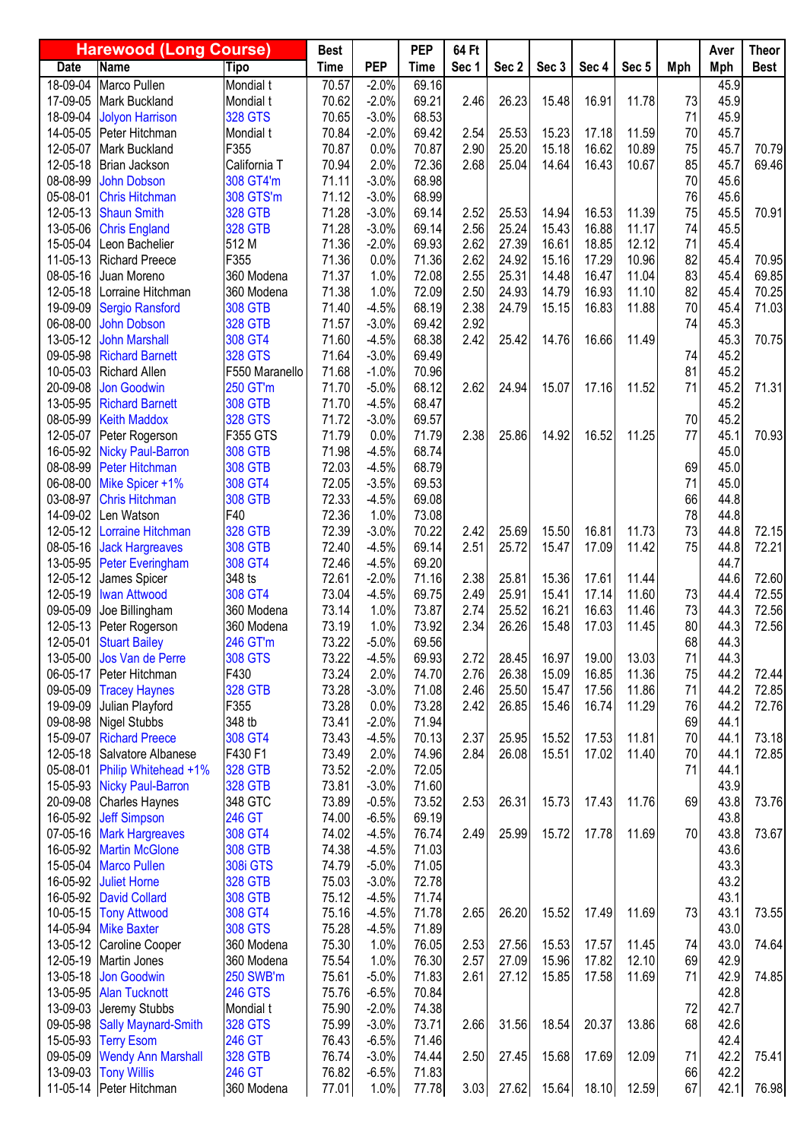| <b>PEP</b><br><b>Name</b><br><b>Tipo</b><br><b>Time</b><br>Sec 1<br>Sec 2<br>Sec 4<br>Sec 5<br>Mph<br><b>Date</b><br><b>Time</b><br>Sec 3<br>Mph<br><b>Best</b><br>$18 - 09 - 04$<br>Marco Pullen<br>70.57<br>$-2.0%$<br>69.16<br>45.9<br>Mondial t<br>17-09-05<br>70.62<br>$-2.0%$<br>69.21<br>2.46<br>26.23<br>73<br>45.9<br>Mark Buckland<br>Mondial t<br>15.48<br>16.91<br>11.78<br>71<br>18-09-04<br>$-3.0%$<br>68.53<br>45.9<br><b>Jolyon Harrison</b><br><b>328 GTS</b><br>70.65<br>70.84<br>$-2.0%$<br>69.42<br>2.54<br>70<br>45.7<br>14-05-05<br>Peter Hitchman<br>25.53<br>15.23<br>17.18<br>11.59<br>Mondial t<br>75<br>F355<br>70.87<br>0.0%<br>2.90<br>25.20<br>15.18<br>10.89<br>45.7<br>70.79<br>12-05-07<br>Mark Buckland<br>70.87<br>16.62<br>85<br>70.94<br>2.0%<br>72.36<br>2.68<br>25.04<br>16.43<br>45.7<br>69.46<br>12-05-18<br>Brian Jackson<br>California T<br>14.64<br>10.67<br>70<br>08-08-99<br>308 GT4'm<br>71.11<br>$-3.0%$<br>68.98<br>45.6<br><b>John Dobson</b><br>76<br>05-08-01<br>308 GTS'm<br>71.12<br>$-3.0%$<br>68.99<br>45.6<br><b>Chris Hitchman</b><br><b>328 GTB</b><br>71.28<br>$-3.0%$<br>69.14<br>2.52<br>16.53<br>11.39<br>75<br>70.91<br>12-05-13<br><b>Shaun Smith</b><br>25.53<br>14.94<br>45.5<br>25.24<br>13-05-06<br><b>328 GTB</b><br>71.28<br>$-3.0%$<br>69.14<br>2.56<br>15.43<br>16.88<br>11.17<br>74<br>45.5<br><b>Chris England</b><br>2.62<br>71<br>15-05-04<br>512 M<br>71.36<br>$-2.0%$<br>69.93<br>27.39<br>45.4<br>Leon Bachelier<br>16.61<br>18.85<br>12.12<br>2.62<br>82<br>F355<br>71.36<br>0.0%<br>24.92<br>70.95<br>11-05-13<br><b>Richard Preece</b><br>71.36<br>15.16<br>17.29<br>10.96<br>45.4<br>83<br>08-05-16<br>71.37<br>2.55<br>25.31<br>45.4<br>69.85<br>Juan Moreno<br>360 Modena<br>1.0%<br>72.08<br>14.48<br>16.47<br>11.04<br>82<br>71.38<br>1.0%<br>72.09<br>2.50<br>70.25<br>12-05-18<br>Lorraine Hitchman<br>360 Modena<br>24.93<br>14.79<br>16.93<br>11.10<br>45.4<br>19-09-09<br>$-4.5%$<br>2.38<br>24.79<br>16.83<br>70<br>71.03<br>Sergio Ransford<br><b>308 GTB</b><br>71.40<br>68.19<br>15.15<br>11.88<br>45.4<br>2.92<br>06-08-00<br><b>328 GTB</b><br>74<br>45.3<br><b>John Dobson</b><br>71.57<br>$-3.0%$<br>69.42<br>2.42<br>70.75<br>13-05-12<br><b>John Marshall</b><br>308 GT4<br>71.60<br>$-4.5%$<br>68.38<br>25.42<br>45.3<br>14.76<br>16.66<br>11.49<br>45.2<br>71.64<br>74<br>09-05-98<br><b>Richard Barnett</b><br><b>328 GTS</b><br>$-3.0%$<br>69.49<br>81<br>71.68<br>45.2<br>10-05-03<br>F550 Maranello<br>$-1.0%$<br>70.96<br><b>Richard Allen</b><br>71<br>71.70<br>$-5.0%$<br>68.12<br>2.62<br>24.94<br>15.07<br>17.16<br>45.2<br>71.31<br>20-09-08<br><b>Jon Goodwin</b><br>250 GT'm<br>11.52<br>45.2<br>71.70<br>$-4.5%$<br>68.47<br>13-05-95<br><b>Richard Barnett</b><br><b>308 GTB</b><br><b>328 GTS</b><br>71.72<br>$-3.0%$<br>69.57<br>45.2<br>08-05-99<br><b>Keith Maddox</b><br>70<br>77<br>70.93<br>71.79<br>0.0%<br>71.79<br>2.38<br>25.86<br>14.92<br>16.52<br>11.25<br>45.1<br>12-05-07<br><b>F355 GTS</b><br>Peter Rogerson<br>45.0<br>71.98<br>$-4.5%$<br>68.74<br>16-05-92<br><b>Nicky Paul-Barron</b><br><b>308 GTB</b><br><b>308 GTB</b><br>72.03<br>68.79<br>69<br>45.0<br>08-08-99<br>Peter Hitchman<br>$-4.5%$<br>71<br>45.0<br>308 GT4<br>72.05<br>69.53<br>06-08-00<br>Mike Spicer +1%<br>$-3.5%$<br>66<br>44.8<br>72.33<br>69.08<br>03-08-97<br><b>Chris Hitchman</b><br><b>308 GTB</b><br>$-4.5%$<br>F40<br>78<br>14-09-02<br>72.36<br>1.0%<br>73.08<br>44.8<br>Len Watson<br>73<br>72.15<br>12-05-12<br><b>328 GTB</b><br>72.39<br>$-3.0%$<br>70.22<br>2.42<br>25.69<br>15.50<br>16.81<br>11.73<br>44.8<br>Lorraine Hitchman<br><b>308 GTB</b><br>72.40<br>69.14<br>2.51<br>25.72<br>75<br>72.21<br>08-05-16<br>$-4.5%$<br>15.47<br>17.09<br>11.42<br>44.8<br><b>Jack Hargreaves</b><br>308 GT4<br>72.46<br>13-05-95<br>Peter Everingham<br>$-4.5%$<br>69.20<br>44.7<br>2.38<br>348 ts<br>72.61<br>25.81<br>72.60<br>12-05-12<br>$-2.0%$<br>71.16<br>15.36<br>17.61<br>11.44<br>44.6<br>James Spicer<br>73.04<br>2.49<br>25.91<br>15.41<br>73<br>44.4<br>72.55<br>12-05-19<br><b>Iwan Attwood</b><br>308 GT4<br>$-4.5%$<br>69.75<br>17.14<br>11.60<br>1.0%<br>73.87<br>25.52<br>16.21<br>16.63<br>73<br>72.56<br>09-05-09<br>Joe Billingham<br>360 Modena<br>73.14<br>2.74<br>11.46<br>44.3<br>73.19<br>1.0%<br>73.92<br>2.34<br>26.26<br>80<br>44.3<br>72.56<br>12-05-13<br>360 Modena<br>15.48<br>17.03<br>11.45<br>Peter Rogerson<br>68<br>73.22<br>69.56<br>44.3<br>12-05-01 Stuart Bailey<br>5.0%<br>246 GT'm<br>73.22<br>71<br><b>308 GTS</b><br>$-4.5%$<br>69.93<br>2.72<br>28.45<br>16.97<br>19.00<br>13.03<br>44.3<br>13-05-00<br>Jos Van de Perre<br>2.76<br>F430<br>73.24<br>2.0%<br>26.38<br>15.09<br>16.85<br>11.36<br>75<br>44.2<br>72.44<br>06-05-17<br>Peter Hitchman<br>74.70<br>2.46<br>71<br>44.2<br>72.85<br>09-05-09<br><b>328 GTB</b><br>73.28<br>$-3.0%$<br>25.50<br>15.47<br>17.56<br>11.86<br><b>Tracey Haynes</b><br>71.08<br>2.42<br>76<br>19-09-09<br>F355<br>73.28<br>0.0%<br>26.85<br>16.74<br>11.29<br>44.2<br>72.76<br>Julian Playford<br>73.28<br>15.46<br>69<br>09-08-98<br>348 tb<br>73.41<br>$-2.0%$<br>44.1<br><b>Nigel Stubbs</b><br>71.94<br>70<br>15-09-07<br><b>Richard Preece</b><br>308 GT4<br>73.43<br>$-4.5%$<br>70.13<br>44.1<br>73.18<br>2.37<br>25.95<br>15.52<br>17.53<br>11.81<br>70<br>Salvatore Albanese<br>F430 F1<br>73.49<br>2.0%<br>74.96<br>2.84<br>26.08<br>15.51<br>17.02<br>11.40<br>44.1<br>72.85<br>12-05-18<br>73.52<br>71<br>05-08-01<br><b>328 GTB</b><br>$-2.0%$<br>72.05<br>44.1<br>Philip Whitehead +1%<br>43.9<br>15-05-93<br><b>328 GTB</b><br>73.81<br>$-3.0%$<br>71.60<br><b>Nicky Paul-Barron</b><br>69<br>43.8<br>20-09-08<br>348 GTC<br>73.89<br>$-0.5%$<br>73.52<br>2.53<br>26.31<br>15.73<br>17.43<br>11.76<br>73.76<br><b>Charles Haynes</b><br>246 GT<br>43.8<br>16-05-92<br>74.00<br>$-6.5%$<br>69.19<br><b>Jeff Simpson</b><br>74.02<br>25.99<br>70<br>43.8<br>73.67<br>07-05-16<br>308 GT4<br>$-4.5%$<br>76.74<br>2.49<br>15.72<br>17.78<br>11.69<br><b>Mark Hargreaves</b><br>43.6<br>16-05-92<br><b>308 GTB</b><br>74.38<br>$-4.5%$<br>71.03<br><b>Martin McGlone</b><br>43.3<br>74.79<br>15-05-04<br><b>Marco Pullen</b><br><b>308i GTS</b><br>$-5.0%$<br>71.05<br>43.2<br><b>328 GTB</b><br>16-05-92<br><b>Juliet Horne</b><br>75.03<br>$-3.0%$<br>72.78<br>43.1<br>16-05-92<br><b>David Collard</b><br><b>308 GTB</b><br>75.12<br>$-4.5%$<br>71.74<br>10-05-15<br>308 GT4<br>75.16<br>26.20<br>73<br>43.1<br>73.55<br><b>Tony Attwood</b><br>$-4.5%$<br>71.78<br>2.65<br>15.52<br>17.49<br>11.69<br>14-05-94<br>43.0<br><b>Mike Baxter</b><br><b>308 GTS</b><br>75.28<br>$-4.5%$<br>71.89<br>1.0%<br>43.0<br>74.64<br>13-05-12<br>360 Modena<br>75.30<br>76.05<br>2.53<br>27.56<br>15.53<br>11.45<br>74<br>Caroline Cooper<br>17.57<br>2.57<br>27.09<br>15.96<br>17.82<br>12.10<br>69<br>42.9<br>12-05-19<br>75.54<br>1.0%<br>76.30<br>Martin Jones<br>360 Modena<br>71<br>74.85<br>13-05-18<br><b>Jon Goodwin</b><br><b>250 SWB'm</b><br>75.61<br>$-5.0%$<br>71.83<br>2.61<br>27.12<br>17.58<br>11.69<br>42.9<br>15.85<br><b>246 GTS</b><br>75.76<br>42.8<br>13-05-95<br><b>Alan Tucknott</b><br>$-6.5%$<br>70.84<br>72<br>42.7<br>13-09-03<br>Mondial t<br>75.90<br>$-2.0%$<br>74.38<br>Jeremy Stubbs<br>13.86<br>68<br>42.6<br>09-05-98<br><b>Sally Maynard-Smith</b><br><b>328 GTS</b><br>75.99<br>$-3.0%$<br>73.71<br>2.66<br>31.56<br>18.54<br>20.37<br>76.43<br>$-6.5%$<br>42.4<br>15-05-93<br><b>Terry Esom</b><br>246 GT<br>71.46<br>09-05-09<br><b>328 GTB</b><br>76.74<br>$-3.0%$<br>74.44<br>2.50<br>27.45<br>15.68<br>17.69<br>12.09<br>71<br>42.2<br>75.41<br><b>Wendy Ann Marshall</b><br>42.2<br>246 GT<br>76.82<br>66<br>13-09-03<br><b>Tony Willis</b><br>$-6.5%$<br>71.83<br>11-05-14 Peter Hitchman | <b>Harewood (Long Course)</b> |            | <b>Best</b> |      | <b>PEP</b> | 64 Ft |       |       |       |       |    | Aver | <b>Theor</b> |
|------------------------------------------------------------------------------------------------------------------------------------------------------------------------------------------------------------------------------------------------------------------------------------------------------------------------------------------------------------------------------------------------------------------------------------------------------------------------------------------------------------------------------------------------------------------------------------------------------------------------------------------------------------------------------------------------------------------------------------------------------------------------------------------------------------------------------------------------------------------------------------------------------------------------------------------------------------------------------------------------------------------------------------------------------------------------------------------------------------------------------------------------------------------------------------------------------------------------------------------------------------------------------------------------------------------------------------------------------------------------------------------------------------------------------------------------------------------------------------------------------------------------------------------------------------------------------------------------------------------------------------------------------------------------------------------------------------------------------------------------------------------------------------------------------------------------------------------------------------------------------------------------------------------------------------------------------------------------------------------------------------------------------------------------------------------------------------------------------------------------------------------------------------------------------------------------------------------------------------------------------------------------------------------------------------------------------------------------------------------------------------------------------------------------------------------------------------------------------------------------------------------------------------------------------------------------------------------------------------------------------------------------------------------------------------------------------------------------------------------------------------------------------------------------------------------------------------------------------------------------------------------------------------------------------------------------------------------------------------------------------------------------------------------------------------------------------------------------------------------------------------------------------------------------------------------------------------------------------------------------------------------------------------------------------------------------------------------------------------------------------------------------------------------------------------------------------------------------------------------------------------------------------------------------------------------------------------------------------------------------------------------------------------------------------------------------------------------------------------------------------------------------------------------------------------------------------------------------------------------------------------------------------------------------------------------------------------------------------------------------------------------------------------------------------------------------------------------------------------------------------------------------------------------------------------------------------------------------------------------------------------------------------------------------------------------------------------------------------------------------------------------------------------------------------------------------------------------------------------------------------------------------------------------------------------------------------------------------------------------------------------------------------------------------------------------------------------------------------------------------------------------------------------------------------------------------------------------------------------------------------------------------------------------------------------------------------------------------------------------------------------------------------------------------------------------------------------------------------------------------------------------------------------------------------------------------------------------------------------------------------------------------------------------------------------------------------------------------------------------------------------------------------------------------------------------------------------------------------------------------------------------------------------------------------------------------------------------------------------------------------------------------------------------------------------------------------------------------------------------------------------------------------------------------------------------------------------------------------------------------------------------------------------------------------------------------------------------------------------------------------------------------------------------------------------------------------------------------------------------------------------------------------------------------------------------------------------------------------------------------------------------------------------------------------------------------------------------------------------------------------------------------------------------------------------------------------------------------------------------------------------------------------------------------------------------------------------------------------------------------------------------------------------------------------------------------------------------------------------------------------------------------------------------------------------------------------------------------------------------------------------------------------------------------------------------------------------------------------------------------------------------------------------------------------------------------------------------------------------------------------------------------------------------------------------------------------------------------------------------------------------------------------------------------------------------------------------------------------------------------------------------------------------------------------------------------------------------------------------------------------------------------------------------------------------------------------------------------------------------------------------------------------------------------------------------------------------------------------------------------------------------------------------------------------------------------------------------------------|-------------------------------|------------|-------------|------|------------|-------|-------|-------|-------|-------|----|------|--------------|
|                                                                                                                                                                                                                                                                                                                                                                                                                                                                                                                                                                                                                                                                                                                                                                                                                                                                                                                                                                                                                                                                                                                                                                                                                                                                                                                                                                                                                                                                                                                                                                                                                                                                                                                                                                                                                                                                                                                                                                                                                                                                                                                                                                                                                                                                                                                                                                                                                                                                                                                                                                                                                                                                                                                                                                                                                                                                                                                                                                                                                                                                                                                                                                                                                                                                                                                                                                                                                                                                                                                                                                                                                                                                                                                                                                                                                                                                                                                                                                                                                                                                                                                                                                                                                                                                                                                                                                                                                                                                                                                                                                                                                                                                                                                                                                                                                                                                                                                                                                                                                                                                                                                                                                                                                                                                                                                                                                                                                                                                                                                                                                                                                                                                                                                                                                                                                                                                                                                                                                                                                                                                                                                                                                                                                                                                                                                                                                                                                                                                                                                                                                                                                                                                                                                                                                                                                                                                                                                                                                                                                                                                                                                                                                                                                                                                                                                                                                                                                                                                                                                                                                                                                                                                                                                                                                                                                                                      |                               |            |             |      |            |       |       |       |       |       |    |      |              |
|                                                                                                                                                                                                                                                                                                                                                                                                                                                                                                                                                                                                                                                                                                                                                                                                                                                                                                                                                                                                                                                                                                                                                                                                                                                                                                                                                                                                                                                                                                                                                                                                                                                                                                                                                                                                                                                                                                                                                                                                                                                                                                                                                                                                                                                                                                                                                                                                                                                                                                                                                                                                                                                                                                                                                                                                                                                                                                                                                                                                                                                                                                                                                                                                                                                                                                                                                                                                                                                                                                                                                                                                                                                                                                                                                                                                                                                                                                                                                                                                                                                                                                                                                                                                                                                                                                                                                                                                                                                                                                                                                                                                                                                                                                                                                                                                                                                                                                                                                                                                                                                                                                                                                                                                                                                                                                                                                                                                                                                                                                                                                                                                                                                                                                                                                                                                                                                                                                                                                                                                                                                                                                                                                                                                                                                                                                                                                                                                                                                                                                                                                                                                                                                                                                                                                                                                                                                                                                                                                                                                                                                                                                                                                                                                                                                                                                                                                                                                                                                                                                                                                                                                                                                                                                                                                                                                                                                      |                               |            |             |      |            |       |       |       |       |       |    |      |              |
|                                                                                                                                                                                                                                                                                                                                                                                                                                                                                                                                                                                                                                                                                                                                                                                                                                                                                                                                                                                                                                                                                                                                                                                                                                                                                                                                                                                                                                                                                                                                                                                                                                                                                                                                                                                                                                                                                                                                                                                                                                                                                                                                                                                                                                                                                                                                                                                                                                                                                                                                                                                                                                                                                                                                                                                                                                                                                                                                                                                                                                                                                                                                                                                                                                                                                                                                                                                                                                                                                                                                                                                                                                                                                                                                                                                                                                                                                                                                                                                                                                                                                                                                                                                                                                                                                                                                                                                                                                                                                                                                                                                                                                                                                                                                                                                                                                                                                                                                                                                                                                                                                                                                                                                                                                                                                                                                                                                                                                                                                                                                                                                                                                                                                                                                                                                                                                                                                                                                                                                                                                                                                                                                                                                                                                                                                                                                                                                                                                                                                                                                                                                                                                                                                                                                                                                                                                                                                                                                                                                                                                                                                                                                                                                                                                                                                                                                                                                                                                                                                                                                                                                                                                                                                                                                                                                                                                                      |                               |            |             |      |            |       |       |       |       |       |    |      |              |
|                                                                                                                                                                                                                                                                                                                                                                                                                                                                                                                                                                                                                                                                                                                                                                                                                                                                                                                                                                                                                                                                                                                                                                                                                                                                                                                                                                                                                                                                                                                                                                                                                                                                                                                                                                                                                                                                                                                                                                                                                                                                                                                                                                                                                                                                                                                                                                                                                                                                                                                                                                                                                                                                                                                                                                                                                                                                                                                                                                                                                                                                                                                                                                                                                                                                                                                                                                                                                                                                                                                                                                                                                                                                                                                                                                                                                                                                                                                                                                                                                                                                                                                                                                                                                                                                                                                                                                                                                                                                                                                                                                                                                                                                                                                                                                                                                                                                                                                                                                                                                                                                                                                                                                                                                                                                                                                                                                                                                                                                                                                                                                                                                                                                                                                                                                                                                                                                                                                                                                                                                                                                                                                                                                                                                                                                                                                                                                                                                                                                                                                                                                                                                                                                                                                                                                                                                                                                                                                                                                                                                                                                                                                                                                                                                                                                                                                                                                                                                                                                                                                                                                                                                                                                                                                                                                                                                                                      |                               |            |             |      |            |       |       |       |       |       |    |      |              |
|                                                                                                                                                                                                                                                                                                                                                                                                                                                                                                                                                                                                                                                                                                                                                                                                                                                                                                                                                                                                                                                                                                                                                                                                                                                                                                                                                                                                                                                                                                                                                                                                                                                                                                                                                                                                                                                                                                                                                                                                                                                                                                                                                                                                                                                                                                                                                                                                                                                                                                                                                                                                                                                                                                                                                                                                                                                                                                                                                                                                                                                                                                                                                                                                                                                                                                                                                                                                                                                                                                                                                                                                                                                                                                                                                                                                                                                                                                                                                                                                                                                                                                                                                                                                                                                                                                                                                                                                                                                                                                                                                                                                                                                                                                                                                                                                                                                                                                                                                                                                                                                                                                                                                                                                                                                                                                                                                                                                                                                                                                                                                                                                                                                                                                                                                                                                                                                                                                                                                                                                                                                                                                                                                                                                                                                                                                                                                                                                                                                                                                                                                                                                                                                                                                                                                                                                                                                                                                                                                                                                                                                                                                                                                                                                                                                                                                                                                                                                                                                                                                                                                                                                                                                                                                                                                                                                                                                      |                               |            |             |      |            |       |       |       |       |       |    |      |              |
|                                                                                                                                                                                                                                                                                                                                                                                                                                                                                                                                                                                                                                                                                                                                                                                                                                                                                                                                                                                                                                                                                                                                                                                                                                                                                                                                                                                                                                                                                                                                                                                                                                                                                                                                                                                                                                                                                                                                                                                                                                                                                                                                                                                                                                                                                                                                                                                                                                                                                                                                                                                                                                                                                                                                                                                                                                                                                                                                                                                                                                                                                                                                                                                                                                                                                                                                                                                                                                                                                                                                                                                                                                                                                                                                                                                                                                                                                                                                                                                                                                                                                                                                                                                                                                                                                                                                                                                                                                                                                                                                                                                                                                                                                                                                                                                                                                                                                                                                                                                                                                                                                                                                                                                                                                                                                                                                                                                                                                                                                                                                                                                                                                                                                                                                                                                                                                                                                                                                                                                                                                                                                                                                                                                                                                                                                                                                                                                                                                                                                                                                                                                                                                                                                                                                                                                                                                                                                                                                                                                                                                                                                                                                                                                                                                                                                                                                                                                                                                                                                                                                                                                                                                                                                                                                                                                                                                                      |                               |            |             |      |            |       |       |       |       |       |    |      |              |
|                                                                                                                                                                                                                                                                                                                                                                                                                                                                                                                                                                                                                                                                                                                                                                                                                                                                                                                                                                                                                                                                                                                                                                                                                                                                                                                                                                                                                                                                                                                                                                                                                                                                                                                                                                                                                                                                                                                                                                                                                                                                                                                                                                                                                                                                                                                                                                                                                                                                                                                                                                                                                                                                                                                                                                                                                                                                                                                                                                                                                                                                                                                                                                                                                                                                                                                                                                                                                                                                                                                                                                                                                                                                                                                                                                                                                                                                                                                                                                                                                                                                                                                                                                                                                                                                                                                                                                                                                                                                                                                                                                                                                                                                                                                                                                                                                                                                                                                                                                                                                                                                                                                                                                                                                                                                                                                                                                                                                                                                                                                                                                                                                                                                                                                                                                                                                                                                                                                                                                                                                                                                                                                                                                                                                                                                                                                                                                                                                                                                                                                                                                                                                                                                                                                                                                                                                                                                                                                                                                                                                                                                                                                                                                                                                                                                                                                                                                                                                                                                                                                                                                                                                                                                                                                                                                                                                                                      |                               |            |             |      |            |       |       |       |       |       |    |      |              |
|                                                                                                                                                                                                                                                                                                                                                                                                                                                                                                                                                                                                                                                                                                                                                                                                                                                                                                                                                                                                                                                                                                                                                                                                                                                                                                                                                                                                                                                                                                                                                                                                                                                                                                                                                                                                                                                                                                                                                                                                                                                                                                                                                                                                                                                                                                                                                                                                                                                                                                                                                                                                                                                                                                                                                                                                                                                                                                                                                                                                                                                                                                                                                                                                                                                                                                                                                                                                                                                                                                                                                                                                                                                                                                                                                                                                                                                                                                                                                                                                                                                                                                                                                                                                                                                                                                                                                                                                                                                                                                                                                                                                                                                                                                                                                                                                                                                                                                                                                                                                                                                                                                                                                                                                                                                                                                                                                                                                                                                                                                                                                                                                                                                                                                                                                                                                                                                                                                                                                                                                                                                                                                                                                                                                                                                                                                                                                                                                                                                                                                                                                                                                                                                                                                                                                                                                                                                                                                                                                                                                                                                                                                                                                                                                                                                                                                                                                                                                                                                                                                                                                                                                                                                                                                                                                                                                                                                      |                               |            |             |      |            |       |       |       |       |       |    |      |              |
|                                                                                                                                                                                                                                                                                                                                                                                                                                                                                                                                                                                                                                                                                                                                                                                                                                                                                                                                                                                                                                                                                                                                                                                                                                                                                                                                                                                                                                                                                                                                                                                                                                                                                                                                                                                                                                                                                                                                                                                                                                                                                                                                                                                                                                                                                                                                                                                                                                                                                                                                                                                                                                                                                                                                                                                                                                                                                                                                                                                                                                                                                                                                                                                                                                                                                                                                                                                                                                                                                                                                                                                                                                                                                                                                                                                                                                                                                                                                                                                                                                                                                                                                                                                                                                                                                                                                                                                                                                                                                                                                                                                                                                                                                                                                                                                                                                                                                                                                                                                                                                                                                                                                                                                                                                                                                                                                                                                                                                                                                                                                                                                                                                                                                                                                                                                                                                                                                                                                                                                                                                                                                                                                                                                                                                                                                                                                                                                                                                                                                                                                                                                                                                                                                                                                                                                                                                                                                                                                                                                                                                                                                                                                                                                                                                                                                                                                                                                                                                                                                                                                                                                                                                                                                                                                                                                                                                                      |                               |            |             |      |            |       |       |       |       |       |    |      |              |
|                                                                                                                                                                                                                                                                                                                                                                                                                                                                                                                                                                                                                                                                                                                                                                                                                                                                                                                                                                                                                                                                                                                                                                                                                                                                                                                                                                                                                                                                                                                                                                                                                                                                                                                                                                                                                                                                                                                                                                                                                                                                                                                                                                                                                                                                                                                                                                                                                                                                                                                                                                                                                                                                                                                                                                                                                                                                                                                                                                                                                                                                                                                                                                                                                                                                                                                                                                                                                                                                                                                                                                                                                                                                                                                                                                                                                                                                                                                                                                                                                                                                                                                                                                                                                                                                                                                                                                                                                                                                                                                                                                                                                                                                                                                                                                                                                                                                                                                                                                                                                                                                                                                                                                                                                                                                                                                                                                                                                                                                                                                                                                                                                                                                                                                                                                                                                                                                                                                                                                                                                                                                                                                                                                                                                                                                                                                                                                                                                                                                                                                                                                                                                                                                                                                                                                                                                                                                                                                                                                                                                                                                                                                                                                                                                                                                                                                                                                                                                                                                                                                                                                                                                                                                                                                                                                                                                                                      |                               |            |             |      |            |       |       |       |       |       |    |      |              |
|                                                                                                                                                                                                                                                                                                                                                                                                                                                                                                                                                                                                                                                                                                                                                                                                                                                                                                                                                                                                                                                                                                                                                                                                                                                                                                                                                                                                                                                                                                                                                                                                                                                                                                                                                                                                                                                                                                                                                                                                                                                                                                                                                                                                                                                                                                                                                                                                                                                                                                                                                                                                                                                                                                                                                                                                                                                                                                                                                                                                                                                                                                                                                                                                                                                                                                                                                                                                                                                                                                                                                                                                                                                                                                                                                                                                                                                                                                                                                                                                                                                                                                                                                                                                                                                                                                                                                                                                                                                                                                                                                                                                                                                                                                                                                                                                                                                                                                                                                                                                                                                                                                                                                                                                                                                                                                                                                                                                                                                                                                                                                                                                                                                                                                                                                                                                                                                                                                                                                                                                                                                                                                                                                                                                                                                                                                                                                                                                                                                                                                                                                                                                                                                                                                                                                                                                                                                                                                                                                                                                                                                                                                                                                                                                                                                                                                                                                                                                                                                                                                                                                                                                                                                                                                                                                                                                                                                      |                               |            |             |      |            |       |       |       |       |       |    |      |              |
|                                                                                                                                                                                                                                                                                                                                                                                                                                                                                                                                                                                                                                                                                                                                                                                                                                                                                                                                                                                                                                                                                                                                                                                                                                                                                                                                                                                                                                                                                                                                                                                                                                                                                                                                                                                                                                                                                                                                                                                                                                                                                                                                                                                                                                                                                                                                                                                                                                                                                                                                                                                                                                                                                                                                                                                                                                                                                                                                                                                                                                                                                                                                                                                                                                                                                                                                                                                                                                                                                                                                                                                                                                                                                                                                                                                                                                                                                                                                                                                                                                                                                                                                                                                                                                                                                                                                                                                                                                                                                                                                                                                                                                                                                                                                                                                                                                                                                                                                                                                                                                                                                                                                                                                                                                                                                                                                                                                                                                                                                                                                                                                                                                                                                                                                                                                                                                                                                                                                                                                                                                                                                                                                                                                                                                                                                                                                                                                                                                                                                                                                                                                                                                                                                                                                                                                                                                                                                                                                                                                                                                                                                                                                                                                                                                                                                                                                                                                                                                                                                                                                                                                                                                                                                                                                                                                                                                                      |                               |            |             |      |            |       |       |       |       |       |    |      |              |
|                                                                                                                                                                                                                                                                                                                                                                                                                                                                                                                                                                                                                                                                                                                                                                                                                                                                                                                                                                                                                                                                                                                                                                                                                                                                                                                                                                                                                                                                                                                                                                                                                                                                                                                                                                                                                                                                                                                                                                                                                                                                                                                                                                                                                                                                                                                                                                                                                                                                                                                                                                                                                                                                                                                                                                                                                                                                                                                                                                                                                                                                                                                                                                                                                                                                                                                                                                                                                                                                                                                                                                                                                                                                                                                                                                                                                                                                                                                                                                                                                                                                                                                                                                                                                                                                                                                                                                                                                                                                                                                                                                                                                                                                                                                                                                                                                                                                                                                                                                                                                                                                                                                                                                                                                                                                                                                                                                                                                                                                                                                                                                                                                                                                                                                                                                                                                                                                                                                                                                                                                                                                                                                                                                                                                                                                                                                                                                                                                                                                                                                                                                                                                                                                                                                                                                                                                                                                                                                                                                                                                                                                                                                                                                                                                                                                                                                                                                                                                                                                                                                                                                                                                                                                                                                                                                                                                                                      |                               |            |             |      |            |       |       |       |       |       |    |      |              |
|                                                                                                                                                                                                                                                                                                                                                                                                                                                                                                                                                                                                                                                                                                                                                                                                                                                                                                                                                                                                                                                                                                                                                                                                                                                                                                                                                                                                                                                                                                                                                                                                                                                                                                                                                                                                                                                                                                                                                                                                                                                                                                                                                                                                                                                                                                                                                                                                                                                                                                                                                                                                                                                                                                                                                                                                                                                                                                                                                                                                                                                                                                                                                                                                                                                                                                                                                                                                                                                                                                                                                                                                                                                                                                                                                                                                                                                                                                                                                                                                                                                                                                                                                                                                                                                                                                                                                                                                                                                                                                                                                                                                                                                                                                                                                                                                                                                                                                                                                                                                                                                                                                                                                                                                                                                                                                                                                                                                                                                                                                                                                                                                                                                                                                                                                                                                                                                                                                                                                                                                                                                                                                                                                                                                                                                                                                                                                                                                                                                                                                                                                                                                                                                                                                                                                                                                                                                                                                                                                                                                                                                                                                                                                                                                                                                                                                                                                                                                                                                                                                                                                                                                                                                                                                                                                                                                                                                      |                               |            |             |      |            |       |       |       |       |       |    |      |              |
|                                                                                                                                                                                                                                                                                                                                                                                                                                                                                                                                                                                                                                                                                                                                                                                                                                                                                                                                                                                                                                                                                                                                                                                                                                                                                                                                                                                                                                                                                                                                                                                                                                                                                                                                                                                                                                                                                                                                                                                                                                                                                                                                                                                                                                                                                                                                                                                                                                                                                                                                                                                                                                                                                                                                                                                                                                                                                                                                                                                                                                                                                                                                                                                                                                                                                                                                                                                                                                                                                                                                                                                                                                                                                                                                                                                                                                                                                                                                                                                                                                                                                                                                                                                                                                                                                                                                                                                                                                                                                                                                                                                                                                                                                                                                                                                                                                                                                                                                                                                                                                                                                                                                                                                                                                                                                                                                                                                                                                                                                                                                                                                                                                                                                                                                                                                                                                                                                                                                                                                                                                                                                                                                                                                                                                                                                                                                                                                                                                                                                                                                                                                                                                                                                                                                                                                                                                                                                                                                                                                                                                                                                                                                                                                                                                                                                                                                                                                                                                                                                                                                                                                                                                                                                                                                                                                                                                                      |                               |            |             |      |            |       |       |       |       |       |    |      |              |
|                                                                                                                                                                                                                                                                                                                                                                                                                                                                                                                                                                                                                                                                                                                                                                                                                                                                                                                                                                                                                                                                                                                                                                                                                                                                                                                                                                                                                                                                                                                                                                                                                                                                                                                                                                                                                                                                                                                                                                                                                                                                                                                                                                                                                                                                                                                                                                                                                                                                                                                                                                                                                                                                                                                                                                                                                                                                                                                                                                                                                                                                                                                                                                                                                                                                                                                                                                                                                                                                                                                                                                                                                                                                                                                                                                                                                                                                                                                                                                                                                                                                                                                                                                                                                                                                                                                                                                                                                                                                                                                                                                                                                                                                                                                                                                                                                                                                                                                                                                                                                                                                                                                                                                                                                                                                                                                                                                                                                                                                                                                                                                                                                                                                                                                                                                                                                                                                                                                                                                                                                                                                                                                                                                                                                                                                                                                                                                                                                                                                                                                                                                                                                                                                                                                                                                                                                                                                                                                                                                                                                                                                                                                                                                                                                                                                                                                                                                                                                                                                                                                                                                                                                                                                                                                                                                                                                                                      |                               |            |             |      |            |       |       |       |       |       |    |      |              |
|                                                                                                                                                                                                                                                                                                                                                                                                                                                                                                                                                                                                                                                                                                                                                                                                                                                                                                                                                                                                                                                                                                                                                                                                                                                                                                                                                                                                                                                                                                                                                                                                                                                                                                                                                                                                                                                                                                                                                                                                                                                                                                                                                                                                                                                                                                                                                                                                                                                                                                                                                                                                                                                                                                                                                                                                                                                                                                                                                                                                                                                                                                                                                                                                                                                                                                                                                                                                                                                                                                                                                                                                                                                                                                                                                                                                                                                                                                                                                                                                                                                                                                                                                                                                                                                                                                                                                                                                                                                                                                                                                                                                                                                                                                                                                                                                                                                                                                                                                                                                                                                                                                                                                                                                                                                                                                                                                                                                                                                                                                                                                                                                                                                                                                                                                                                                                                                                                                                                                                                                                                                                                                                                                                                                                                                                                                                                                                                                                                                                                                                                                                                                                                                                                                                                                                                                                                                                                                                                                                                                                                                                                                                                                                                                                                                                                                                                                                                                                                                                                                                                                                                                                                                                                                                                                                                                                                                      |                               |            |             |      |            |       |       |       |       |       |    |      |              |
|                                                                                                                                                                                                                                                                                                                                                                                                                                                                                                                                                                                                                                                                                                                                                                                                                                                                                                                                                                                                                                                                                                                                                                                                                                                                                                                                                                                                                                                                                                                                                                                                                                                                                                                                                                                                                                                                                                                                                                                                                                                                                                                                                                                                                                                                                                                                                                                                                                                                                                                                                                                                                                                                                                                                                                                                                                                                                                                                                                                                                                                                                                                                                                                                                                                                                                                                                                                                                                                                                                                                                                                                                                                                                                                                                                                                                                                                                                                                                                                                                                                                                                                                                                                                                                                                                                                                                                                                                                                                                                                                                                                                                                                                                                                                                                                                                                                                                                                                                                                                                                                                                                                                                                                                                                                                                                                                                                                                                                                                                                                                                                                                                                                                                                                                                                                                                                                                                                                                                                                                                                                                                                                                                                                                                                                                                                                                                                                                                                                                                                                                                                                                                                                                                                                                                                                                                                                                                                                                                                                                                                                                                                                                                                                                                                                                                                                                                                                                                                                                                                                                                                                                                                                                                                                                                                                                                                                      |                               |            |             |      |            |       |       |       |       |       |    |      |              |
|                                                                                                                                                                                                                                                                                                                                                                                                                                                                                                                                                                                                                                                                                                                                                                                                                                                                                                                                                                                                                                                                                                                                                                                                                                                                                                                                                                                                                                                                                                                                                                                                                                                                                                                                                                                                                                                                                                                                                                                                                                                                                                                                                                                                                                                                                                                                                                                                                                                                                                                                                                                                                                                                                                                                                                                                                                                                                                                                                                                                                                                                                                                                                                                                                                                                                                                                                                                                                                                                                                                                                                                                                                                                                                                                                                                                                                                                                                                                                                                                                                                                                                                                                                                                                                                                                                                                                                                                                                                                                                                                                                                                                                                                                                                                                                                                                                                                                                                                                                                                                                                                                                                                                                                                                                                                                                                                                                                                                                                                                                                                                                                                                                                                                                                                                                                                                                                                                                                                                                                                                                                                                                                                                                                                                                                                                                                                                                                                                                                                                                                                                                                                                                                                                                                                                                                                                                                                                                                                                                                                                                                                                                                                                                                                                                                                                                                                                                                                                                                                                                                                                                                                                                                                                                                                                                                                                                                      |                               |            |             |      |            |       |       |       |       |       |    |      |              |
|                                                                                                                                                                                                                                                                                                                                                                                                                                                                                                                                                                                                                                                                                                                                                                                                                                                                                                                                                                                                                                                                                                                                                                                                                                                                                                                                                                                                                                                                                                                                                                                                                                                                                                                                                                                                                                                                                                                                                                                                                                                                                                                                                                                                                                                                                                                                                                                                                                                                                                                                                                                                                                                                                                                                                                                                                                                                                                                                                                                                                                                                                                                                                                                                                                                                                                                                                                                                                                                                                                                                                                                                                                                                                                                                                                                                                                                                                                                                                                                                                                                                                                                                                                                                                                                                                                                                                                                                                                                                                                                                                                                                                                                                                                                                                                                                                                                                                                                                                                                                                                                                                                                                                                                                                                                                                                                                                                                                                                                                                                                                                                                                                                                                                                                                                                                                                                                                                                                                                                                                                                                                                                                                                                                                                                                                                                                                                                                                                                                                                                                                                                                                                                                                                                                                                                                                                                                                                                                                                                                                                                                                                                                                                                                                                                                                                                                                                                                                                                                                                                                                                                                                                                                                                                                                                                                                                                                      |                               |            |             |      |            |       |       |       |       |       |    |      |              |
|                                                                                                                                                                                                                                                                                                                                                                                                                                                                                                                                                                                                                                                                                                                                                                                                                                                                                                                                                                                                                                                                                                                                                                                                                                                                                                                                                                                                                                                                                                                                                                                                                                                                                                                                                                                                                                                                                                                                                                                                                                                                                                                                                                                                                                                                                                                                                                                                                                                                                                                                                                                                                                                                                                                                                                                                                                                                                                                                                                                                                                                                                                                                                                                                                                                                                                                                                                                                                                                                                                                                                                                                                                                                                                                                                                                                                                                                                                                                                                                                                                                                                                                                                                                                                                                                                                                                                                                                                                                                                                                                                                                                                                                                                                                                                                                                                                                                                                                                                                                                                                                                                                                                                                                                                                                                                                                                                                                                                                                                                                                                                                                                                                                                                                                                                                                                                                                                                                                                                                                                                                                                                                                                                                                                                                                                                                                                                                                                                                                                                                                                                                                                                                                                                                                                                                                                                                                                                                                                                                                                                                                                                                                                                                                                                                                                                                                                                                                                                                                                                                                                                                                                                                                                                                                                                                                                                                                      |                               |            |             |      |            |       |       |       |       |       |    |      |              |
|                                                                                                                                                                                                                                                                                                                                                                                                                                                                                                                                                                                                                                                                                                                                                                                                                                                                                                                                                                                                                                                                                                                                                                                                                                                                                                                                                                                                                                                                                                                                                                                                                                                                                                                                                                                                                                                                                                                                                                                                                                                                                                                                                                                                                                                                                                                                                                                                                                                                                                                                                                                                                                                                                                                                                                                                                                                                                                                                                                                                                                                                                                                                                                                                                                                                                                                                                                                                                                                                                                                                                                                                                                                                                                                                                                                                                                                                                                                                                                                                                                                                                                                                                                                                                                                                                                                                                                                                                                                                                                                                                                                                                                                                                                                                                                                                                                                                                                                                                                                                                                                                                                                                                                                                                                                                                                                                                                                                                                                                                                                                                                                                                                                                                                                                                                                                                                                                                                                                                                                                                                                                                                                                                                                                                                                                                                                                                                                                                                                                                                                                                                                                                                                                                                                                                                                                                                                                                                                                                                                                                                                                                                                                                                                                                                                                                                                                                                                                                                                                                                                                                                                                                                                                                                                                                                                                                                                      |                               |            |             |      |            |       |       |       |       |       |    |      |              |
|                                                                                                                                                                                                                                                                                                                                                                                                                                                                                                                                                                                                                                                                                                                                                                                                                                                                                                                                                                                                                                                                                                                                                                                                                                                                                                                                                                                                                                                                                                                                                                                                                                                                                                                                                                                                                                                                                                                                                                                                                                                                                                                                                                                                                                                                                                                                                                                                                                                                                                                                                                                                                                                                                                                                                                                                                                                                                                                                                                                                                                                                                                                                                                                                                                                                                                                                                                                                                                                                                                                                                                                                                                                                                                                                                                                                                                                                                                                                                                                                                                                                                                                                                                                                                                                                                                                                                                                                                                                                                                                                                                                                                                                                                                                                                                                                                                                                                                                                                                                                                                                                                                                                                                                                                                                                                                                                                                                                                                                                                                                                                                                                                                                                                                                                                                                                                                                                                                                                                                                                                                                                                                                                                                                                                                                                                                                                                                                                                                                                                                                                                                                                                                                                                                                                                                                                                                                                                                                                                                                                                                                                                                                                                                                                                                                                                                                                                                                                                                                                                                                                                                                                                                                                                                                                                                                                                                                      |                               |            |             |      |            |       |       |       |       |       |    |      |              |
|                                                                                                                                                                                                                                                                                                                                                                                                                                                                                                                                                                                                                                                                                                                                                                                                                                                                                                                                                                                                                                                                                                                                                                                                                                                                                                                                                                                                                                                                                                                                                                                                                                                                                                                                                                                                                                                                                                                                                                                                                                                                                                                                                                                                                                                                                                                                                                                                                                                                                                                                                                                                                                                                                                                                                                                                                                                                                                                                                                                                                                                                                                                                                                                                                                                                                                                                                                                                                                                                                                                                                                                                                                                                                                                                                                                                                                                                                                                                                                                                                                                                                                                                                                                                                                                                                                                                                                                                                                                                                                                                                                                                                                                                                                                                                                                                                                                                                                                                                                                                                                                                                                                                                                                                                                                                                                                                                                                                                                                                                                                                                                                                                                                                                                                                                                                                                                                                                                                                                                                                                                                                                                                                                                                                                                                                                                                                                                                                                                                                                                                                                                                                                                                                                                                                                                                                                                                                                                                                                                                                                                                                                                                                                                                                                                                                                                                                                                                                                                                                                                                                                                                                                                                                                                                                                                                                                                                      |                               |            |             |      |            |       |       |       |       |       |    |      |              |
|                                                                                                                                                                                                                                                                                                                                                                                                                                                                                                                                                                                                                                                                                                                                                                                                                                                                                                                                                                                                                                                                                                                                                                                                                                                                                                                                                                                                                                                                                                                                                                                                                                                                                                                                                                                                                                                                                                                                                                                                                                                                                                                                                                                                                                                                                                                                                                                                                                                                                                                                                                                                                                                                                                                                                                                                                                                                                                                                                                                                                                                                                                                                                                                                                                                                                                                                                                                                                                                                                                                                                                                                                                                                                                                                                                                                                                                                                                                                                                                                                                                                                                                                                                                                                                                                                                                                                                                                                                                                                                                                                                                                                                                                                                                                                                                                                                                                                                                                                                                                                                                                                                                                                                                                                                                                                                                                                                                                                                                                                                                                                                                                                                                                                                                                                                                                                                                                                                                                                                                                                                                                                                                                                                                                                                                                                                                                                                                                                                                                                                                                                                                                                                                                                                                                                                                                                                                                                                                                                                                                                                                                                                                                                                                                                                                                                                                                                                                                                                                                                                                                                                                                                                                                                                                                                                                                                                                      |                               |            |             |      |            |       |       |       |       |       |    |      |              |
|                                                                                                                                                                                                                                                                                                                                                                                                                                                                                                                                                                                                                                                                                                                                                                                                                                                                                                                                                                                                                                                                                                                                                                                                                                                                                                                                                                                                                                                                                                                                                                                                                                                                                                                                                                                                                                                                                                                                                                                                                                                                                                                                                                                                                                                                                                                                                                                                                                                                                                                                                                                                                                                                                                                                                                                                                                                                                                                                                                                                                                                                                                                                                                                                                                                                                                                                                                                                                                                                                                                                                                                                                                                                                                                                                                                                                                                                                                                                                                                                                                                                                                                                                                                                                                                                                                                                                                                                                                                                                                                                                                                                                                                                                                                                                                                                                                                                                                                                                                                                                                                                                                                                                                                                                                                                                                                                                                                                                                                                                                                                                                                                                                                                                                                                                                                                                                                                                                                                                                                                                                                                                                                                                                                                                                                                                                                                                                                                                                                                                                                                                                                                                                                                                                                                                                                                                                                                                                                                                                                                                                                                                                                                                                                                                                                                                                                                                                                                                                                                                                                                                                                                                                                                                                                                                                                                                                                      |                               |            |             |      |            |       |       |       |       |       |    |      |              |
|                                                                                                                                                                                                                                                                                                                                                                                                                                                                                                                                                                                                                                                                                                                                                                                                                                                                                                                                                                                                                                                                                                                                                                                                                                                                                                                                                                                                                                                                                                                                                                                                                                                                                                                                                                                                                                                                                                                                                                                                                                                                                                                                                                                                                                                                                                                                                                                                                                                                                                                                                                                                                                                                                                                                                                                                                                                                                                                                                                                                                                                                                                                                                                                                                                                                                                                                                                                                                                                                                                                                                                                                                                                                                                                                                                                                                                                                                                                                                                                                                                                                                                                                                                                                                                                                                                                                                                                                                                                                                                                                                                                                                                                                                                                                                                                                                                                                                                                                                                                                                                                                                                                                                                                                                                                                                                                                                                                                                                                                                                                                                                                                                                                                                                                                                                                                                                                                                                                                                                                                                                                                                                                                                                                                                                                                                                                                                                                                                                                                                                                                                                                                                                                                                                                                                                                                                                                                                                                                                                                                                                                                                                                                                                                                                                                                                                                                                                                                                                                                                                                                                                                                                                                                                                                                                                                                                                                      |                               |            |             |      |            |       |       |       |       |       |    |      |              |
|                                                                                                                                                                                                                                                                                                                                                                                                                                                                                                                                                                                                                                                                                                                                                                                                                                                                                                                                                                                                                                                                                                                                                                                                                                                                                                                                                                                                                                                                                                                                                                                                                                                                                                                                                                                                                                                                                                                                                                                                                                                                                                                                                                                                                                                                                                                                                                                                                                                                                                                                                                                                                                                                                                                                                                                                                                                                                                                                                                                                                                                                                                                                                                                                                                                                                                                                                                                                                                                                                                                                                                                                                                                                                                                                                                                                                                                                                                                                                                                                                                                                                                                                                                                                                                                                                                                                                                                                                                                                                                                                                                                                                                                                                                                                                                                                                                                                                                                                                                                                                                                                                                                                                                                                                                                                                                                                                                                                                                                                                                                                                                                                                                                                                                                                                                                                                                                                                                                                                                                                                                                                                                                                                                                                                                                                                                                                                                                                                                                                                                                                                                                                                                                                                                                                                                                                                                                                                                                                                                                                                                                                                                                                                                                                                                                                                                                                                                                                                                                                                                                                                                                                                                                                                                                                                                                                                                                      |                               |            |             |      |            |       |       |       |       |       |    |      |              |
|                                                                                                                                                                                                                                                                                                                                                                                                                                                                                                                                                                                                                                                                                                                                                                                                                                                                                                                                                                                                                                                                                                                                                                                                                                                                                                                                                                                                                                                                                                                                                                                                                                                                                                                                                                                                                                                                                                                                                                                                                                                                                                                                                                                                                                                                                                                                                                                                                                                                                                                                                                                                                                                                                                                                                                                                                                                                                                                                                                                                                                                                                                                                                                                                                                                                                                                                                                                                                                                                                                                                                                                                                                                                                                                                                                                                                                                                                                                                                                                                                                                                                                                                                                                                                                                                                                                                                                                                                                                                                                                                                                                                                                                                                                                                                                                                                                                                                                                                                                                                                                                                                                                                                                                                                                                                                                                                                                                                                                                                                                                                                                                                                                                                                                                                                                                                                                                                                                                                                                                                                                                                                                                                                                                                                                                                                                                                                                                                                                                                                                                                                                                                                                                                                                                                                                                                                                                                                                                                                                                                                                                                                                                                                                                                                                                                                                                                                                                                                                                                                                                                                                                                                                                                                                                                                                                                                                                      |                               |            |             |      |            |       |       |       |       |       |    |      |              |
|                                                                                                                                                                                                                                                                                                                                                                                                                                                                                                                                                                                                                                                                                                                                                                                                                                                                                                                                                                                                                                                                                                                                                                                                                                                                                                                                                                                                                                                                                                                                                                                                                                                                                                                                                                                                                                                                                                                                                                                                                                                                                                                                                                                                                                                                                                                                                                                                                                                                                                                                                                                                                                                                                                                                                                                                                                                                                                                                                                                                                                                                                                                                                                                                                                                                                                                                                                                                                                                                                                                                                                                                                                                                                                                                                                                                                                                                                                                                                                                                                                                                                                                                                                                                                                                                                                                                                                                                                                                                                                                                                                                                                                                                                                                                                                                                                                                                                                                                                                                                                                                                                                                                                                                                                                                                                                                                                                                                                                                                                                                                                                                                                                                                                                                                                                                                                                                                                                                                                                                                                                                                                                                                                                                                                                                                                                                                                                                                                                                                                                                                                                                                                                                                                                                                                                                                                                                                                                                                                                                                                                                                                                                                                                                                                                                                                                                                                                                                                                                                                                                                                                                                                                                                                                                                                                                                                                                      |                               |            |             |      |            |       |       |       |       |       |    |      |              |
|                                                                                                                                                                                                                                                                                                                                                                                                                                                                                                                                                                                                                                                                                                                                                                                                                                                                                                                                                                                                                                                                                                                                                                                                                                                                                                                                                                                                                                                                                                                                                                                                                                                                                                                                                                                                                                                                                                                                                                                                                                                                                                                                                                                                                                                                                                                                                                                                                                                                                                                                                                                                                                                                                                                                                                                                                                                                                                                                                                                                                                                                                                                                                                                                                                                                                                                                                                                                                                                                                                                                                                                                                                                                                                                                                                                                                                                                                                                                                                                                                                                                                                                                                                                                                                                                                                                                                                                                                                                                                                                                                                                                                                                                                                                                                                                                                                                                                                                                                                                                                                                                                                                                                                                                                                                                                                                                                                                                                                                                                                                                                                                                                                                                                                                                                                                                                                                                                                                                                                                                                                                                                                                                                                                                                                                                                                                                                                                                                                                                                                                                                                                                                                                                                                                                                                                                                                                                                                                                                                                                                                                                                                                                                                                                                                                                                                                                                                                                                                                                                                                                                                                                                                                                                                                                                                                                                                                      |                               |            |             |      |            |       |       |       |       |       |    |      |              |
|                                                                                                                                                                                                                                                                                                                                                                                                                                                                                                                                                                                                                                                                                                                                                                                                                                                                                                                                                                                                                                                                                                                                                                                                                                                                                                                                                                                                                                                                                                                                                                                                                                                                                                                                                                                                                                                                                                                                                                                                                                                                                                                                                                                                                                                                                                                                                                                                                                                                                                                                                                                                                                                                                                                                                                                                                                                                                                                                                                                                                                                                                                                                                                                                                                                                                                                                                                                                                                                                                                                                                                                                                                                                                                                                                                                                                                                                                                                                                                                                                                                                                                                                                                                                                                                                                                                                                                                                                                                                                                                                                                                                                                                                                                                                                                                                                                                                                                                                                                                                                                                                                                                                                                                                                                                                                                                                                                                                                                                                                                                                                                                                                                                                                                                                                                                                                                                                                                                                                                                                                                                                                                                                                                                                                                                                                                                                                                                                                                                                                                                                                                                                                                                                                                                                                                                                                                                                                                                                                                                                                                                                                                                                                                                                                                                                                                                                                                                                                                                                                                                                                                                                                                                                                                                                                                                                                                                      |                               |            |             |      |            |       |       |       |       |       |    |      |              |
|                                                                                                                                                                                                                                                                                                                                                                                                                                                                                                                                                                                                                                                                                                                                                                                                                                                                                                                                                                                                                                                                                                                                                                                                                                                                                                                                                                                                                                                                                                                                                                                                                                                                                                                                                                                                                                                                                                                                                                                                                                                                                                                                                                                                                                                                                                                                                                                                                                                                                                                                                                                                                                                                                                                                                                                                                                                                                                                                                                                                                                                                                                                                                                                                                                                                                                                                                                                                                                                                                                                                                                                                                                                                                                                                                                                                                                                                                                                                                                                                                                                                                                                                                                                                                                                                                                                                                                                                                                                                                                                                                                                                                                                                                                                                                                                                                                                                                                                                                                                                                                                                                                                                                                                                                                                                                                                                                                                                                                                                                                                                                                                                                                                                                                                                                                                                                                                                                                                                                                                                                                                                                                                                                                                                                                                                                                                                                                                                                                                                                                                                                                                                                                                                                                                                                                                                                                                                                                                                                                                                                                                                                                                                                                                                                                                                                                                                                                                                                                                                                                                                                                                                                                                                                                                                                                                                                                                      |                               |            |             |      |            |       |       |       |       |       |    |      |              |
|                                                                                                                                                                                                                                                                                                                                                                                                                                                                                                                                                                                                                                                                                                                                                                                                                                                                                                                                                                                                                                                                                                                                                                                                                                                                                                                                                                                                                                                                                                                                                                                                                                                                                                                                                                                                                                                                                                                                                                                                                                                                                                                                                                                                                                                                                                                                                                                                                                                                                                                                                                                                                                                                                                                                                                                                                                                                                                                                                                                                                                                                                                                                                                                                                                                                                                                                                                                                                                                                                                                                                                                                                                                                                                                                                                                                                                                                                                                                                                                                                                                                                                                                                                                                                                                                                                                                                                                                                                                                                                                                                                                                                                                                                                                                                                                                                                                                                                                                                                                                                                                                                                                                                                                                                                                                                                                                                                                                                                                                                                                                                                                                                                                                                                                                                                                                                                                                                                                                                                                                                                                                                                                                                                                                                                                                                                                                                                                                                                                                                                                                                                                                                                                                                                                                                                                                                                                                                                                                                                                                                                                                                                                                                                                                                                                                                                                                                                                                                                                                                                                                                                                                                                                                                                                                                                                                                                                      |                               |            |             |      |            |       |       |       |       |       |    |      |              |
|                                                                                                                                                                                                                                                                                                                                                                                                                                                                                                                                                                                                                                                                                                                                                                                                                                                                                                                                                                                                                                                                                                                                                                                                                                                                                                                                                                                                                                                                                                                                                                                                                                                                                                                                                                                                                                                                                                                                                                                                                                                                                                                                                                                                                                                                                                                                                                                                                                                                                                                                                                                                                                                                                                                                                                                                                                                                                                                                                                                                                                                                                                                                                                                                                                                                                                                                                                                                                                                                                                                                                                                                                                                                                                                                                                                                                                                                                                                                                                                                                                                                                                                                                                                                                                                                                                                                                                                                                                                                                                                                                                                                                                                                                                                                                                                                                                                                                                                                                                                                                                                                                                                                                                                                                                                                                                                                                                                                                                                                                                                                                                                                                                                                                                                                                                                                                                                                                                                                                                                                                                                                                                                                                                                                                                                                                                                                                                                                                                                                                                                                                                                                                                                                                                                                                                                                                                                                                                                                                                                                                                                                                                                                                                                                                                                                                                                                                                                                                                                                                                                                                                                                                                                                                                                                                                                                                                                      |                               |            |             |      |            |       |       |       |       |       |    |      |              |
|                                                                                                                                                                                                                                                                                                                                                                                                                                                                                                                                                                                                                                                                                                                                                                                                                                                                                                                                                                                                                                                                                                                                                                                                                                                                                                                                                                                                                                                                                                                                                                                                                                                                                                                                                                                                                                                                                                                                                                                                                                                                                                                                                                                                                                                                                                                                                                                                                                                                                                                                                                                                                                                                                                                                                                                                                                                                                                                                                                                                                                                                                                                                                                                                                                                                                                                                                                                                                                                                                                                                                                                                                                                                                                                                                                                                                                                                                                                                                                                                                                                                                                                                                                                                                                                                                                                                                                                                                                                                                                                                                                                                                                                                                                                                                                                                                                                                                                                                                                                                                                                                                                                                                                                                                                                                                                                                                                                                                                                                                                                                                                                                                                                                                                                                                                                                                                                                                                                                                                                                                                                                                                                                                                                                                                                                                                                                                                                                                                                                                                                                                                                                                                                                                                                                                                                                                                                                                                                                                                                                                                                                                                                                                                                                                                                                                                                                                                                                                                                                                                                                                                                                                                                                                                                                                                                                                                                      |                               |            |             |      |            |       |       |       |       |       |    |      |              |
|                                                                                                                                                                                                                                                                                                                                                                                                                                                                                                                                                                                                                                                                                                                                                                                                                                                                                                                                                                                                                                                                                                                                                                                                                                                                                                                                                                                                                                                                                                                                                                                                                                                                                                                                                                                                                                                                                                                                                                                                                                                                                                                                                                                                                                                                                                                                                                                                                                                                                                                                                                                                                                                                                                                                                                                                                                                                                                                                                                                                                                                                                                                                                                                                                                                                                                                                                                                                                                                                                                                                                                                                                                                                                                                                                                                                                                                                                                                                                                                                                                                                                                                                                                                                                                                                                                                                                                                                                                                                                                                                                                                                                                                                                                                                                                                                                                                                                                                                                                                                                                                                                                                                                                                                                                                                                                                                                                                                                                                                                                                                                                                                                                                                                                                                                                                                                                                                                                                                                                                                                                                                                                                                                                                                                                                                                                                                                                                                                                                                                                                                                                                                                                                                                                                                                                                                                                                                                                                                                                                                                                                                                                                                                                                                                                                                                                                                                                                                                                                                                                                                                                                                                                                                                                                                                                                                                                                      |                               |            |             |      |            |       |       |       |       |       |    |      |              |
|                                                                                                                                                                                                                                                                                                                                                                                                                                                                                                                                                                                                                                                                                                                                                                                                                                                                                                                                                                                                                                                                                                                                                                                                                                                                                                                                                                                                                                                                                                                                                                                                                                                                                                                                                                                                                                                                                                                                                                                                                                                                                                                                                                                                                                                                                                                                                                                                                                                                                                                                                                                                                                                                                                                                                                                                                                                                                                                                                                                                                                                                                                                                                                                                                                                                                                                                                                                                                                                                                                                                                                                                                                                                                                                                                                                                                                                                                                                                                                                                                                                                                                                                                                                                                                                                                                                                                                                                                                                                                                                                                                                                                                                                                                                                                                                                                                                                                                                                                                                                                                                                                                                                                                                                                                                                                                                                                                                                                                                                                                                                                                                                                                                                                                                                                                                                                                                                                                                                                                                                                                                                                                                                                                                                                                                                                                                                                                                                                                                                                                                                                                                                                                                                                                                                                                                                                                                                                                                                                                                                                                                                                                                                                                                                                                                                                                                                                                                                                                                                                                                                                                                                                                                                                                                                                                                                                                                      |                               |            |             |      |            |       |       |       |       |       |    |      |              |
|                                                                                                                                                                                                                                                                                                                                                                                                                                                                                                                                                                                                                                                                                                                                                                                                                                                                                                                                                                                                                                                                                                                                                                                                                                                                                                                                                                                                                                                                                                                                                                                                                                                                                                                                                                                                                                                                                                                                                                                                                                                                                                                                                                                                                                                                                                                                                                                                                                                                                                                                                                                                                                                                                                                                                                                                                                                                                                                                                                                                                                                                                                                                                                                                                                                                                                                                                                                                                                                                                                                                                                                                                                                                                                                                                                                                                                                                                                                                                                                                                                                                                                                                                                                                                                                                                                                                                                                                                                                                                                                                                                                                                                                                                                                                                                                                                                                                                                                                                                                                                                                                                                                                                                                                                                                                                                                                                                                                                                                                                                                                                                                                                                                                                                                                                                                                                                                                                                                                                                                                                                                                                                                                                                                                                                                                                                                                                                                                                                                                                                                                                                                                                                                                                                                                                                                                                                                                                                                                                                                                                                                                                                                                                                                                                                                                                                                                                                                                                                                                                                                                                                                                                                                                                                                                                                                                                                                      |                               |            |             |      |            |       |       |       |       |       |    |      |              |
|                                                                                                                                                                                                                                                                                                                                                                                                                                                                                                                                                                                                                                                                                                                                                                                                                                                                                                                                                                                                                                                                                                                                                                                                                                                                                                                                                                                                                                                                                                                                                                                                                                                                                                                                                                                                                                                                                                                                                                                                                                                                                                                                                                                                                                                                                                                                                                                                                                                                                                                                                                                                                                                                                                                                                                                                                                                                                                                                                                                                                                                                                                                                                                                                                                                                                                                                                                                                                                                                                                                                                                                                                                                                                                                                                                                                                                                                                                                                                                                                                                                                                                                                                                                                                                                                                                                                                                                                                                                                                                                                                                                                                                                                                                                                                                                                                                                                                                                                                                                                                                                                                                                                                                                                                                                                                                                                                                                                                                                                                                                                                                                                                                                                                                                                                                                                                                                                                                                                                                                                                                                                                                                                                                                                                                                                                                                                                                                                                                                                                                                                                                                                                                                                                                                                                                                                                                                                                                                                                                                                                                                                                                                                                                                                                                                                                                                                                                                                                                                                                                                                                                                                                                                                                                                                                                                                                                                      |                               |            |             |      |            |       |       |       |       |       |    |      |              |
|                                                                                                                                                                                                                                                                                                                                                                                                                                                                                                                                                                                                                                                                                                                                                                                                                                                                                                                                                                                                                                                                                                                                                                                                                                                                                                                                                                                                                                                                                                                                                                                                                                                                                                                                                                                                                                                                                                                                                                                                                                                                                                                                                                                                                                                                                                                                                                                                                                                                                                                                                                                                                                                                                                                                                                                                                                                                                                                                                                                                                                                                                                                                                                                                                                                                                                                                                                                                                                                                                                                                                                                                                                                                                                                                                                                                                                                                                                                                                                                                                                                                                                                                                                                                                                                                                                                                                                                                                                                                                                                                                                                                                                                                                                                                                                                                                                                                                                                                                                                                                                                                                                                                                                                                                                                                                                                                                                                                                                                                                                                                                                                                                                                                                                                                                                                                                                                                                                                                                                                                                                                                                                                                                                                                                                                                                                                                                                                                                                                                                                                                                                                                                                                                                                                                                                                                                                                                                                                                                                                                                                                                                                                                                                                                                                                                                                                                                                                                                                                                                                                                                                                                                                                                                                                                                                                                                                                      |                               |            |             |      |            |       |       |       |       |       |    |      |              |
|                                                                                                                                                                                                                                                                                                                                                                                                                                                                                                                                                                                                                                                                                                                                                                                                                                                                                                                                                                                                                                                                                                                                                                                                                                                                                                                                                                                                                                                                                                                                                                                                                                                                                                                                                                                                                                                                                                                                                                                                                                                                                                                                                                                                                                                                                                                                                                                                                                                                                                                                                                                                                                                                                                                                                                                                                                                                                                                                                                                                                                                                                                                                                                                                                                                                                                                                                                                                                                                                                                                                                                                                                                                                                                                                                                                                                                                                                                                                                                                                                                                                                                                                                                                                                                                                                                                                                                                                                                                                                                                                                                                                                                                                                                                                                                                                                                                                                                                                                                                                                                                                                                                                                                                                                                                                                                                                                                                                                                                                                                                                                                                                                                                                                                                                                                                                                                                                                                                                                                                                                                                                                                                                                                                                                                                                                                                                                                                                                                                                                                                                                                                                                                                                                                                                                                                                                                                                                                                                                                                                                                                                                                                                                                                                                                                                                                                                                                                                                                                                                                                                                                                                                                                                                                                                                                                                                                                      |                               |            |             |      |            |       |       |       |       |       |    |      |              |
|                                                                                                                                                                                                                                                                                                                                                                                                                                                                                                                                                                                                                                                                                                                                                                                                                                                                                                                                                                                                                                                                                                                                                                                                                                                                                                                                                                                                                                                                                                                                                                                                                                                                                                                                                                                                                                                                                                                                                                                                                                                                                                                                                                                                                                                                                                                                                                                                                                                                                                                                                                                                                                                                                                                                                                                                                                                                                                                                                                                                                                                                                                                                                                                                                                                                                                                                                                                                                                                                                                                                                                                                                                                                                                                                                                                                                                                                                                                                                                                                                                                                                                                                                                                                                                                                                                                                                                                                                                                                                                                                                                                                                                                                                                                                                                                                                                                                                                                                                                                                                                                                                                                                                                                                                                                                                                                                                                                                                                                                                                                                                                                                                                                                                                                                                                                                                                                                                                                                                                                                                                                                                                                                                                                                                                                                                                                                                                                                                                                                                                                                                                                                                                                                                                                                                                                                                                                                                                                                                                                                                                                                                                                                                                                                                                                                                                                                                                                                                                                                                                                                                                                                                                                                                                                                                                                                                                                      |                               |            |             |      |            |       |       |       |       |       |    |      |              |
|                                                                                                                                                                                                                                                                                                                                                                                                                                                                                                                                                                                                                                                                                                                                                                                                                                                                                                                                                                                                                                                                                                                                                                                                                                                                                                                                                                                                                                                                                                                                                                                                                                                                                                                                                                                                                                                                                                                                                                                                                                                                                                                                                                                                                                                                                                                                                                                                                                                                                                                                                                                                                                                                                                                                                                                                                                                                                                                                                                                                                                                                                                                                                                                                                                                                                                                                                                                                                                                                                                                                                                                                                                                                                                                                                                                                                                                                                                                                                                                                                                                                                                                                                                                                                                                                                                                                                                                                                                                                                                                                                                                                                                                                                                                                                                                                                                                                                                                                                                                                                                                                                                                                                                                                                                                                                                                                                                                                                                                                                                                                                                                                                                                                                                                                                                                                                                                                                                                                                                                                                                                                                                                                                                                                                                                                                                                                                                                                                                                                                                                                                                                                                                                                                                                                                                                                                                                                                                                                                                                                                                                                                                                                                                                                                                                                                                                                                                                                                                                                                                                                                                                                                                                                                                                                                                                                                                                      |                               |            |             |      |            |       |       |       |       |       |    |      |              |
|                                                                                                                                                                                                                                                                                                                                                                                                                                                                                                                                                                                                                                                                                                                                                                                                                                                                                                                                                                                                                                                                                                                                                                                                                                                                                                                                                                                                                                                                                                                                                                                                                                                                                                                                                                                                                                                                                                                                                                                                                                                                                                                                                                                                                                                                                                                                                                                                                                                                                                                                                                                                                                                                                                                                                                                                                                                                                                                                                                                                                                                                                                                                                                                                                                                                                                                                                                                                                                                                                                                                                                                                                                                                                                                                                                                                                                                                                                                                                                                                                                                                                                                                                                                                                                                                                                                                                                                                                                                                                                                                                                                                                                                                                                                                                                                                                                                                                                                                                                                                                                                                                                                                                                                                                                                                                                                                                                                                                                                                                                                                                                                                                                                                                                                                                                                                                                                                                                                                                                                                                                                                                                                                                                                                                                                                                                                                                                                                                                                                                                                                                                                                                                                                                                                                                                                                                                                                                                                                                                                                                                                                                                                                                                                                                                                                                                                                                                                                                                                                                                                                                                                                                                                                                                                                                                                                                                                      |                               |            |             |      |            |       |       |       |       |       |    |      |              |
|                                                                                                                                                                                                                                                                                                                                                                                                                                                                                                                                                                                                                                                                                                                                                                                                                                                                                                                                                                                                                                                                                                                                                                                                                                                                                                                                                                                                                                                                                                                                                                                                                                                                                                                                                                                                                                                                                                                                                                                                                                                                                                                                                                                                                                                                                                                                                                                                                                                                                                                                                                                                                                                                                                                                                                                                                                                                                                                                                                                                                                                                                                                                                                                                                                                                                                                                                                                                                                                                                                                                                                                                                                                                                                                                                                                                                                                                                                                                                                                                                                                                                                                                                                                                                                                                                                                                                                                                                                                                                                                                                                                                                                                                                                                                                                                                                                                                                                                                                                                                                                                                                                                                                                                                                                                                                                                                                                                                                                                                                                                                                                                                                                                                                                                                                                                                                                                                                                                                                                                                                                                                                                                                                                                                                                                                                                                                                                                                                                                                                                                                                                                                                                                                                                                                                                                                                                                                                                                                                                                                                                                                                                                                                                                                                                                                                                                                                                                                                                                                                                                                                                                                                                                                                                                                                                                                                                                      |                               |            |             |      |            |       |       |       |       |       |    |      |              |
|                                                                                                                                                                                                                                                                                                                                                                                                                                                                                                                                                                                                                                                                                                                                                                                                                                                                                                                                                                                                                                                                                                                                                                                                                                                                                                                                                                                                                                                                                                                                                                                                                                                                                                                                                                                                                                                                                                                                                                                                                                                                                                                                                                                                                                                                                                                                                                                                                                                                                                                                                                                                                                                                                                                                                                                                                                                                                                                                                                                                                                                                                                                                                                                                                                                                                                                                                                                                                                                                                                                                                                                                                                                                                                                                                                                                                                                                                                                                                                                                                                                                                                                                                                                                                                                                                                                                                                                                                                                                                                                                                                                                                                                                                                                                                                                                                                                                                                                                                                                                                                                                                                                                                                                                                                                                                                                                                                                                                                                                                                                                                                                                                                                                                                                                                                                                                                                                                                                                                                                                                                                                                                                                                                                                                                                                                                                                                                                                                                                                                                                                                                                                                                                                                                                                                                                                                                                                                                                                                                                                                                                                                                                                                                                                                                                                                                                                                                                                                                                                                                                                                                                                                                                                                                                                                                                                                                                      |                               |            |             |      |            |       |       |       |       |       |    |      |              |
|                                                                                                                                                                                                                                                                                                                                                                                                                                                                                                                                                                                                                                                                                                                                                                                                                                                                                                                                                                                                                                                                                                                                                                                                                                                                                                                                                                                                                                                                                                                                                                                                                                                                                                                                                                                                                                                                                                                                                                                                                                                                                                                                                                                                                                                                                                                                                                                                                                                                                                                                                                                                                                                                                                                                                                                                                                                                                                                                                                                                                                                                                                                                                                                                                                                                                                                                                                                                                                                                                                                                                                                                                                                                                                                                                                                                                                                                                                                                                                                                                                                                                                                                                                                                                                                                                                                                                                                                                                                                                                                                                                                                                                                                                                                                                                                                                                                                                                                                                                                                                                                                                                                                                                                                                                                                                                                                                                                                                                                                                                                                                                                                                                                                                                                                                                                                                                                                                                                                                                                                                                                                                                                                                                                                                                                                                                                                                                                                                                                                                                                                                                                                                                                                                                                                                                                                                                                                                                                                                                                                                                                                                                                                                                                                                                                                                                                                                                                                                                                                                                                                                                                                                                                                                                                                                                                                                                                      |                               |            |             |      |            |       |       |       |       |       |    |      |              |
|                                                                                                                                                                                                                                                                                                                                                                                                                                                                                                                                                                                                                                                                                                                                                                                                                                                                                                                                                                                                                                                                                                                                                                                                                                                                                                                                                                                                                                                                                                                                                                                                                                                                                                                                                                                                                                                                                                                                                                                                                                                                                                                                                                                                                                                                                                                                                                                                                                                                                                                                                                                                                                                                                                                                                                                                                                                                                                                                                                                                                                                                                                                                                                                                                                                                                                                                                                                                                                                                                                                                                                                                                                                                                                                                                                                                                                                                                                                                                                                                                                                                                                                                                                                                                                                                                                                                                                                                                                                                                                                                                                                                                                                                                                                                                                                                                                                                                                                                                                                                                                                                                                                                                                                                                                                                                                                                                                                                                                                                                                                                                                                                                                                                                                                                                                                                                                                                                                                                                                                                                                                                                                                                                                                                                                                                                                                                                                                                                                                                                                                                                                                                                                                                                                                                                                                                                                                                                                                                                                                                                                                                                                                                                                                                                                                                                                                                                                                                                                                                                                                                                                                                                                                                                                                                                                                                                                                      |                               |            |             |      |            |       |       |       |       |       |    |      |              |
|                                                                                                                                                                                                                                                                                                                                                                                                                                                                                                                                                                                                                                                                                                                                                                                                                                                                                                                                                                                                                                                                                                                                                                                                                                                                                                                                                                                                                                                                                                                                                                                                                                                                                                                                                                                                                                                                                                                                                                                                                                                                                                                                                                                                                                                                                                                                                                                                                                                                                                                                                                                                                                                                                                                                                                                                                                                                                                                                                                                                                                                                                                                                                                                                                                                                                                                                                                                                                                                                                                                                                                                                                                                                                                                                                                                                                                                                                                                                                                                                                                                                                                                                                                                                                                                                                                                                                                                                                                                                                                                                                                                                                                                                                                                                                                                                                                                                                                                                                                                                                                                                                                                                                                                                                                                                                                                                                                                                                                                                                                                                                                                                                                                                                                                                                                                                                                                                                                                                                                                                                                                                                                                                                                                                                                                                                                                                                                                                                                                                                                                                                                                                                                                                                                                                                                                                                                                                                                                                                                                                                                                                                                                                                                                                                                                                                                                                                                                                                                                                                                                                                                                                                                                                                                                                                                                                                                                      |                               |            |             |      |            |       |       |       |       |       |    |      |              |
|                                                                                                                                                                                                                                                                                                                                                                                                                                                                                                                                                                                                                                                                                                                                                                                                                                                                                                                                                                                                                                                                                                                                                                                                                                                                                                                                                                                                                                                                                                                                                                                                                                                                                                                                                                                                                                                                                                                                                                                                                                                                                                                                                                                                                                                                                                                                                                                                                                                                                                                                                                                                                                                                                                                                                                                                                                                                                                                                                                                                                                                                                                                                                                                                                                                                                                                                                                                                                                                                                                                                                                                                                                                                                                                                                                                                                                                                                                                                                                                                                                                                                                                                                                                                                                                                                                                                                                                                                                                                                                                                                                                                                                                                                                                                                                                                                                                                                                                                                                                                                                                                                                                                                                                                                                                                                                                                                                                                                                                                                                                                                                                                                                                                                                                                                                                                                                                                                                                                                                                                                                                                                                                                                                                                                                                                                                                                                                                                                                                                                                                                                                                                                                                                                                                                                                                                                                                                                                                                                                                                                                                                                                                                                                                                                                                                                                                                                                                                                                                                                                                                                                                                                                                                                                                                                                                                                                                      |                               |            |             |      |            |       |       |       |       |       |    |      |              |
|                                                                                                                                                                                                                                                                                                                                                                                                                                                                                                                                                                                                                                                                                                                                                                                                                                                                                                                                                                                                                                                                                                                                                                                                                                                                                                                                                                                                                                                                                                                                                                                                                                                                                                                                                                                                                                                                                                                                                                                                                                                                                                                                                                                                                                                                                                                                                                                                                                                                                                                                                                                                                                                                                                                                                                                                                                                                                                                                                                                                                                                                                                                                                                                                                                                                                                                                                                                                                                                                                                                                                                                                                                                                                                                                                                                                                                                                                                                                                                                                                                                                                                                                                                                                                                                                                                                                                                                                                                                                                                                                                                                                                                                                                                                                                                                                                                                                                                                                                                                                                                                                                                                                                                                                                                                                                                                                                                                                                                                                                                                                                                                                                                                                                                                                                                                                                                                                                                                                                                                                                                                                                                                                                                                                                                                                                                                                                                                                                                                                                                                                                                                                                                                                                                                                                                                                                                                                                                                                                                                                                                                                                                                                                                                                                                                                                                                                                                                                                                                                                                                                                                                                                                                                                                                                                                                                                                                      |                               |            |             |      |            |       |       |       |       |       |    |      |              |
|                                                                                                                                                                                                                                                                                                                                                                                                                                                                                                                                                                                                                                                                                                                                                                                                                                                                                                                                                                                                                                                                                                                                                                                                                                                                                                                                                                                                                                                                                                                                                                                                                                                                                                                                                                                                                                                                                                                                                                                                                                                                                                                                                                                                                                                                                                                                                                                                                                                                                                                                                                                                                                                                                                                                                                                                                                                                                                                                                                                                                                                                                                                                                                                                                                                                                                                                                                                                                                                                                                                                                                                                                                                                                                                                                                                                                                                                                                                                                                                                                                                                                                                                                                                                                                                                                                                                                                                                                                                                                                                                                                                                                                                                                                                                                                                                                                                                                                                                                                                                                                                                                                                                                                                                                                                                                                                                                                                                                                                                                                                                                                                                                                                                                                                                                                                                                                                                                                                                                                                                                                                                                                                                                                                                                                                                                                                                                                                                                                                                                                                                                                                                                                                                                                                                                                                                                                                                                                                                                                                                                                                                                                                                                                                                                                                                                                                                                                                                                                                                                                                                                                                                                                                                                                                                                                                                                                                      |                               |            |             |      |            |       |       |       |       |       |    |      |              |
|                                                                                                                                                                                                                                                                                                                                                                                                                                                                                                                                                                                                                                                                                                                                                                                                                                                                                                                                                                                                                                                                                                                                                                                                                                                                                                                                                                                                                                                                                                                                                                                                                                                                                                                                                                                                                                                                                                                                                                                                                                                                                                                                                                                                                                                                                                                                                                                                                                                                                                                                                                                                                                                                                                                                                                                                                                                                                                                                                                                                                                                                                                                                                                                                                                                                                                                                                                                                                                                                                                                                                                                                                                                                                                                                                                                                                                                                                                                                                                                                                                                                                                                                                                                                                                                                                                                                                                                                                                                                                                                                                                                                                                                                                                                                                                                                                                                                                                                                                                                                                                                                                                                                                                                                                                                                                                                                                                                                                                                                                                                                                                                                                                                                                                                                                                                                                                                                                                                                                                                                                                                                                                                                                                                                                                                                                                                                                                                                                                                                                                                                                                                                                                                                                                                                                                                                                                                                                                                                                                                                                                                                                                                                                                                                                                                                                                                                                                                                                                                                                                                                                                                                                                                                                                                                                                                                                                                      |                               |            |             |      |            |       |       |       |       |       |    |      |              |
|                                                                                                                                                                                                                                                                                                                                                                                                                                                                                                                                                                                                                                                                                                                                                                                                                                                                                                                                                                                                                                                                                                                                                                                                                                                                                                                                                                                                                                                                                                                                                                                                                                                                                                                                                                                                                                                                                                                                                                                                                                                                                                                                                                                                                                                                                                                                                                                                                                                                                                                                                                                                                                                                                                                                                                                                                                                                                                                                                                                                                                                                                                                                                                                                                                                                                                                                                                                                                                                                                                                                                                                                                                                                                                                                                                                                                                                                                                                                                                                                                                                                                                                                                                                                                                                                                                                                                                                                                                                                                                                                                                                                                                                                                                                                                                                                                                                                                                                                                                                                                                                                                                                                                                                                                                                                                                                                                                                                                                                                                                                                                                                                                                                                                                                                                                                                                                                                                                                                                                                                                                                                                                                                                                                                                                                                                                                                                                                                                                                                                                                                                                                                                                                                                                                                                                                                                                                                                                                                                                                                                                                                                                                                                                                                                                                                                                                                                                                                                                                                                                                                                                                                                                                                                                                                                                                                                                                      |                               |            |             |      |            |       |       |       |       |       |    |      |              |
|                                                                                                                                                                                                                                                                                                                                                                                                                                                                                                                                                                                                                                                                                                                                                                                                                                                                                                                                                                                                                                                                                                                                                                                                                                                                                                                                                                                                                                                                                                                                                                                                                                                                                                                                                                                                                                                                                                                                                                                                                                                                                                                                                                                                                                                                                                                                                                                                                                                                                                                                                                                                                                                                                                                                                                                                                                                                                                                                                                                                                                                                                                                                                                                                                                                                                                                                                                                                                                                                                                                                                                                                                                                                                                                                                                                                                                                                                                                                                                                                                                                                                                                                                                                                                                                                                                                                                                                                                                                                                                                                                                                                                                                                                                                                                                                                                                                                                                                                                                                                                                                                                                                                                                                                                                                                                                                                                                                                                                                                                                                                                                                                                                                                                                                                                                                                                                                                                                                                                                                                                                                                                                                                                                                                                                                                                                                                                                                                                                                                                                                                                                                                                                                                                                                                                                                                                                                                                                                                                                                                                                                                                                                                                                                                                                                                                                                                                                                                                                                                                                                                                                                                                                                                                                                                                                                                                                                      |                               |            |             |      |            |       |       |       |       |       |    |      |              |
|                                                                                                                                                                                                                                                                                                                                                                                                                                                                                                                                                                                                                                                                                                                                                                                                                                                                                                                                                                                                                                                                                                                                                                                                                                                                                                                                                                                                                                                                                                                                                                                                                                                                                                                                                                                                                                                                                                                                                                                                                                                                                                                                                                                                                                                                                                                                                                                                                                                                                                                                                                                                                                                                                                                                                                                                                                                                                                                                                                                                                                                                                                                                                                                                                                                                                                                                                                                                                                                                                                                                                                                                                                                                                                                                                                                                                                                                                                                                                                                                                                                                                                                                                                                                                                                                                                                                                                                                                                                                                                                                                                                                                                                                                                                                                                                                                                                                                                                                                                                                                                                                                                                                                                                                                                                                                                                                                                                                                                                                                                                                                                                                                                                                                                                                                                                                                                                                                                                                                                                                                                                                                                                                                                                                                                                                                                                                                                                                                                                                                                                                                                                                                                                                                                                                                                                                                                                                                                                                                                                                                                                                                                                                                                                                                                                                                                                                                                                                                                                                                                                                                                                                                                                                                                                                                                                                                                                      |                               |            |             |      |            |       |       |       |       |       |    |      |              |
|                                                                                                                                                                                                                                                                                                                                                                                                                                                                                                                                                                                                                                                                                                                                                                                                                                                                                                                                                                                                                                                                                                                                                                                                                                                                                                                                                                                                                                                                                                                                                                                                                                                                                                                                                                                                                                                                                                                                                                                                                                                                                                                                                                                                                                                                                                                                                                                                                                                                                                                                                                                                                                                                                                                                                                                                                                                                                                                                                                                                                                                                                                                                                                                                                                                                                                                                                                                                                                                                                                                                                                                                                                                                                                                                                                                                                                                                                                                                                                                                                                                                                                                                                                                                                                                                                                                                                                                                                                                                                                                                                                                                                                                                                                                                                                                                                                                                                                                                                                                                                                                                                                                                                                                                                                                                                                                                                                                                                                                                                                                                                                                                                                                                                                                                                                                                                                                                                                                                                                                                                                                                                                                                                                                                                                                                                                                                                                                                                                                                                                                                                                                                                                                                                                                                                                                                                                                                                                                                                                                                                                                                                                                                                                                                                                                                                                                                                                                                                                                                                                                                                                                                                                                                                                                                                                                                                                                      |                               |            |             |      |            |       |       |       |       |       |    |      |              |
|                                                                                                                                                                                                                                                                                                                                                                                                                                                                                                                                                                                                                                                                                                                                                                                                                                                                                                                                                                                                                                                                                                                                                                                                                                                                                                                                                                                                                                                                                                                                                                                                                                                                                                                                                                                                                                                                                                                                                                                                                                                                                                                                                                                                                                                                                                                                                                                                                                                                                                                                                                                                                                                                                                                                                                                                                                                                                                                                                                                                                                                                                                                                                                                                                                                                                                                                                                                                                                                                                                                                                                                                                                                                                                                                                                                                                                                                                                                                                                                                                                                                                                                                                                                                                                                                                                                                                                                                                                                                                                                                                                                                                                                                                                                                                                                                                                                                                                                                                                                                                                                                                                                                                                                                                                                                                                                                                                                                                                                                                                                                                                                                                                                                                                                                                                                                                                                                                                                                                                                                                                                                                                                                                                                                                                                                                                                                                                                                                                                                                                                                                                                                                                                                                                                                                                                                                                                                                                                                                                                                                                                                                                                                                                                                                                                                                                                                                                                                                                                                                                                                                                                                                                                                                                                                                                                                                                                      |                               | 360 Modena | 77.01       | 1.0% | 77.78      | 3.03  | 27.62 | 15.64 | 18.10 | 12.59 | 67 | 42.1 | 76.98        |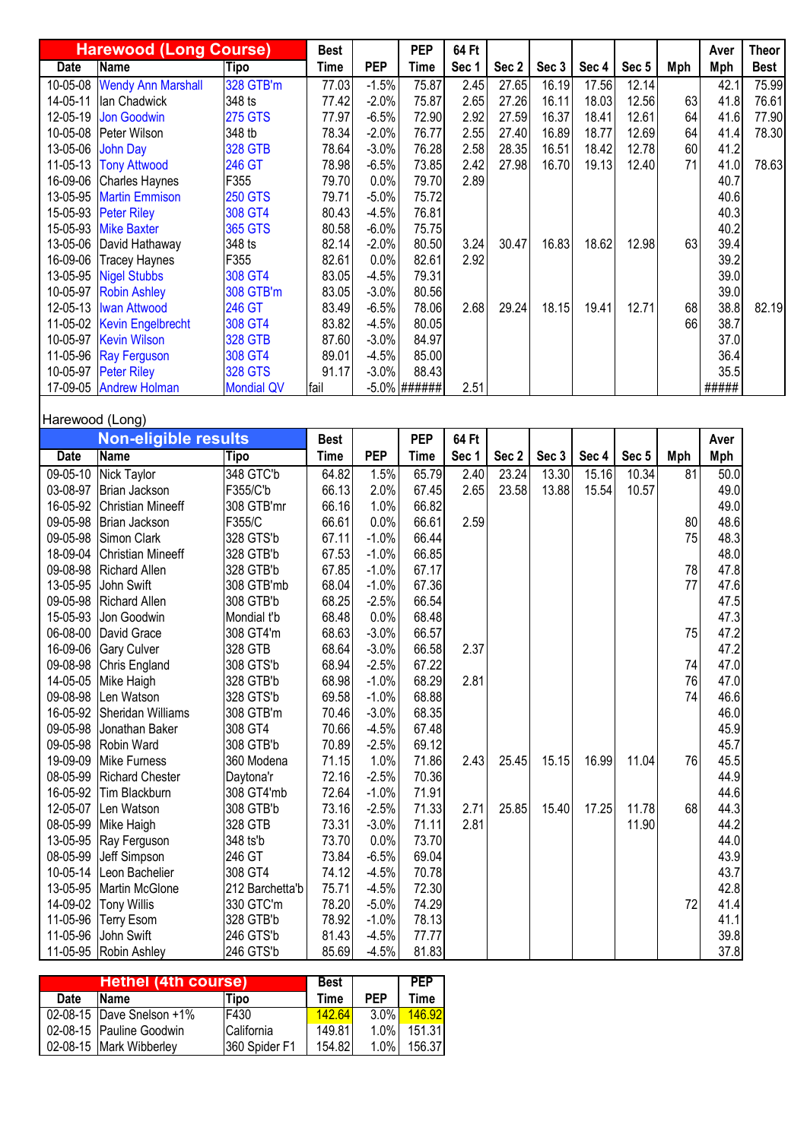|          | <b>Harewood (Long Course)</b> |                   | <b>Best</b> |            | <b>PEP</b>      | 64 Ft |       |       |       |       |     | Aver  | Theor       |
|----------|-------------------------------|-------------------|-------------|------------|-----------------|-------|-------|-------|-------|-------|-----|-------|-------------|
| Date     | <b>Name</b>                   | Tipo              | Time        | <b>PEP</b> | Time            | Sec 1 | Sec 2 | Sec 3 | Sec 4 | Sec 5 | Mph | Mph   | <b>Best</b> |
| 10-05-08 | <b>Wendy Ann Marshall</b>     | 328 GTB'm         | 77.03       | $-1.5%$    | 75.87           | 2.45  | 27.65 | 16.19 | 17.56 | 12.14 |     | 42.1  | 75.99       |
| 14-05-11 | Ian Chadwick                  | 348 ts            | 77.42       | $-2.0%$    | 75.87           | 2.65  | 27.26 | 16.11 | 18.03 | 12.56 | 63  | 41.8  | 76.61       |
| 12-05-19 | <b>Jon Goodwin</b>            | <b>275 GTS</b>    | 77.97       | $-6.5%$    | 72.90           | 2.92  | 27.59 | 16.37 | 18.41 | 12.61 | 64  | 41.6  | 77.90       |
| 10-05-08 | Peter Wilson                  | 348 tb            | 78.34       | $-2.0%$    | 76.77           | 2.55  | 27.40 | 16.89 | 18.77 | 12.69 | 64  | 41.4  | 78.30       |
| 13-05-06 | John Day                      | <b>328 GTB</b>    | 78.64       | $-3.0%$    | 76.28           | 2.58  | 28.35 | 16.51 | 18.42 | 12.78 | 60  | 41.2  |             |
| 11-05-13 | <b>Tony Attwood</b>           | <b>246 GT</b>     | 78.98       | $-6.5%$    | 73.85           | 2.42  | 27.98 | 16.70 | 19.13 | 12.40 | 71  | 41.0  | 78.63       |
| 16-09-06 | <b>Charles Haynes</b>         | F355              | 79.70       | 0.0%       | 79.70           | 2.89  |       |       |       |       |     | 40.7  |             |
| 13-05-95 | <b>Martin Emmison</b>         | <b>250 GTS</b>    | 79.71       | $-5.0%$    | 75.72           |       |       |       |       |       |     | 40.6  |             |
| 15-05-93 | <b>Peter Riley</b>            | 308 GT4           | 80.43       | $-4.5%$    | 76.81           |       |       |       |       |       |     | 40.3  |             |
|          | 15-05-93 Mike Baxter          | <b>365 GTS</b>    | 80.58       | $-6.0%$    | 75.75           |       |       |       |       |       |     | 40.2  |             |
| 13-05-06 | David Hathaway                | 348 ts            | 82.14       | $-2.0%$    | 80.50           | 3.24  | 30.47 | 16.83 | 18.62 | 12.98 | 63  | 39.4  |             |
| 16-09-06 | <b>Tracey Haynes</b>          | F355              | 82.61       | 0.0%       | 82.61           | 2.92  |       |       |       |       |     | 39.2  |             |
|          | 13-05-95 Nigel Stubbs         | 308 GT4           | 83.05       | $-4.5%$    | 79.31           |       |       |       |       |       |     | 39.0  |             |
| 10-05-97 | <b>Robin Ashley</b>           | 308 GTB'm         | 83.05       | $-3.0%$    | 80.56           |       |       |       |       |       |     | 39.0  |             |
|          | 12-05-13   Iwan Attwood       | 246 GT            | 83.49       | $-6.5%$    | 78.06           | 2.68  | 29.24 | 18.15 | 19.41 | 12.71 | 68  | 38.8  | 82.19       |
|          | 11-05-02 Kevin Engelbrecht    | 308 GT4           | 83.82       | $-4.5%$    | 80.05           |       |       |       |       |       | 66  | 38.7  |             |
|          | 10-05-97 Kevin Wilson         | <b>328 GTB</b>    | 87.60       | $-3.0%$    | 84.97           |       |       |       |       |       |     | 37.0  |             |
|          | 11-05-96 Ray Ferguson         | 308 GT4           | 89.01       | $-4.5%$    | 85.00           |       |       |       |       |       |     | 36.4  |             |
|          | 10-05-97 Peter Riley          | <b>328 GTS</b>    | 91.17       | $-3.0%$    | 88.43           |       |       |       |       |       |     | 35.5  |             |
|          | 17-09-05 Andrew Holman        | <b>Mondial QV</b> | fail        |            | $-5.0\%$ ###### | 2.51  |       |       |       |       |     | ##### |             |

## Harewood (Long)

|             | <b>Non-eligible results</b> |                 | <b>Best</b> |            | <b>PEP</b>  | 64 Ft |       |       |       |       |     | Aver |
|-------------|-----------------------------|-----------------|-------------|------------|-------------|-------|-------|-------|-------|-------|-----|------|
| <b>Date</b> | Name                        | <b>Tipo</b>     | <b>Time</b> | <b>PEP</b> | <b>Time</b> | Sec 1 | Sec 2 | Sec 3 | Sec 4 | Sec 5 | Mph | Mph  |
| 09-05-10    | Nick Taylor                 | 348 GTC'b       | 64.82       | 1.5%       | 65.79       | 2.40  | 23.24 | 13.30 | 15.16 | 10.34 | 81  | 50.0 |
| 03-08-97    | Brian Jackson               | F355/C'b        | 66.13       | 2.0%       | 67.45       | 2.65  | 23.58 | 13.88 | 15.54 | 10.57 |     | 49.0 |
| 16-05-92    | <b>Christian Mineeff</b>    | 308 GTB'mr      | 66.16       | 1.0%       | 66.82       |       |       |       |       |       |     | 49.0 |
| 09-05-98    | Brian Jackson               | F355/C          | 66.61       | 0.0%       | 66.61       | 2.59  |       |       |       |       | 80  | 48.6 |
| 09-05-98    | Simon Clark                 | 328 GTS'b       | 67.11       | $-1.0%$    | 66.44       |       |       |       |       |       | 75  | 48.3 |
| 18-09-04    | <b>Christian Mineeff</b>    | 328 GTB'b       | 67.53       | $-1.0%$    | 66.85       |       |       |       |       |       |     | 48.0 |
| 09-08-98    | <b>Richard Allen</b>        | 328 GTB'b       | 67.85       | $-1.0%$    | 67.17       |       |       |       |       |       | 78  | 47.8 |
| 13-05-95    | John Swift                  | 308 GTB'mb      | 68.04       | $-1.0%$    | 67.36       |       |       |       |       |       | 77  | 47.6 |
| 09-05-98    | Richard Allen               | 308 GTB'b       | 68.25       | $-2.5%$    | 66.54       |       |       |       |       |       |     | 47.5 |
| 15-05-93    | Jon Goodwin                 | Mondial t'b     | 68.48       | 0.0%       | 68.48       |       |       |       |       |       |     | 47.3 |
| 06-08-00    | David Grace                 | 308 GT4'm       | 68.63       | $-3.0%$    | 66.57       |       |       |       |       |       | 75  | 47.2 |
| 16-09-06    | <b>Gary Culver</b>          | 328 GTB         | 68.64       | $-3.0%$    | 66.58       | 2.37  |       |       |       |       |     | 47.2 |
| 09-08-98    | Chris England               | 308 GTS'b       | 68.94       | $-2.5%$    | 67.22       |       |       |       |       |       | 74  | 47.0 |
| 14-05-05    | Mike Haigh                  | 328 GTB'b       | 68.98       | $-1.0%$    | 68.29       | 2.81  |       |       |       |       | 76  | 47.0 |
| 09-08-98    | Len Watson                  | 328 GTS'b       | 69.58       | $-1.0%$    | 68.88       |       |       |       |       |       | 74  | 46.6 |
| 16-05-92    | Sheridan Williams           | 308 GTB'm       | 70.46       | $-3.0%$    | 68.35       |       |       |       |       |       |     | 46.0 |
| 09-05-98    | Jonathan Baker              | 308 GT4         | 70.66       | $-4.5%$    | 67.48       |       |       |       |       |       |     | 45.9 |
| 09-05-98    | Robin Ward                  | 308 GTB'b       | 70.89       | $-2.5%$    | 69.12       |       |       |       |       |       |     | 45.7 |
| 19-09-09    | Mike Furness                | 360 Modena      | 71.15       | 1.0%       | 71.86       | 2.43  | 25.45 | 15.15 | 16.99 | 11.04 | 76  | 45.5 |
| 08-05-99    | Richard Chester             | Daytona'r       | 72.16       | $-2.5%$    | 70.36       |       |       |       |       |       |     | 44.9 |
| 16-05-92    | Tim Blackburn               | 308 GT4'mb      | 72.64       | $-1.0%$    | 71.91       |       |       |       |       |       |     | 44.6 |
| 12-05-07    | Len Watson                  | 308 GTB'b       | 73.16       | $-2.5%$    | 71.33       | 2.71  | 25.85 | 15.40 | 17.25 | 11.78 | 68  | 44.3 |
| 08-05-99    | Mike Haigh                  | 328 GTB         | 73.31       | $-3.0%$    | 71.11       | 2.81  |       |       |       | 11.90 |     | 44.2 |
| 13-05-95    | Ray Ferguson                | 348 ts'b        | 73.70       | 0.0%       | 73.70       |       |       |       |       |       |     | 44.0 |
| 08-05-99    | Jeff Simpson                | 246 GT          | 73.84       | $-6.5%$    | 69.04       |       |       |       |       |       |     | 43.9 |
| 10-05-14    | Leon Bachelier              | 308 GT4         | 74.12       | $-4.5%$    | 70.78       |       |       |       |       |       |     | 43.7 |
| 13-05-95    | Martin McGlone              | 212 Barchetta'b | 75.71       | $-4.5%$    | 72.30       |       |       |       |       |       |     | 42.8 |
| 14-09-02    | <b>Tony Willis</b>          | 330 GTC'm       | 78.20       | $-5.0%$    | 74.29       |       |       |       |       |       | 72  | 41.4 |
| 11-05-96    | <b>Terry Esom</b>           | 328 GTB'b       | 78.92       | $-1.0%$    | 78.13       |       |       |       |       |       |     | 41.1 |
| 11-05-96    | John Swift                  | 246 GTS'b       | 81.43       | $-4.5%$    | 77.77       |       |       |       |       |       |     | 39.8 |
|             | 11-05-95 Robin Ashley       | 246 GTS'b       | 85.69       | $-4.5%$    | 81.83       |       |       |       |       |       |     | 37.8 |

|      | <b>Hethel (4th course)</b> |               | <b>Best</b> |            | <b>PEP</b> |
|------|----------------------------|---------------|-------------|------------|------------|
| Date | Name                       | Tipo          | Time        | <b>PFP</b> | Time       |
|      | 02-08-15 Dave Snelson +1%  | F430          | 142.64      | $3.0\%$    | 146.92     |
|      | 02-08-15 Pauline Goodwin   | California    | 149.81      | 1.0%       | 151.31     |
|      | 02-08-15 Mark Wibberley    | 360 Spider F1 | 154.82      | $1.0\%$    | 156.37     |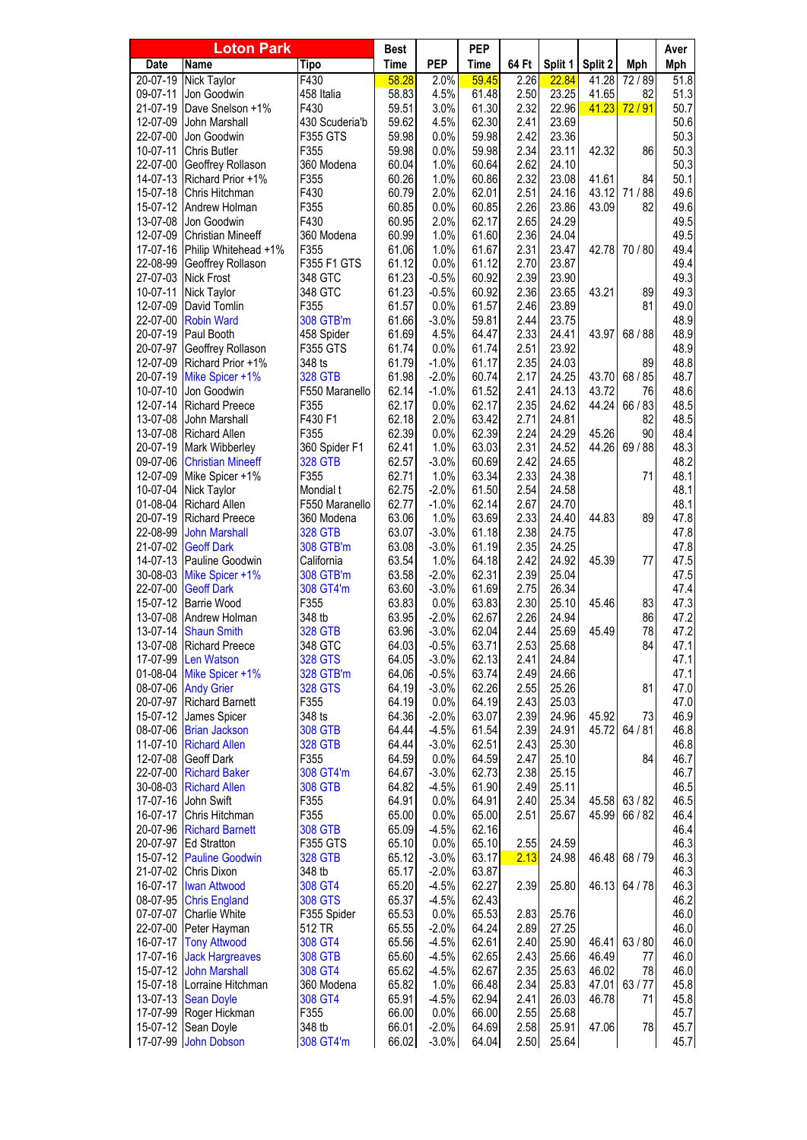|                      | <b>Loton Park</b>                      |                                 | <b>Best</b>    |                    | <b>PEP</b>     |              |                |         |             | Aver         |
|----------------------|----------------------------------------|---------------------------------|----------------|--------------------|----------------|--------------|----------------|---------|-------------|--------------|
| <b>Date</b>          | Name                                   | Tipo                            | <b>Time</b>    | <b>PEP</b>         | <b>Time</b>    | 64 Ft        | Split 1        | Split 2 | Mph         | Mph          |
| $20 - 07 - 19$       | <b>Nick Taylor</b>                     | F430                            | 58.28          | 2.0%               | 59.45          | 2.26         | 22.84          | 41.28   | 72/89       | 51.8         |
| 09-07-11             | Jon Goodwin                            | 458 Italia                      | 58.83          | 4.5%               | 61.48          | 2.50         | 23.25          | 41.65   | 82          | 51.3         |
| 21-07-19             | Dave Snelson +1%                       | F430                            | 59.51          | 3.0%               | 61.30          | 2.32         | 22.96          | 41.23   | 72/91       | 50.7         |
| 12-07-09             | John Marshall                          | 430 Scuderia'b                  | 59.62          | 4.5%               | 62.30          | 2.41         | 23.69          |         |             | 50.6         |
| 22-07-00             | Jon Goodwin                            | F355 GTS                        | 59.98          | 0.0%               | 59.98          | 2.42         | 23.36          |         |             | 50.3         |
| 10-07-11             | <b>Chris Butler</b>                    | F355                            | 59.98          | 0.0%               | 59.98          | 2.34         | 23.11          | 42.32   | 86          | 50.3         |
| 22-07-00             | Geoffrey Rollason<br>Richard Prior +1% | 360 Modena                      | 60.04          | 1.0%               | 60.64          | 2.62         | 24.10          | 41.61   | 84          | 50.3<br>50.1 |
| 14-07-13<br>15-07-18 | Chris Hitchman                         | F355<br>F430                    | 60.26<br>60.79 | 1.0%<br>2.0%       | 60.86<br>62.01 | 2.32<br>2.51 | 23.08<br>24.16 | 43.12   | 71/88       | 49.6         |
| 15-07-12             | Andrew Holman                          | F355                            | 60.85          | 0.0%               | 60.85          | 2.26         | 23.86          | 43.09   | 82          | 49.6         |
| 13-07-08             | Jon Goodwin                            | F430                            | 60.95          | 2.0%               | 62.17          | 2.65         | 24.29          |         |             | 49.5         |
| 12-07-09             | <b>Christian Mineeff</b>               | 360 Modena                      | 60.99          | 1.0%               | 61.60          | 2.36         | 24.04          |         |             | 49.5         |
| 17-07-16             | Philip Whitehead +1%                   | F355                            | 61.06          | 1.0%               | 61.67          | 2.31         | 23.47          | 42.78   | 70/80       | 49.4         |
| 22-08-99             | Geoffrey Rollason                      | F355 F1 GTS                     | 61.12          | 0.0%               | 61.12          | 2.70         | 23.87          |         |             | 49.4         |
| 27-07-03             | <b>Nick Frost</b>                      | 348 GTC                         | 61.23          | $-0.5%$            | 60.92          | 2.39         | 23.90          |         |             | 49.3         |
| 10-07-11             | Nick Taylor                            | 348 GTC                         | 61.23          | $-0.5%$            | 60.92          | 2.36         | 23.65          | 43.21   | 89          | 49.3         |
| 12-07-09             | David Tomlin                           | F355                            | 61.57          | 0.0%               | 61.57          | 2.46         | 23.89          |         | 81          | 49.0         |
| 22-07-00             | <b>Robin Ward</b>                      | 308 GTB'm                       | 61.66          | $-3.0%$            | 59.81          | 2.44         | 23.75          |         |             | 48.9         |
| 20-07-19             | Paul Booth                             | 458 Spider                      | 61.69          | 4.5%               | 64.47          | 2.33         | 24.41          | 43.97   | 68 / 88     | 48.9         |
| 20-07-97             | Geoffrey Rollason                      | F355 GTS                        | 61.74          | 0.0%               | 61.74          | 2.51         | 23.92          |         |             | 48.9         |
| 12-07-09             | Richard Prior +1%                      | 348 ts                          | 61.79          | $-1.0%$            | 61.17          | 2.35         | 24.03          |         | 89          | 48.8         |
| 20-07-19             | Mike Spicer +1%                        | <b>328 GTB</b>                  | 61.98          | $-2.0%$            | 60.74          | 2.17         | 24.25          | 43.70   | 68 / 85     | 48.7         |
| 10-07-10             | Jon Goodwin                            | F550 Maranello                  | 62.14          | $-1.0%$            | 61.52          | 2.41         | 24.13          | 43.72   | 76          | 48.6         |
| 12-07-14             | <b>Richard Preece</b>                  | F355                            | 62.17          | 0.0%               | 62.17          | 2.35         | 24.62          | 44.24   | 66 / 83     | 48.5         |
| 13-07-08             | John Marshall                          | F430 F1                         | 62.18          | 2.0%               | 63.42          | 2.71         | 24.81          |         | 82          | 48.5         |
| 13-07-08             | <b>Richard Allen</b><br>Mark Wibberley | F355                            | 62.39<br>62.41 | 0.0%<br>1.0%       | 62.39<br>63.03 | 2.24<br>2.31 | 24.29          | 45.26   | 90<br>69/88 | 48.4<br>48.3 |
| 20-07-19<br>09-07-06 | <b>Christian Mineeff</b>               | 360 Spider F1<br><b>328 GTB</b> | 62.57          | $-3.0%$            | 60.69          | 2.42         | 24.52<br>24.65 | 44.26   |             | 48.2         |
|                      | 12-07-09 Mike Spicer +1%               | F355                            | 62.71          | 1.0%               | 63.34          | 2.33         | 24.38          |         | 71          | 48.1         |
| 10-07-04             | Nick Taylor                            | Mondial t                       | 62.75          | $-2.0%$            | 61.50          | 2.54         | 24.58          |         |             | 48.1         |
| 01-08-04             | Richard Allen                          | F550 Maranello                  | 62.77          | $-1.0%$            | 62.14          | 2.67         | 24.70          |         |             | 48.1         |
| 20-07-19             | <b>Richard Preece</b>                  | 360 Modena                      | 63.06          | 1.0%               | 63.69          | 2.33         | 24.40          | 44.83   | 89          | 47.8         |
| 22-08-99             | <b>John Marshall</b>                   | <b>328 GTB</b>                  | 63.07          | $-3.0%$            | 61.18          | 2.38         | 24.75          |         |             | 47.8         |
| 21-07-02             | <b>Geoff Dark</b>                      | 308 GTB'm                       | 63.08          | $-3.0%$            | 61.19          | 2.35         | 24.25          |         |             | 47.8         |
| 14-07-13             | Pauline Goodwin                        | California                      | 63.54          | 1.0%               | 64.18          | 2.42         | 24.92          | 45.39   | 77          | 47.5         |
| 30-08-03             | Mike Spicer +1%                        | 308 GTB'm                       | 63.58          | $-2.0%$            | 62.31          | 2.39         | 25.04          |         |             | 47.5         |
| 22-07-00             | <b>Geoff Dark</b>                      | 308 GT4'm                       | 63.60          | $-3.0%$            | 61.69          | 2.75         | 26.34          |         |             | 47.4         |
| 15-07-12             | <b>Barrie Wood</b>                     | F355                            | 63.83          | 0.0%               | 63.83          | 2.30         | 25.10          | 45.46   | 83          | 47.3         |
| 13-07-08             | Andrew Holman                          | 348 tb                          | 63.95          | $-2.0%$            | 62.67          | 2.26         | 24.94          |         | 86          | 47.2         |
| 13-07-14             | <b>Shaun Smith</b>                     | <b>328 GTB</b>                  | 63.96          | $-3.0%$            | 62.04          | 2.44         | 25.69          | 45.49   | 78          | 47.2         |
| 13-07-08             | Richard Preece                         | 348 GTC                         | 64.03          | $-0.5%$            | 63.71          | 2.53         | 25.68          |         | 84          | 47.1         |
| 17-07-99<br>01-08-04 | Len Watson                             | <b>328 GTS</b><br>328 GTB'm     | 64.05<br>64.06 | $-3.0%$<br>$-0.5%$ | 62.13<br>63.74 | 2.41<br>2.49 | 24.84<br>24.66 |         |             | 47.1<br>47.1 |
| 08-07-06             | Mike Spicer +1%<br><b>Andy Grier</b>   | <b>328 GTS</b>                  | 64.19          | $-3.0%$            | 62.26          | 2.55         | 25.26          |         | 81          | 47.0         |
|                      | 20-07-97 Richard Barnett               | F355                            | 64.19          | 0.0%               | 64.19          | 2.43         | 25.03          |         |             | 47.0         |
| 15-07-12             | James Spicer                           | 348 ts                          | 64.36          | $-2.0%$            | 63.07          | 2.39         | 24.96          | 45.92   | 73          | 46.9         |
| 08-07-06             | <b>Brian Jackson</b>                   | <b>308 GTB</b>                  | 64.44          | $-4.5%$            | 61.54          | 2.39         | 24.91          | 45.72   | 64/81       | 46.8         |
| 11-07-10             | <b>Richard Allen</b>                   | <b>328 GTB</b>                  | 64.44          | $-3.0%$            | 62.51          | 2.43         | 25.30          |         |             | 46.8         |
| 12-07-08             | Geoff Dark                             | F355                            | 64.59          | 0.0%               | 64.59          | 2.47         | 25.10          |         | 84          | 46.7         |
| 22-07-00             | <b>Richard Baker</b>                   | 308 GT4'm                       | 64.67          | $-3.0%$            | 62.73          | 2.38         | 25.15          |         |             | 46.7         |
| 30-08-03             | <b>Richard Allen</b>                   | <b>308 GTB</b>                  | 64.82          | $-4.5%$            | 61.90          | 2.49         | 25.11          |         |             | 46.5         |
| 17-07-16             | John Swift                             | F355                            | 64.91          | 0.0%               | 64.91          | 2.40         | 25.34          | 45.58   | 63/82       | 46.5         |
| 16-07-17             | Chris Hitchman                         | F355                            | 65.00          | 0.0%               | 65.00          | 2.51         | 25.67          | 45.99   | 66 / 82     | 46.4         |
| 20-07-96             | <b>Richard Barnett</b>                 | <b>308 GTB</b>                  | 65.09          | $-4.5%$            | 62.16          |              |                |         |             | 46.4         |
| 20-07-97             | <b>Ed Stratton</b>                     | F355 GTS                        | 65.10          | 0.0%               | 65.10          | 2.55         | 24.59          |         |             | 46.3         |
|                      | 15-07-12 Pauline Goodwin               | <b>328 GTB</b>                  | 65.12          | $-3.0%$            | 63.17          | 2.13         | 24.98          | 46.48   | 68 / 79     | 46.3         |
| 21-07-02             | Chris Dixon                            | 348 tb                          | 65.17          | $-2.0%$            | 63.87          |              |                |         |             | 46.3         |
| 16-07-17             | <b>Iwan Attwood</b>                    | 308 GT4                         | 65.20          | $-4.5%$            | 62.27          | 2.39         | 25.80          | 46.13   | 64 / 78     | 46.3         |
| 08-07-95             | <b>Chris England</b>                   | <b>308 GTS</b>                  | 65.37          | $-4.5%$            | 62.43          |              |                |         |             | 46.2         |
| 07-07-07             | Charlie White                          | F355 Spider                     | 65.53          | 0.0%               | 65.53          | 2.83         | 25.76          |         |             | 46.0         |
| 22-07-00             | Peter Hayman<br><b>Tony Attwood</b>    | 512 TR                          | 65.55          | $-2.0%$<br>$-4.5%$ | 64.24<br>62.61 | 2.89         | 27.25<br>25.90 | 46.41   | 63/80       | 46.0<br>46.0 |
| 16-07-17<br>17-07-16 | <b>Jack Hargreaves</b>                 | 308 GT4<br>308 GTB              | 65.56<br>65.60 | $-4.5%$            | 62.65          | 2.40<br>2.43 | 25.66          | 46.49   | 77          | 46.0         |
| 15-07-12             | <b>John Marshall</b>                   | 308 GT4                         | 65.62          | $-4.5%$            | 62.67          | 2.35         | 25.63          | 46.02   | 78          | 46.0         |
| 15-07-18             | Lorraine Hitchman                      | 360 Modena                      | 65.82          | 1.0%               | 66.48          | 2.34         | 25.83          | 47.01   | 63/77       | 45.8         |
| 13-07-13             | <b>Sean Doyle</b>                      | 308 GT4                         | 65.91          | $-4.5%$            | 62.94          | 2.41         | 26.03          | 46.78   | 71          | 45.8         |
| 17-07-99             | Roger Hickman                          | F355                            | 66.00          | 0.0%               | 66.00          | 2.55         | 25.68          |         |             | 45.7         |
| 15-07-12             | Sean Doyle                             | 348 tb                          | 66.01          | $-2.0%$            | 64.69          | 2.58         | 25.91          | 47.06   | 78          | 45.7         |
| 17-07-99             | John Dobson                            | 308 GT4'm                       | 66.02          | $-3.0%$            | 64.04          | 2.50         | 25.64          |         |             | 45.7         |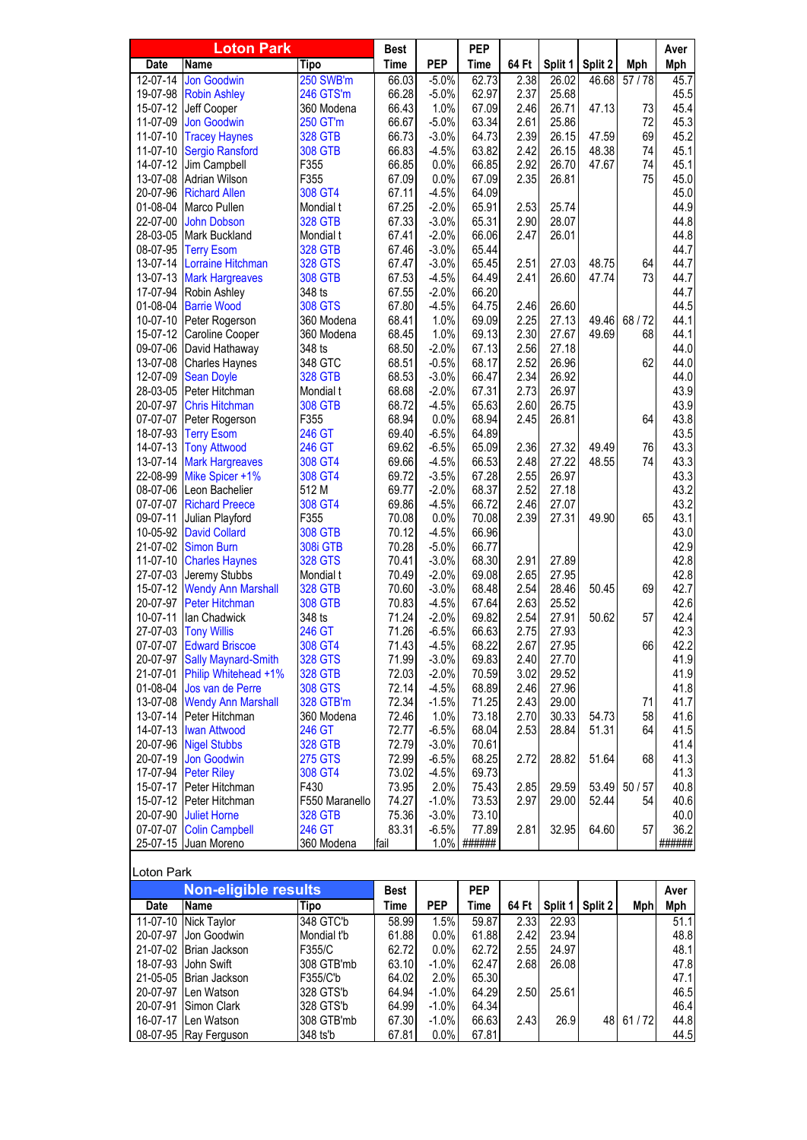|                      | <b>Loton Park</b>                    |                          | <b>Best</b>    |                    | <b>PEP</b>      |              |                |         |       | Aver         |
|----------------------|--------------------------------------|--------------------------|----------------|--------------------|-----------------|--------------|----------------|---------|-------|--------------|
| <b>Date</b>          | <b>Name</b>                          | <b>Tipo</b>              | <b>Time</b>    | <b>PEP</b>         | <b>Time</b>     | 64 Ft        | Split 1        | Split 2 | Mph   | Mph          |
| 12-07-14             | <b>Jon Goodwin</b>                   | <b>250 SWB'm</b>         | 66.03          | $-5.0%$            | 62.73           | 2.38         | 26.02          | 46.68   | 57/78 | 45.7         |
| 19-07-98             | <b>Robin Ashley</b>                  | 246 GTS'm                | 66.28          | $-5.0%$            | 62.97           | 2.37         | 25.68          |         |       | 45.5         |
| 15-07-12             | Jeff Cooper                          | 360 Modena               | 66.43          | 1.0%               | 67.09           | 2.46         | 26.71          | 47.13   | 73    | 45.4         |
| 11-07-09             | <b>Jon Goodwin</b>                   | 250 GT'm                 | 66.67          | $-5.0%$            | 63.34           | 2.61         | 25.86          |         | 72    | 45.3         |
| 11-07-10             | <b>Tracey Haynes</b>                 | <b>328 GTB</b>           | 66.73          | $-3.0%$            | 64.73           | 2.39         | 26.15          | 47.59   | 69    | 45.2         |
| 11-07-10             | <b>Sergio Ransford</b>               | <b>308 GTB</b>           | 66.83          | $-4.5%$            | 63.82           | 2.42         | 26.15          | 48.38   | 74    | 45.1         |
| 14-07-12             | Jim Campbell                         | F355                     | 66.85          | 0.0%               | 66.85           | 2.92         | 26.70          | 47.67   | 74    | 45.1         |
| 13-07-08             | Adrian Wilson                        | F355                     | 67.09          | 0.0%               | 67.09           | 2.35         | 26.81          |         | 75    | 45.0         |
| 20-07-96             | <b>Richard Allen</b>                 | 308 GT4                  | 67.11          | $-4.5%$            | 64.09           |              |                |         |       | 45.0         |
| 01-08-04             | Marco Pullen                         | Mondial t                | 67.25          | $-2.0%$            | 65.91           | 2.53         | 25.74          |         |       | 44.9         |
| 22-07-00             | <b>John Dobson</b>                   | <b>328 GTB</b>           | 67.33          | $-3.0%$            | 65.31           | 2.90         | 28.07          |         |       | 44.8         |
| 28-03-05             | Mark Buckland                        | Mondial t                | 67.41          | $-2.0%$            | 66.06           | 2.47         | 26.01          |         |       | 44.8         |
| 08-07-95             | <b>Terry Esom</b>                    | <b>328 GTB</b>           | 67.46          | $-3.0%$            | 65.44           |              |                |         |       | 44.7         |
| 13-07-14             | Lorraine Hitchman                    | <b>328 GTS</b>           | 67.47          | $-3.0%$            | 65.45           | 2.51         | 27.03          | 48.75   | 64    | 44.7<br>44.7 |
| 13-07-13<br>17-07-94 | <b>Mark Hargreaves</b>               | <b>308 GTB</b><br>348 ts | 67.53<br>67.55 | $-4.5%$<br>$-2.0%$ | 64.49<br>66.20  | 2.41         | 26.60          | 47.74   | 73    | 44.7         |
| 01-08-04             | Robin Ashley                         | <b>308 GTS</b>           |                | $-4.5%$            | 64.75           |              |                |         |       | 44.5         |
| 10-07-10             | <b>Barrie Wood</b><br>Peter Rogerson | 360 Modena               | 67.80<br>68.41 | 1.0%               | 69.09           | 2.46<br>2.25 | 26.60<br>27.13 | 49.46   | 68/72 | 44.1         |
| 15-07-12             | Caroline Cooper                      | 360 Modena               | 68.45          | 1.0%               | 69.13           | 2.30         | 27.67          | 49.69   | 68    | 44.1         |
| 09-07-06             | David Hathaway                       | 348 ts                   | 68.50          | $-2.0%$            | 67.13           | 2.56         | 27.18          |         |       | 44.0         |
| 13-07-08             | <b>Charles Haynes</b>                | 348 GTC                  | 68.51          | $-0.5%$            | 68.17           | 2.52         | 26.96          |         | 62    | 44.0         |
| 12-07-09             | <b>Sean Doyle</b>                    | <b>328 GTB</b>           | 68.53          | $-3.0%$            | 66.47           | 2.34         | 26.92          |         |       | 44.0         |
| 28-03-05             | Peter Hitchman                       | Mondial t                | 68.68          | $-2.0%$            | 67.31           | 2.73         | 26.97          |         |       | 43.9         |
| 20-07-97             | <b>Chris Hitchman</b>                | <b>308 GTB</b>           | 68.72          | $-4.5%$            | 65.63           | 2.60         | 26.75          |         |       | 43.9         |
| 07-07-07             | Peter Rogerson                       | F355                     | 68.94          | 0.0%               | 68.94           | 2.45         | 26.81          |         | 64    | 43.8         |
| 18-07-93             | <b>Terry Esom</b>                    | 246 GT                   | 69.40          | $-6.5%$            | 64.89           |              |                |         |       | 43.5         |
| 14-07-13             | <b>Tony Attwood</b>                  | 246 GT                   | 69.62          | $-6.5%$            | 65.09           | 2.36         | 27.32          | 49.49   | 76    | 43.3         |
| 13-07-14             | <b>Mark Hargreaves</b>               | 308 GT4                  | 69.66          | $-4.5%$            | 66.53           | 2.48         | 27.22          | 48.55   | 74    | 43.3         |
| 22-08-99             | Mike Spicer +1%                      | 308 GT4                  | 69.72          | $-3.5%$            | 67.28           | 2.55         | 26.97          |         |       | 43.3         |
|                      | 08-07-06 Leon Bachelier              | 512 M                    | 69.77          | $-2.0%$            | 68.37           | 2.52         | 27.18          |         |       | 43.2         |
| 07-07-07             | <b>Richard Preece</b>                | 308 GT4                  | 69.86          | $-4.5%$            | 66.72           | 2.46         | 27.07          |         |       | 43.2         |
| 09-07-11             | Julian Playford                      | F355                     | 70.08          | 0.0%               | 70.08           | 2.39         | 27.31          | 49.90   | 65    | 43.1         |
| 10-05-92             | <b>David Collard</b>                 | <b>308 GTB</b>           | 70.12          | $-4.5%$            | 66.96           |              |                |         |       | 43.0         |
| 21-07-02             | <b>Simon Burn</b>                    | <b>308i GTB</b>          | 70.28          | $-5.0%$            | 66.77           |              |                |         |       | 42.9         |
| 11-07-10             | <b>Charles Haynes</b>                | <b>328 GTS</b>           | 70.41          | $-3.0%$            | 68.30           | 2.91         | 27.89          |         |       | 42.8         |
| 27-07-03             | Jeremy Stubbs                        | Mondial t                | 70.49          | $-2.0%$            | 69.08           | 2.65         | 27.95          |         |       | 42.8         |
| 15-07-12             | <b>Wendy Ann Marshall</b>            | <b>328 GTB</b>           | 70.60          | $-3.0%$            | 68.48           | 2.54         | 28.46          | 50.45   | 69    | 42.7         |
| 20-07-97             | Peter Hitchman                       | <b>308 GTB</b>           | 70.83          | $-4.5%$            | 67.64           | 2.63         | 25.52          |         |       | 42.6         |
| 10-07-11             | lan Chadwick                         | 348 ts                   | 71.24          | $-2.0%$            | 69.82           | 2.54         | 27.91          | 50.62   | 57    | 42.4         |
| 27-07-03             | <b>Tony Willis</b>                   | 246 GT                   | 71.26          | $-6.5%$            | 66.63           | 2.75         | 27.93          |         |       | 42.3         |
| 07-07-07             | <b>Edward Briscoe</b>                | 308 GT4                  | 71.43          | $-4.5%$            | 68.22           | 2.67         | 27.95          |         | 66    | 42.2         |
| 20-07-97             | <b>Sally Maynard-Smith</b>           | <b>328 GTS</b>           | 71.99          | $-3.0%$            | 69.83           | 2.40         | 27.70          |         |       | 41.9         |
| 21-07-01             | Philip Whitehead +1%                 | <b>328 GTB</b>           | 72.03          | $-2.0%$            | 70.59           | 3.02         | 29.52          |         |       | 41.9         |
| 01-08-04             | Jos van de Perre                     | 308 GTS                  | 72.14          | $-4.5%$            | 68.89           | 2.46         | 27.96          |         |       | 41.8         |
| 13-07-08             | <b>Wendy Ann Marshall</b>            | 328 GTB'm                | 72.34          | $-1.5%$            | 71.25           | 2.43         | 29.00          |         | 71    | 41.7         |
| 13-07-14             | Peter Hitchman                       | 360 Modena               | 72.46          | 1.0%               | 73.18           | 2.70         | 30.33          | 54.73   | 58    | 41.6         |
| 14-07-13             | <b>Iwan Attwood</b>                  | 246 GT                   | 72.77          | $-6.5%$            | 68.04           | 2.53         | 28.84          | 51.31   | 64    | 41.5         |
| 20-07-96             | <b>Nigel Stubbs</b>                  | <b>328 GTB</b>           | 72.79          | $-3.0%$            | 70.61           |              |                |         |       | 41.4         |
| 20-07-19             | <b>Jon Goodwin</b>                   | <b>275 GTS</b>           | 72.99          | $-6.5%$            | 68.25           | 2.72         | 28.82          | 51.64   | 68    | 41.3         |
| 17-07-94             | <b>Peter Riley</b>                   | 308 GT4                  | 73.02          | $-4.5%$            | 69.73           |              |                |         |       | 41.3         |
| 15-07-17             | Peter Hitchman                       | F430                     | 73.95          | 2.0%               | 75.43           | 2.85         | 29.59          | 53.49   | 50/57 | 40.8         |
| 15-07-12             | Peter Hitchman                       | F550 Maranello           | 74.27<br>75.36 | $-1.0%$            | 73.53           | 2.97         | 29.00          | 52.44   | 54    | 40.6         |
| 20-07-90<br>07-07-07 | <b>Juliet Horne</b>                  | <b>328 GTB</b><br>246 GT | 83.31          | $-3.0%$            | 73.10           |              | 32.95          | 64.60   |       | 40.0<br>36.2 |
| 25-07-15             | <b>Colin Campbell</b><br>Juan Moreno | 360 Modena               | fail           | $-6.5%$            | 77.89<br>###### | 2.81         |                |         | 57    | ######       |
|                      |                                      |                          |                | 1.0%               |                 |              |                |         |       |              |

| Loton Park  |                             |             |             |            |            |       |         |         |       |      |
|-------------|-----------------------------|-------------|-------------|------------|------------|-------|---------|---------|-------|------|
|             | <b>Non-eligible results</b> |             | <b>Best</b> |            | <b>PEP</b> |       |         |         |       | Aver |
| <b>Date</b> | Name                        | Tipo        | Time        | <b>PEP</b> | Time       | 64 Ft | Split 1 | Split 2 | Mphl  | Mph  |
|             | 11-07-10 Nick Taylor        | 348 GTC'b   | 58.99       | 1.5%       | 59.87      | 2.33  | 22.93   |         |       | 51.1 |
| 20-07-97    | Jon Goodwin                 | Mondial t'b | 61.88       | $0.0\%$    | 61.88      | 2.42  | 23.94   |         |       | 48.8 |
|             | 21-07-02 Brian Jackson      | F355/C      | 62.72       | $0.0\%$    | 62.72      | 2.55  | 24.97   |         |       | 48.1 |
|             | 18-07-93 John Swift         | 308 GTB'mb  | 63.10       | $-1.0\%$   | 62.47      | 2.68  | 26.08   |         |       | 47.8 |
|             | 21-05-05 Brian Jackson      | F355/C'b    | 64.02       | $2.0\%$    | 65.30      |       |         |         |       | 47.1 |
| 20-07-97    | Len Watson                  | 328 GTS'b   | 64.94       | $-1.0\%$   | 64.29      | 2.50  | 25.61   |         |       | 46.5 |
| 20-07-91    | Simon Clark                 | 328 GTS'b   | 64.99       | $-1.0\%$   | 64.34      |       |         |         |       | 46.4 |
| 16-07-17    | Len Watson                  | 308 GTB'mb  | 67.30       | $-1.0\%$   | 66.63      | 2.43  | 26.9    | 48      | 61/72 | 44.8 |
|             | 08-07-95 Ray Ferguson       | 348 ts'b    | 67.81       | $0.0\%$    | 67.81      |       |         |         |       | 44.5 |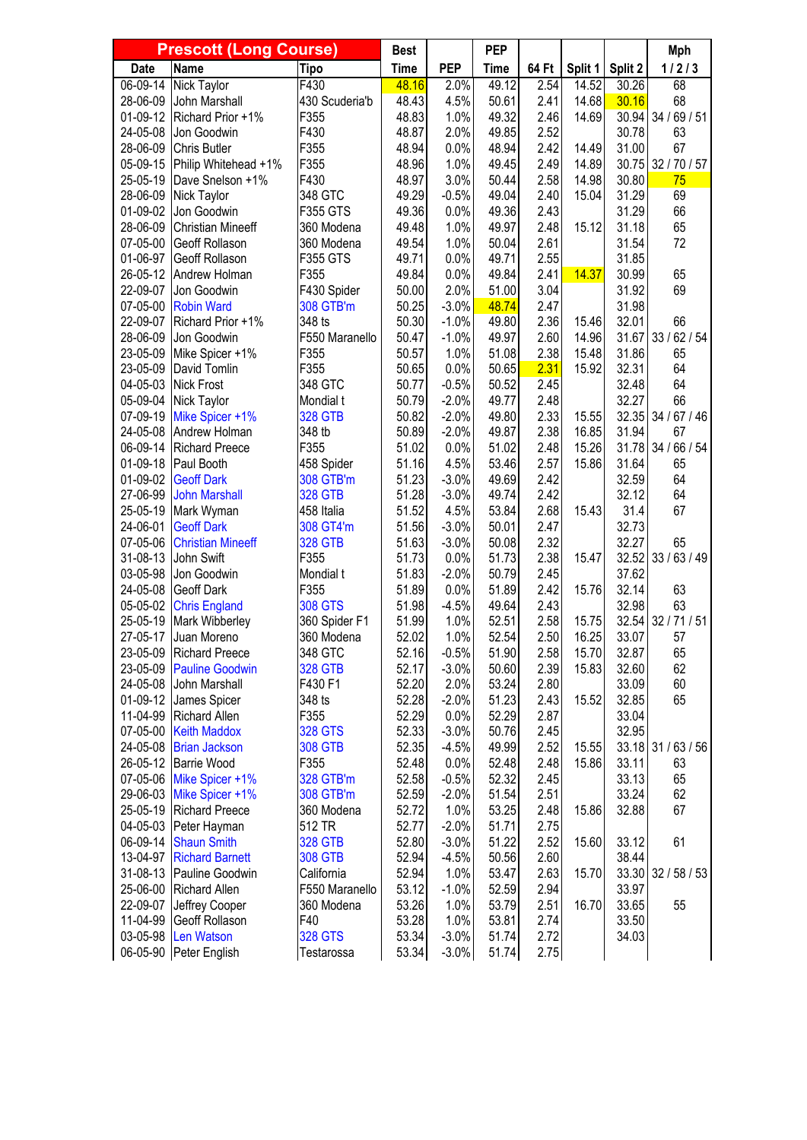|                      | <b>Prescott (Long Course)</b>           |                               | <b>Best</b>    |                 | <b>PEP</b>     |              |         |                | <b>Mph</b>         |
|----------------------|-----------------------------------------|-------------------------------|----------------|-----------------|----------------|--------------|---------|----------------|--------------------|
| <b>Date</b>          | <b>Name</b>                             | <b>Tipo</b>                   | <b>Time</b>    | <b>PEP</b>      | <b>Time</b>    | 64 Ft        | Split 1 | Split 2        | 1/2/3              |
| 06-09-14             | Nick Taylor                             | F430                          | 48.16          | 2.0%            | 49.12          | 2.54         | 14.52   | 30.26          | 68                 |
| 28-06-09             | John Marshall                           | 430 Scuderia'b                | 48.43          | 4.5%            | 50.61          | 2.41         | 14.68   | 30.16          | 68                 |
| 01-09-12             | Richard Prior +1%                       | F355                          | 48.83          | 1.0%            | 49.32          | 2.46         | 14.69   | 30.94          | 34/69/51           |
| 24-05-08             | Jon Goodwin                             | F430                          | 48.87          | 2.0%            | 49.85          | 2.52         |         | 30.78          | 63                 |
| 28-06-09             | <b>Chris Butler</b>                     | F355                          | 48.94          | 0.0%            | 48.94          | 2.42         | 14.49   | 31.00          | 67                 |
| 05-09-15             | Philip Whitehead +1%                    | F355                          | 48.96          | 1.0%            | 49.45          | 2.49         | 14.89   | 30.75          | 32 / 70 / 57       |
| 25-05-19             | Dave Snelson +1%                        | F430                          | 48.97          | 3.0%            | 50.44          | 2.58         | 14.98   | 30.80          | 75                 |
| 28-06-09<br>01-09-02 | Nick Taylor                             | 348 GTC                       | 49.29          | $-0.5%$<br>0.0% | 49.04          | 2.40<br>2.43 | 15.04   | 31.29<br>31.29 | 69                 |
| 28-06-09             | Jon Goodwin<br><b>Christian Mineeff</b> | <b>F355 GTS</b><br>360 Modena | 49.36<br>49.48 | 1.0%            | 49.36<br>49.97 | 2.48         | 15.12   | 31.18          | 66<br>65           |
| 07-05-00             | Geoff Rollason                          | 360 Modena                    | 49.54          | 1.0%            | 50.04          | 2.61         |         | 31.54          | 72                 |
| 01-06-97             | Geoff Rollason                          | <b>F355 GTS</b>               | 49.71          | 0.0%            | 49.71          | 2.55         |         | 31.85          |                    |
| 26-05-12             | Andrew Holman                           | F355                          | 49.84          | 0.0%            | 49.84          | 2.41         | 14.37   | 30.99          | 65                 |
| 22-09-07             | Jon Goodwin                             | F430 Spider                   | 50.00          | 2.0%            | 51.00          | 3.04         |         | 31.92          | 69                 |
| 07-05-00             | <b>Robin Ward</b>                       | 308 GTB'm                     | 50.25          | $-3.0%$         | 48.74          | 2.47         |         | 31.98          |                    |
| 22-09-07             | Richard Prior +1%                       | 348 ts                        | 50.30          | $-1.0%$         | 49.80          | 2.36         | 15.46   | 32.01          | 66                 |
| 28-06-09             | Jon Goodwin                             | F550 Maranello                | 50.47          | $-1.0%$         | 49.97          | 2.60         | 14.96   | 31.67          | 33/62/54           |
| 23-05-09             | Mike Spicer +1%                         | F355                          | 50.57          | 1.0%            | 51.08          | 2.38         | 15.48   | 31.86          | 65                 |
| 23-05-09             | David Tomlin                            | F355                          | 50.65          | 0.0%            | 50.65          | 2.31         | 15.92   | 32.31          | 64                 |
| 04-05-03             | <b>Nick Frost</b>                       | 348 GTC                       | 50.77          | $-0.5%$         | 50.52          | 2.45         |         | 32.48          | 64                 |
| 05-09-04             | Nick Taylor                             | Mondial t                     | 50.79          | $-2.0%$         | 49.77          | 2.48         |         | 32.27          | 66                 |
| 07-09-19             | Mike Spicer +1%                         | <b>328 GTB</b>                | 50.82          | $-2.0%$         | 49.80          | 2.33         | 15.55   | 32.35          | 34 / 67 / 46       |
| 24-05-08             | Andrew Holman                           | 348 tb                        | 50.89          | $-2.0%$         | 49.87          | 2.38         | 16.85   | 31.94          | 67                 |
| 06-09-14             | <b>Richard Preece</b>                   | F355                          | 51.02          | 0.0%            | 51.02          | 2.48         | 15.26   | 31.78          | 34 / 66 / 54       |
| 01-09-18             | Paul Booth                              | 458 Spider                    | 51.16          | 4.5%            | 53.46          | 2.57         | 15.86   | 31.64          | 65                 |
| 01-09-02             | <b>Geoff Dark</b>                       | 308 GTB'm                     | 51.23          | $-3.0%$         | 49.69          | 2.42         |         | 32.59          | 64                 |
| 27-06-99             | <b>John Marshall</b>                    | <b>328 GTB</b>                | 51.28          | $-3.0%$         | 49.74          | 2.42         |         | 32.12          | 64                 |
| 25-05-19             | Mark Wyman                              | 458 Italia                    | 51.52          | 4.5%            | 53.84          | 2.68         | 15.43   | 31.4           | 67                 |
| 24-06-01             | <b>Geoff Dark</b>                       | 308 GT4'm                     | 51.56          | $-3.0%$         | 50.01          | 2.47         |         | 32.73          |                    |
| 07-05-06             | <b>Christian Mineeff</b>                | <b>328 GTB</b>                | 51.63          | $-3.0%$         | 50.08          | 2.32         |         | 32.27          | 65                 |
| 31-08-13             | John Swift                              | F355                          | 51.73          | 0.0%            | 51.73          | 2.38         | 15.47   | 32.52          | 33/63/49           |
| 03-05-98             | Jon Goodwin                             | Mondial t                     | 51.83          | $-2.0%$         | 50.79          | 2.45         |         | 37.62          |                    |
| 24-05-08             | Geoff Dark                              | F355                          | 51.89          | 0.0%            | 51.89          | 2.42         | 15.76   | 32.14          | 63                 |
| 05-05-02             | <b>Chris England</b>                    | <b>308 GTS</b>                | 51.98          | $-4.5%$         | 49.64          | 2.43         |         | 32.98          | 63                 |
| 25-05-19             | Mark Wibberley                          | 360 Spider F1                 | 51.99          | 1.0%            | 52.51          | 2.58         | 15.75   | 32.54          | 32/71/51           |
| 27-05-17             | Juan Moreno                             | 360 Modena                    | 52.02          | 1.0%            | 52.54          | 2.50         | 16.25   | 33.07          | 57                 |
| 23-05-09             | <b>Richard Preece</b>                   | 348 GTC                       | 52.16          | $-0.5%$         | 51.90          | 2.58         | 15.70   | 32.87          | 65                 |
| 23-05-09             | <b>Pauline Goodwin</b>                  | <b>328 GTB</b>                | 52.17          | $-3.0%$         | 50.60          | 2.39         | 15.83   | 32.60          | 62                 |
| 24-05-08<br>01-09-12 | John Marshall                           | F430 F1                       | 52.20<br>52.28 | 2.0%            | 53.24          | 2.80         | 15.52   | 33.09          | 60<br>65           |
| 11-04-99             | James Spicer<br>Richard Allen           | 348 ts<br>F355                | 52.29          | $-2.0%$<br>0.0% | 51.23<br>52.29 | 2.43<br>2.87 |         | 32.85<br>33.04 |                    |
| 07-05-00             | <b>Keith Maddox</b>                     | <b>328 GTS</b>                | 52.33          | $-3.0%$         | 50.76          | 2.45         |         | 32.95          |                    |
| 24-05-08             | <b>Brian Jackson</b>                    | <b>308 GTB</b>                | 52.35          | $-4.5%$         | 49.99          | 2.52         | 15.55   |                | 33.18 31 / 63 / 56 |
| 26-05-12             | <b>Barrie Wood</b>                      | F355                          | 52.48          | 0.0%            | 52.48          | 2.48         | 15.86   | 33.11          | 63                 |
| 07-05-06             | Mike Spicer +1%                         | 328 GTB'm                     | 52.58          | $-0.5%$         | 52.32          | 2.45         |         | 33.13          | 65                 |
| 29-06-03             | Mike Spicer +1%                         | 308 GTB'm                     | 52.59          | $-2.0%$         | 51.54          | 2.51         |         | 33.24          | 62                 |
| 25-05-19             | <b>Richard Preece</b>                   | 360 Modena                    | 52.72          | 1.0%            | 53.25          | 2.48         | 15.86   | 32.88          | 67                 |
| 04-05-03             | Peter Hayman                            | 512 TR                        | 52.77          | $-2.0%$         | 51.71          | 2.75         |         |                |                    |
| 06-09-14             | <b>Shaun Smith</b>                      | <b>328 GTB</b>                | 52.80          | $-3.0%$         | 51.22          | 2.52         | 15.60   | 33.12          | 61                 |
| 13-04-97             | <b>Richard Barnett</b>                  | <b>308 GTB</b>                | 52.94          | $-4.5%$         | 50.56          | 2.60         |         | 38.44          |                    |
| 31-08-13             | Pauline Goodwin                         | California                    | 52.94          | 1.0%            | 53.47          | 2.63         | 15.70   | 33.30          | 32/58/53           |
| 25-06-00             | Richard Allen                           | F550 Maranello                | 53.12          | $-1.0%$         | 52.59          | 2.94         |         | 33.97          |                    |
| 22-09-07             | Jeffrey Cooper                          | 360 Modena                    | 53.26          | 1.0%            | 53.79          | 2.51         | 16.70   | 33.65          | 55                 |
| 11-04-99             | Geoff Rollason                          | F40                           | 53.28          | 1.0%            | 53.81          | 2.74         |         | 33.50          |                    |
| 03-05-98             | <b>Len Watson</b>                       | <b>328 GTS</b>                | 53.34          | $-3.0%$         | 51.74          | 2.72         |         | 34.03          |                    |
|                      | 06-05-90 Peter English                  | Testarossa                    | 53.34          | $-3.0%$         | 51.74          | 2.75         |         |                |                    |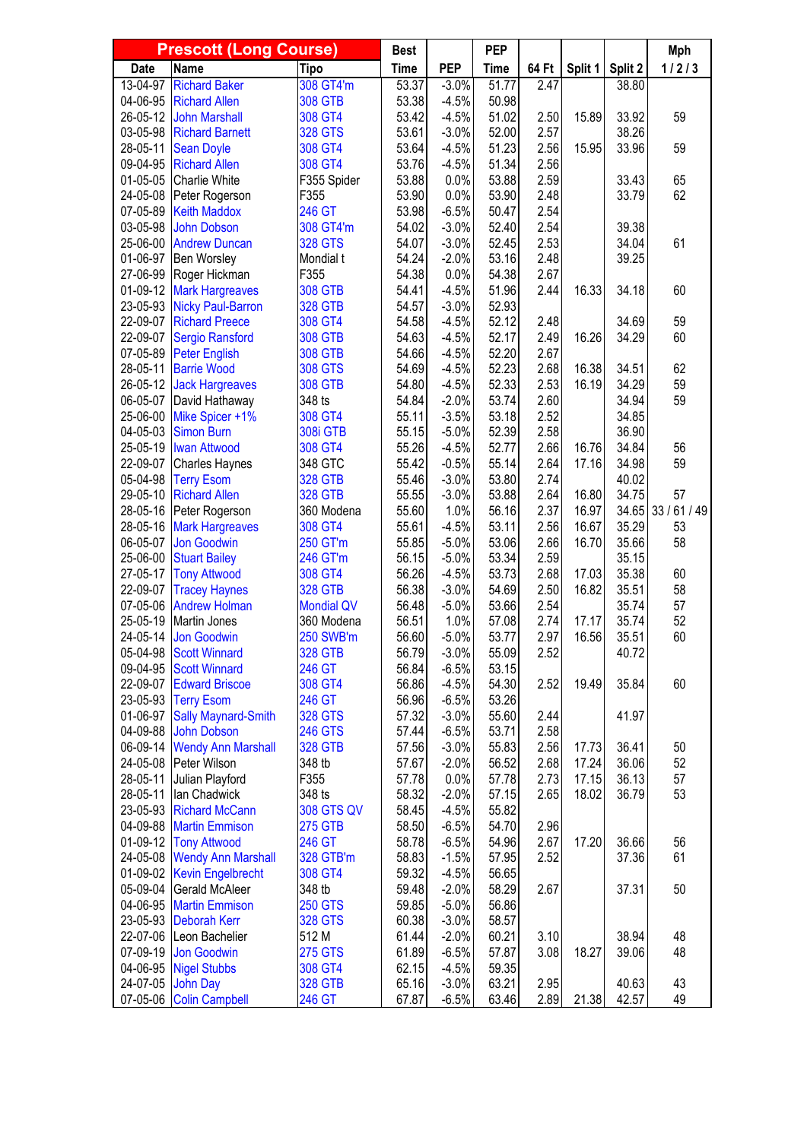| <b>Prescott (Long Course)</b> |                                                       |                            | <b>Best</b>    |                    | <b>PEP</b>     |                   |         |                | <b>Mph</b> |
|-------------------------------|-------------------------------------------------------|----------------------------|----------------|--------------------|----------------|-------------------|---------|----------------|------------|
| <b>Date</b>                   | <b>Name</b>                                           | <b>Tipo</b>                | <b>Time</b>    | <b>PEP</b>         | <b>Time</b>    | 64 Ft             | Split 1 | Split 2        | 1/2/3      |
| 13-04-97                      | <b>Richard Baker</b>                                  | 308 GT4'm                  | 53.37          | $-3.0%$            | 51.77          | $\overline{2.47}$ |         | 38.80          |            |
| 04-06-95                      | <b>Richard Allen</b>                                  | <b>308 GTB</b>             | 53.38          | $-4.5%$            | 50.98          |                   |         |                |            |
| 26-05-12                      | <b>John Marshall</b>                                  | 308 GT4                    | 53.42          | $-4.5%$            | 51.02          | 2.50              | 15.89   | 33.92          | 59         |
| 03-05-98                      | <b>Richard Barnett</b>                                | <b>328 GTS</b>             | 53.61          | $-3.0%$            | 52.00          | 2.57              |         | 38.26          |            |
| 28-05-11                      | <b>Sean Doyle</b>                                     | 308 GT4                    | 53.64          | $-4.5%$            | 51.23          | 2.56              | 15.95   | 33.96          | 59         |
| 09-04-95                      | <b>Richard Allen</b>                                  | 308 GT4                    | 53.76          | $-4.5%$            | 51.34          | 2.56              |         |                |            |
| 01-05-05                      | Charlie White                                         | F355 Spider                | 53.88          | 0.0%               | 53.88          | 2.59              |         | 33.43          | 65         |
| 24-05-08                      | Peter Rogerson                                        | F355                       | 53.90          | 0.0%               | 53.90          | 2.48              |         | 33.79          | 62         |
| 07-05-89                      | <b>Keith Maddox</b>                                   | 246 GT                     | 53.98          | $-6.5%$            | 50.47          | 2.54              |         |                |            |
| 03-05-98                      | <b>John Dobson</b>                                    | 308 GT4'm                  | 54.02          | $-3.0%$            | 52.40          | 2.54              |         | 39.38          |            |
| 25-06-00                      | <b>Andrew Duncan</b>                                  | <b>328 GTS</b>             | 54.07          | $-3.0%$            | 52.45          | 2.53              |         | 34.04          | 61         |
| 01-06-97                      | Ben Worsley                                           | Mondial t                  | 54.24          | $-2.0%$            | 53.16          | 2.48              |         | 39.25          |            |
| 27-06-99                      | Roger Hickman                                         | F355                       | 54.38          | 0.0%               | 54.38          | 2.67              |         |                |            |
| 01-09-12                      | <b>Mark Hargreaves</b>                                | <b>308 GTB</b>             | 54.41          | $-4.5%$            | 51.96          | 2.44              | 16.33   | 34.18          | 60         |
| 23-05-93                      | <b>Nicky Paul-Barron</b>                              | <b>328 GTB</b>             | 54.57          | $-3.0%$            | 52.93          |                   |         |                |            |
| 22-09-07                      | <b>Richard Preece</b>                                 | 308 GT4                    | 54.58          | $-4.5%$            | 52.12          | 2.48              |         | 34.69          | 59         |
| 22-09-07                      | <b>Sergio Ransford</b>                                | <b>308 GTB</b>             | 54.63          | $-4.5%$            | 52.17          | 2.49              | 16.26   | 34.29          | 60         |
| 07-05-89                      | <b>Peter English</b>                                  | <b>308 GTB</b>             | 54.66          | $-4.5%$            | 52.20          | 2.67<br>2.68      |         |                |            |
| 28-05-11                      | <b>Barrie Wood</b>                                    | <b>308 GTS</b>             | 54.69          | $-4.5%$            | 52.23<br>52.33 |                   | 16.38   | 34.51          | 62<br>59   |
| 26-05-12                      | <b>Jack Hargreaves</b>                                | <b>308 GTB</b>             | 54.80          | $-4.5%$            | 53.74          | 2.53              | 16.19   | 34.29          | 59         |
| 06-05-07<br>25-06-00          | David Hathaway                                        | 348 ts                     | 54.84<br>55.11 | $-2.0%$            | 53.18          | 2.60<br>2.52      |         | 34.94          |            |
| 04-05-03                      | Mike Spicer +1%<br>Simon Burn                         | 308 GT4<br><b>308i GTB</b> | 55.15          | $-3.5%$<br>$-5.0%$ | 52.39          | 2.58              |         | 34.85<br>36.90 |            |
| 25-05-19                      | <b>Iwan Attwood</b>                                   | 308 GT4                    | 55.26          | $-4.5%$            | 52.77          | 2.66              | 16.76   | 34.84          | 56         |
| 22-09-07                      | Charles Haynes                                        | 348 GTC                    | 55.42          | $-0.5%$            | 55.14          | 2.64              | 17.16   | 34.98          | 59         |
| 05-04-98                      | <b>Terry Esom</b>                                     | <b>328 GTB</b>             | 55.46          | $-3.0%$            | 53.80          | 2.74              |         | 40.02          |            |
| 29-05-10                      | <b>Richard Allen</b>                                  | <b>328 GTB</b>             | 55.55          | $-3.0%$            | 53.88          | 2.64              | 16.80   | 34.75          | 57         |
| 28-05-16                      | Peter Rogerson                                        | 360 Modena                 | 55.60          | 1.0%               | 56.16          | 2.37              | 16.97   | 34.65          | 33/61/49   |
| 28-05-16                      | <b>Mark Hargreaves</b>                                | 308 GT4                    | 55.61          | $-4.5%$            | 53.11          | 2.56              | 16.67   | 35.29          | 53         |
| 06-05-07                      | <b>Jon Goodwin</b>                                    | 250 GT'm                   | 55.85          | $-5.0%$            | 53.06          | 2.66              | 16.70   | 35.66          | 58         |
| 25-06-00                      | <b>Stuart Bailey</b>                                  | 246 GT'm                   | 56.15          | $-5.0%$            | 53.34          | 2.59              |         | 35.15          |            |
| 27-05-17                      | <b>Tony Attwood</b>                                   | 308 GT4                    | 56.26          | $-4.5%$            | 53.73          | 2.68              | 17.03   | 35.38          | 60         |
| 22-09-07                      | <b>Tracey Haynes</b>                                  | <b>328 GTB</b>             | 56.38          | $-3.0%$            | 54.69          | 2.50              | 16.82   | 35.51          | 58         |
| 07-05-06                      | <b>Andrew Holman</b>                                  | <b>Mondial QV</b>          | 56.48          | $-5.0%$            | 53.66          | 2.54              |         | 35.74          | 57         |
| 25-05-19                      | Martin Jones                                          | 360 Modena                 | 56.51          | 1.0%               | 57.08          | 2.74              | 17.17   | 35.74          | 52         |
| 24-05-14                      | Jon Goodwin                                           | <b>250 SWB'm</b>           | 56.60          | $-5.0%$            | 53.77          | 2.97              | 16.56   | 35.51          | 60         |
| 05-04-98                      | <b>Scott Winnard</b>                                  | <b>328 GTB</b>             | 56.79          | $-3.0%$            | 55.09          | 2.52              |         | 40.72          |            |
| 09-04-95                      | <b>Scott Winnard</b>                                  | 246 GT                     | 56.84          | $-6.5%$            | 53.15          |                   |         |                |            |
| 22-09-07                      | <b>Edward Briscoe</b>                                 | 308 GT4                    | 56.86          | $-4.5%$            | 54.30          | 2.52              | 19.49   | 35.84          | 60         |
| 23-05-93                      | <b>Terry Esom</b>                                     | 246 GT                     | 56.96          | $-6.5%$            | 53.26          |                   |         |                |            |
| 01-06-97                      | <b>Sally Maynard-Smith</b>                            | <b>328 GTS</b>             | 57.32          | $-3.0%$            | 55.60          | 2.44              |         | 41.97          |            |
| 04-09-88                      | John Dobson                                           | <b>246 GTS</b>             | 57.44          | $-6.5%$            | 53.71          | 2.58              |         |                |            |
| 06-09-14                      | <b>Wendy Ann Marshall</b>                             | <b>328 GTB</b>             | 57.56          | $-3.0%$            | 55.83          | 2.56              | 17.73   | 36.41          | 50         |
| 24-05-08                      | Peter Wilson                                          | 348 tb                     | 57.67          | $-2.0%$            | 56.52          | 2.68              | 17.24   | 36.06          | 52         |
| 28-05-11                      | Julian Playford                                       | F355                       | 57.78          | 0.0%               | 57.78          | 2.73              | 17.15   | 36.13          | 57         |
| 28-05-11                      | lan Chadwick                                          | 348 ts                     | 58.32          | $-2.0%$            | 57.15          | 2.65              | 18.02   | 36.79          | 53         |
| 23-05-93                      | <b>Richard McCann</b>                                 | <b>308 GTS QV</b>          | 58.45          | $-4.5%$            | 55.82          |                   |         |                |            |
| 04-09-88                      | <b>Martin Emmison</b>                                 | <b>275 GTB</b>             | 58.50          | $-6.5%$            | 54.70          | 2.96              |         |                |            |
| 01-09-12                      | <b>Tony Attwood</b>                                   | 246 GT                     | 58.78          | $-6.5%$            | 54.96          | 2.67              | 17.20   | 36.66          | 56<br>61   |
| 24-05-08<br>01-09-02          | <b>Wendy Ann Marshall</b><br><b>Kevin Engelbrecht</b> | 328 GTB'm<br>308 GT4       | 58.83<br>59.32 | $-1.5%$<br>$-4.5%$ | 57.95<br>56.65 | 2.52              |         | 37.36          |            |
| 05-09-04                      | <b>Gerald McAleer</b>                                 | 348 tb                     | 59.48          | $-2.0%$            | 58.29          | 2.67              |         | 37.31          | 50         |
| 04-06-95                      | <b>Martin Emmison</b>                                 | <b>250 GTS</b>             | 59.85          | $-5.0%$            | 56.86          |                   |         |                |            |
| 23-05-93                      | <b>Deborah Kerr</b>                                   | <b>328 GTS</b>             | 60.38          | $-3.0%$            | 58.57          |                   |         |                |            |
|                               | 22-07-06 Leon Bachelier                               | 512 M                      | 61.44          | $-2.0%$            | 60.21          | 3.10              |         | 38.94          | 48         |
| 07-09-19                      | Jon Goodwin                                           | <b>275 GTS</b>             | 61.89          | $-6.5%$            | 57.87          | 3.08              | 18.27   | 39.06          | 48         |
| 04-06-95                      | <b>Nigel Stubbs</b>                                   | 308 GT4                    | 62.15          | $-4.5%$            | 59.35          |                   |         |                |            |
| 24-07-05                      | <b>John Day</b>                                       | <b>328 GTB</b>             | 65.16          | $-3.0%$            | 63.21          | 2.95              |         | 40.63          | 43         |
|                               | 07-05-06 Colin Campbell                               | 246 GT                     | 67.87          | $-6.5%$            | 63.46          | 2.89              | 21.38   | 42.57          | 49         |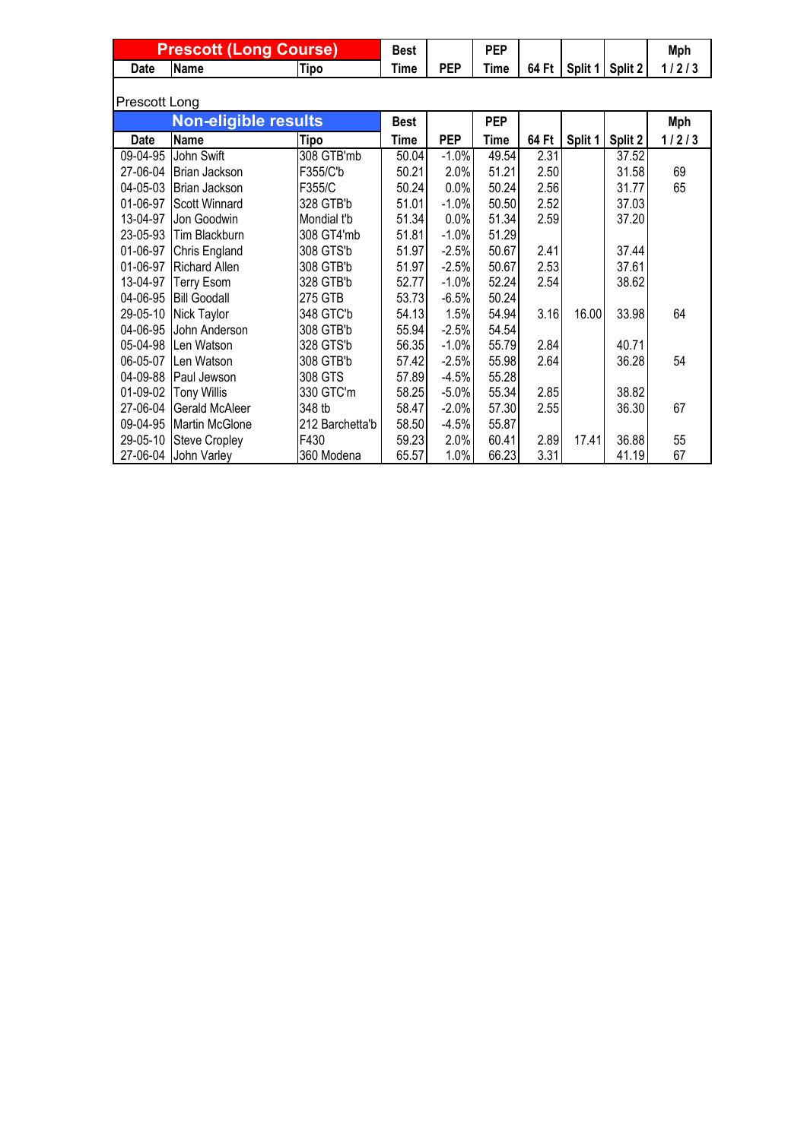|             | <b>Prescott (Long Course)</b> |                 |             |            | <b>PEP</b> |       |         |         | Mph   |  |  |
|-------------|-------------------------------|-----------------|-------------|------------|------------|-------|---------|---------|-------|--|--|
| <b>Date</b> | <b>Name</b>                   | Tipo            | <b>Time</b> | <b>PEP</b> | Time       | 64 Ft | Split 1 | Split 2 | 1/2/3 |  |  |
|             | Prescott Long                 |                 |             |            |            |       |         |         |       |  |  |
|             | <b>Non-eligible results</b>   |                 | <b>Best</b> |            | <b>PEP</b> |       |         |         | Mph   |  |  |
| <b>Date</b> | Name                          | Tipo            | Time        | <b>PEP</b> | Time       | 64 Ft | Split 1 | Split 2 | 1/2/3 |  |  |
| 09-04-95    | John Swift                    | 308 GTB'mb      | 50.04       | $-1.0%$    | 49.54      | 2.31  |         | 37.52   |       |  |  |
| 27-06-04    | Brian Jackson                 | F355/C'b        | 50.21       | 2.0%       | 51.21      | 2.50  |         | 31.58   | 69    |  |  |
| 04-05-03    | Brian Jackson                 | F355/C          | 50.24       | 0.0%       | 50.24      | 2.56  |         | 31.77   | 65    |  |  |
| 01-06-97    | <b>Scott Winnard</b>          | 328 GTB'b       | 51.01       | $-1.0%$    | 50.50      | 2.52  |         | 37.03   |       |  |  |
| 13-04-97    | Jon Goodwin                   | Mondial t'b     | 51.34       | 0.0%       | 51.34      | 2.59  |         | 37.20   |       |  |  |
| 23-05-93    | Tim Blackburn                 | 308 GT4'mb      | 51.81       | $-1.0%$    | 51.29      |       |         |         |       |  |  |
| 01-06-97    | Chris England                 | 308 GTS'b       | 51.97       | $-2.5%$    | 50.67      | 2.41  |         | 37.44   |       |  |  |
| 01-06-97    | <b>Richard Allen</b>          | 308 GTB'b       | 51.97       | $-2.5%$    | 50.67      | 2.53  |         | 37.61   |       |  |  |
| 13-04-97    | <b>Terry Esom</b>             | 328 GTB'b       | 52.77       | $-1.0%$    | 52.24      | 2.54  |         | 38.62   |       |  |  |
| 04-06-95    | <b>Bill Goodall</b>           | 275 GTB         | 53.73       | $-6.5%$    | 50.24      |       |         |         |       |  |  |
| 29-05-10    | Nick Taylor                   | 348 GTC'b       | 54.13       | 1.5%       | 54.94      | 3.16  | 16.00   | 33.98   | 64    |  |  |
| 04-06-95    | John Anderson                 | 308 GTB'b       | 55.94       | $-2.5%$    | 54.54      |       |         |         |       |  |  |
| 05-04-98    | Len Watson                    | 328 GTS'b       | 56.35       | $-1.0%$    | 55.79      | 2.84  |         | 40.71   |       |  |  |
| 06-05-07    | Len Watson                    | 308 GTB'b       | 57.42       | $-2.5%$    | 55.98      | 2.64  |         | 36.28   | 54    |  |  |
| 04-09-88    | Paul Jewson                   | 308 GTS         | 57.89       | $-4.5%$    | 55.28      |       |         |         |       |  |  |
| 01-09-02    | <b>Tony Willis</b>            | 330 GTC'm       | 58.25       | $-5.0%$    | 55.34      | 2.85  |         | 38.82   |       |  |  |
| 27-06-04    | Gerald McAleer                | 348 tb          | 58.47       | $-2.0%$    | 57.30      | 2.55  |         | 36.30   | 67    |  |  |
| 09-04-95    | Martin McGlone                | 212 Barchetta'b | 58.50       | $-4.5%$    | 55.87      |       |         |         |       |  |  |
| 29-05-10    | <b>Steve Cropley</b>          | F430            | 59.23       | 2.0%       | 60.41      | 2.89  | 17.41   | 36.88   | 55    |  |  |
|             | 27-06-04 John Varley          | 360 Modena      | 65.57       | 1.0%       | 66.23      | 3.31  |         | 41.19   | 67    |  |  |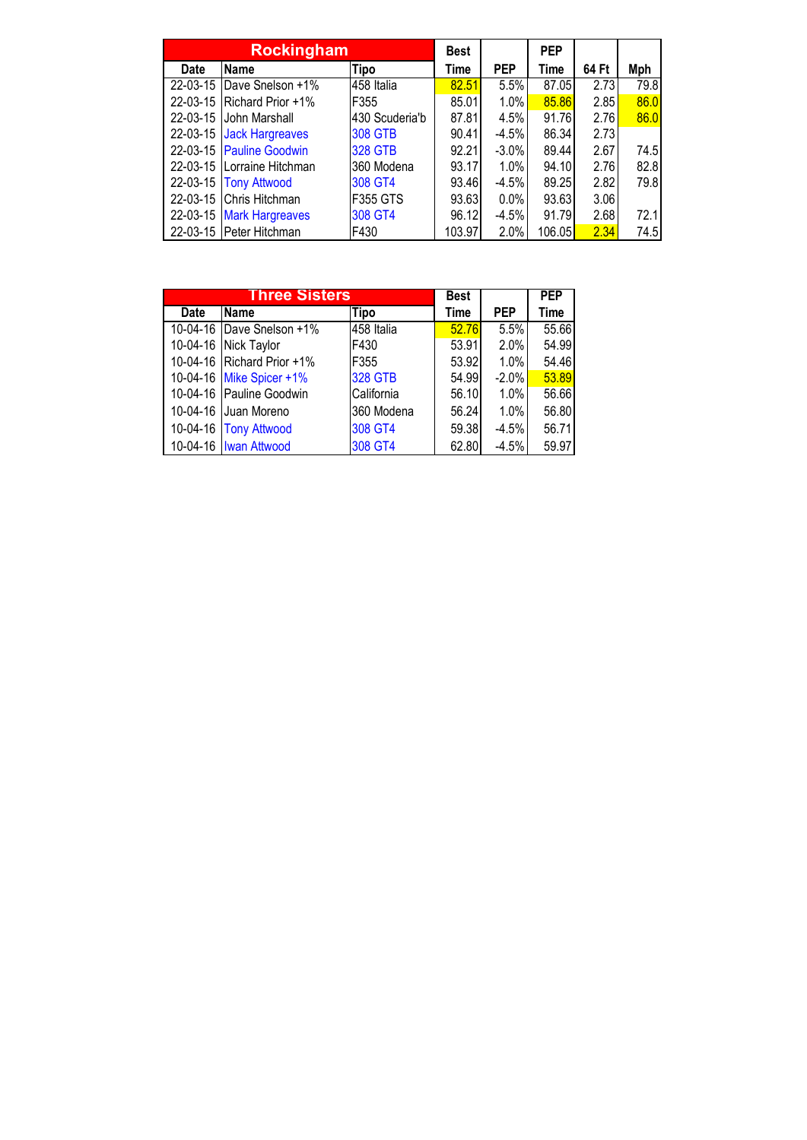|                | <b>Rockingham</b>       | <b>Best</b>     |        | <b>PEP</b> |             |       |      |
|----------------|-------------------------|-----------------|--------|------------|-------------|-------|------|
| Date           | Name                    | Tipo            | Time   | <b>PEP</b> | <b>Time</b> | 64 Ft | Mph  |
| $22 - 03 - 15$ | Dave Snelson +1%        | 458 Italia      | 82.51  | 5.5%       | 87.05       | 2.73  | 79.8 |
| $22 - 03 - 15$ | Richard Prior +1%       | F355            | 85.01  | 1.0%       | 85.86       | 2.85  | 86.0 |
| $22 - 03 - 15$ | John Marshall           | 430 Scuderia'b  | 87.81  | 4.5%       | 91.76       | 2.76  | 86.0 |
| 22-03-15       | <b>Jack Hargreaves</b>  | <b>308 GTB</b>  | 90.41  | $-4.5%$    | 86.34       | 2.73  |      |
| $22 - 03 - 15$ | <b>Pauline Goodwin</b>  | <b>328 GTB</b>  | 92.21  | $-3.0\%$   | 89.44       | 2.67  | 74.5 |
| $22 - 03 - 15$ | Lorraine Hitchman       | 360 Modena      | 93.17  | 1.0%       | 94.10       | 2.76  | 82.8 |
| 22-03-15       | <b>Tony Attwood</b>     | 308 GT4         | 93.46  | $-4.5%$    | 89.25       | 2.82  | 79.8 |
| $22 - 03 - 15$ | Chris Hitchman          | <b>F355 GTS</b> | 93.63  | $0.0\%$    | 93.63       | 3.06  |      |
| 22-03-15       | <b>Mark Hargreaves</b>  | 308 GT4         | 96.12  | $-4.5%$    | 91.79       | 2.68  | 72.1 |
|                | 22-03-15 Peter Hitchman | F430            | 103.97 | 2.0%       | 106.05      | 2.34  | 74.5 |

|          | <b>Three Sisters</b>       | Best           |       | PEP        |       |
|----------|----------------------------|----------------|-------|------------|-------|
| Date     | <b>Name</b>                | <b>Tipo</b>    | Time  | <b>PEP</b> | Time  |
|          | 10-04-16 Dave Snelson +1%  | 458 Italia     | 52.76 | 5.5%       | 55.66 |
| 10-04-16 | Nick Taylor                | F430           | 53.91 | 2.0%       | 54.99 |
|          | 10-04-16 Richard Prior +1% | F355           | 53.92 | $1.0\%$    | 54.46 |
|          | 10-04-16 Mike Spicer +1%   | <b>328 GTB</b> | 54.99 | $-2.0%$    | 53.89 |
|          | 10-04-16 Pauline Goodwin   | California     | 56.10 | $1.0\%$    | 56.66 |
|          | 10-04-16 Juan Moreno       | 360 Modena     | 56.24 | $1.0\%$    | 56.80 |
|          | 10-04-16 Tony Attwood      | 308 GT4        | 59.38 | $-4.5%$    | 56.71 |
|          | 10-04-16   Iwan Attwood    | 308 GT4        | 62.80 | $-4.5%$    | 59.97 |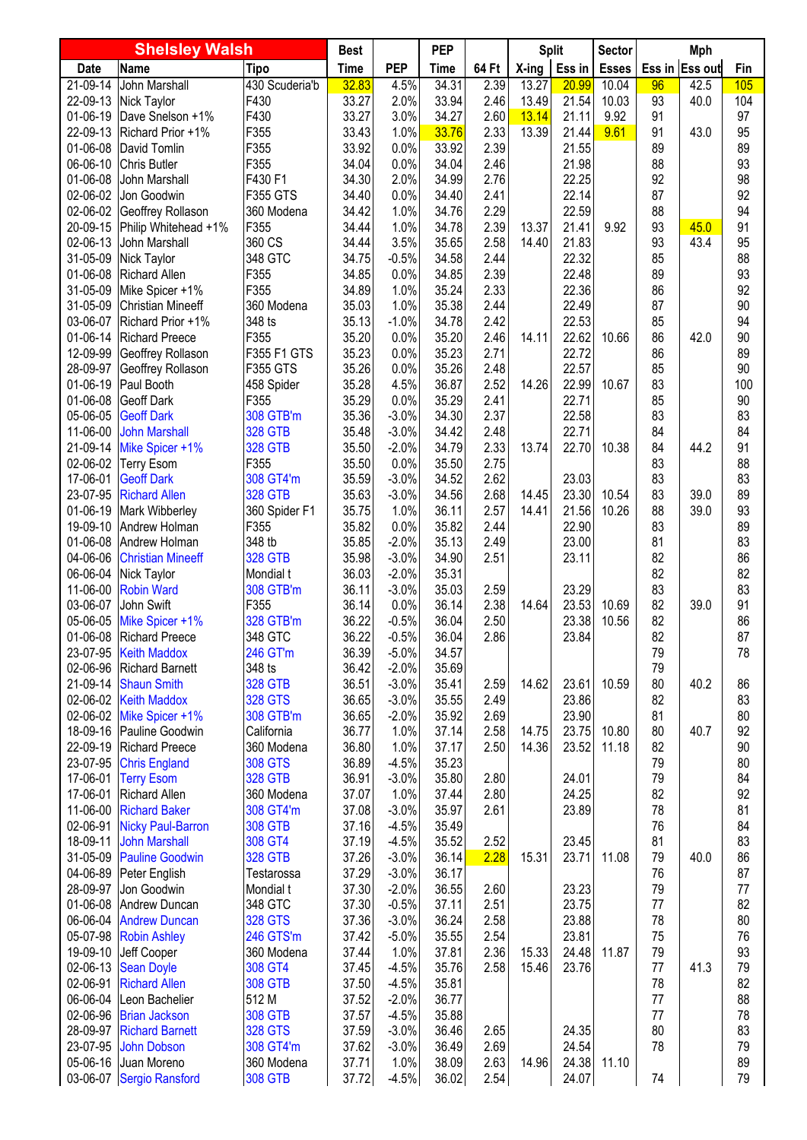| <b>Shelsley Walsh</b> |                                                   | <b>Best</b>                      |                | <b>PEP</b>         |                | <b>Split</b> |          | Sector         | Mph          |          |                |          |
|-----------------------|---------------------------------------------------|----------------------------------|----------------|--------------------|----------------|--------------|----------|----------------|--------------|----------|----------------|----------|
| <b>Date</b>           | Name                                              | <b>Tipo</b>                      | <b>Time</b>    | <b>PEP</b>         | Time           | 64 Ft        | $X$ -ing | Ess in         | <b>Esses</b> |          | Ess in Ess out | Fin      |
| $21 - 09 - 14$        | John Marshall                                     | 430 Scuderia'b                   | 32.83          | 4.5%               | 34.31          | 2.39         | 13.27    | 20.99          | 10.04        | 96       | 42.5           | 105      |
| 22-09-13              | Nick Taylor                                       | F430                             | 33.27          | 2.0%               | 33.94          | 2.46         | 13.49    | 21.54          | 10.03        | 93       | 40.0           | 104      |
| 01-06-19              | Dave Snelson +1%                                  | F430                             | 33.27          | 3.0%               | 34.27          | 2.60         | 13.14    | 21.11          | 9.92         | 91       |                | 97       |
| 22-09-13              | Richard Prior +1%                                 | F355                             | 33.43          | 1.0%               | 33.76          | 2.33         | 13.39    | 21.44          | 9.61         | 91       | 43.0           | 95       |
| 01-06-08              | David Tomlin                                      | F355                             | 33.92          | 0.0%               | 33.92          | 2.39         |          | 21.55          |              | 89       |                | 89       |
| 06-06-10              | <b>Chris Butler</b>                               | F355                             | 34.04          | 0.0%               | 34.04          | 2.46         |          | 21.98          |              | 88       |                | 93       |
| 01-06-08<br>02-06-02  | John Marshall<br>Jon Goodwin                      | F430 F1<br>F355 GTS              | 34.30<br>34.40 | 2.0%<br>0.0%       | 34.99<br>34.40 | 2.76<br>2.41 |          | 22.25<br>22.14 |              | 92<br>87 |                | 98<br>92 |
| 02-06-02              | Geoffrey Rollason                                 | 360 Modena                       | 34.42          | 1.0%               | 34.76          | 2.29         |          | 22.59          |              | 88       |                | 94       |
| 20-09-15              | Philip Whitehead +1%                              | F355                             | 34.44          | 1.0%               | 34.78          | 2.39         | 13.37    | 21.41          | 9.92         | 93       | 45.0           | 91       |
| 02-06-13              | John Marshall                                     | 360 CS                           | 34.44          | 3.5%               | 35.65          | 2.58         | 14.40    | 21.83          |              | 93       | 43.4           | 95       |
| 31-05-09              | Nick Taylor                                       | 348 GTC                          | 34.75          | $-0.5%$            | 34.58          | 2.44         |          | 22.32          |              | 85       |                | 88       |
| 01-06-08              | <b>Richard Allen</b>                              | F355                             | 34.85          | 0.0%               | 34.85          | 2.39         |          | 22.48          |              | 89       |                | 93       |
| 31-05-09              | Mike Spicer +1%                                   | F355                             | 34.89          | 1.0%               | 35.24          | 2.33         |          | 22.36          |              | 86       |                | 92       |
| 31-05-09              | <b>Christian Mineeff</b>                          | 360 Modena                       | 35.03          | 1.0%               | 35.38          | 2.44         |          | 22.49          |              | 87       |                | 90       |
| 03-06-07              | Richard Prior +1%                                 | 348 ts                           | 35.13          | $-1.0%$            | 34.78          | 2.42         |          | 22.53          |              | 85       |                | 94       |
| 01-06-14              | <b>Richard Preece</b>                             | F355                             | 35.20          | 0.0%               | 35.20          | 2.46         | 14.11    | 22.62          | 10.66        | 86       | 42.0           | 90       |
| 12-09-99              | Geoffrey Rollason                                 | F355 F1 GTS                      | 35.23          | 0.0%               | 35.23          | 2.71         |          | 22.72          |              | 86       |                | 89       |
| 28-09-97              | Geoffrey Rollason                                 | F355 GTS                         | 35.26          | 0.0%               | 35.26          | 2.48         |          | 22.57          |              | 85       |                | 90       |
| 01-06-19              | Paul Booth                                        | 458 Spider                       | 35.28          | 4.5%               | 36.87          | 2.52         | 14.26    | 22.99          | 10.67        | 83       |                | 100      |
| 01-06-08              | <b>Geoff Dark</b>                                 | F355                             | 35.29          | 0.0%               | 35.29          | 2.41         |          | 22.71          |              | 85       |                | 90       |
| 05-06-05              | <b>Geoff Dark</b>                                 | 308 GTB'm                        | 35.36          | $-3.0%$            | 34.30          | 2.37         |          | 22.58          |              | 83       |                | 83       |
| 11-06-00<br>21-09-14  | <b>John Marshall</b>                              | <b>328 GTB</b><br><b>328 GTB</b> | 35.48<br>35.50 | $-3.0%$<br>$-2.0%$ | 34.42<br>34.79 | 2.48<br>2.33 | 13.74    | 22.71<br>22.70 | 10.38        | 84<br>84 | 44.2           | 84<br>91 |
| 02-06-02              | Mike Spicer +1%<br><b>Terry Esom</b>              | F355                             | 35.50          | 0.0%               | 35.50          | 2.75         |          |                |              | 83       |                | 88       |
| 17-06-01              | <b>Geoff Dark</b>                                 | 308 GT4'm                        | 35.59          | $-3.0%$            | 34.52          | 2.62         |          | 23.03          |              | 83       |                | 83       |
| 23-07-95              | <b>Richard Allen</b>                              | <b>328 GTB</b>                   | 35.63          | $-3.0%$            | 34.56          | 2.68         | 14.45    | 23.30          | 10.54        | 83       | 39.0           | 89       |
| 01-06-19              | Mark Wibberley                                    | 360 Spider F1                    | 35.75          | 1.0%               | 36.11          | 2.57         | 14.41    | 21.56          | 10.26        | 88       | 39.0           | 93       |
| 19-09-10              | Andrew Holman                                     | F355                             | 35.82          | 0.0%               | 35.82          | 2.44         |          | 22.90          |              | 83       |                | 89       |
| 01-06-08              | Andrew Holman                                     | 348 tb                           | 35.85          | $-2.0%$            | 35.13          | 2.49         |          | 23.00          |              | 81       |                | 83       |
| 04-06-06              | <b>Christian Mineeff</b>                          | <b>328 GTB</b>                   | 35.98          | $-3.0%$            | 34.90          | 2.51         |          | 23.11          |              | 82       |                | 86       |
| 06-06-04              | Nick Taylor                                       | Mondial t                        | 36.03          | $-2.0%$            | 35.31          |              |          |                |              | 82       |                | 82       |
| 11-06-00              | <b>Robin Ward</b>                                 | 308 GTB'm                        | 36.11          | $-3.0%$            | 35.03          | 2.59         |          | 23.29          |              | 83       |                | 83       |
| 03-06-07              | John Swift                                        | F355                             | 36.14          | 0.0%               | 36.14          | 2.38         | 14.64    | 23.53          | 10.69        | 82       | 39.0           | 91       |
| 05-06-05              | Mike Spicer +1%                                   | 328 GTB'm                        | 36.22          | $-0.5%$            | 36.04          | 2.50         |          | 23.38          | 10.56        | 82       |                | 86       |
|                       | 01-06-08 Richard Preece                           | 348 GTC                          | 36.22          | $-0.5%$            | 36.04          | 2.86         |          | 23.84          |              | 82       |                | 87       |
|                       | 23-07-95 Keith Maddox<br>02-06-96 Richard Barnett | 246 GT'm<br>348 ts               | 36.39<br>36.42 | $-5.0%$<br>$-2.0%$ | 34.57<br>35.69 |              |          |                |              | 79<br>79 |                | 78       |
|                       | 21-09-14 Shaun Smith                              | <b>328 GTB</b>                   | 36.51          | $-3.0%$            | 35.41          | 2.59         | 14.62    | 23.61          | 10.59        | 80       | 40.2           | 86       |
|                       | 02-06-02 Keith Maddox                             | <b>328 GTS</b>                   | 36.65          | $-3.0%$            | 35.55          | 2.49         |          | 23.86          |              | 82       |                | 83       |
|                       | 02-06-02 Mike Spicer +1%                          | 308 GTB'm                        | 36.65          | $-2.0%$            | 35.92          | 2.69         |          | 23.90          |              | 81       |                | 80       |
|                       | 18-09-16 Pauline Goodwin                          | California                       | 36.77          | 1.0%               | 37.14          | 2.58         | 14.75    | 23.75          | 10.80        | 80       | 40.7           | 92       |
|                       | 22-09-19 Richard Preece                           | 360 Modena                       | 36.80          | 1.0%               | 37.17          | 2.50         | 14.36    | 23.52          | 11.18        | 82       |                | 90       |
| 23-07-95              | <b>Chris England</b>                              | <b>308 GTS</b>                   | 36.89          | $-4.5%$            | 35.23          |              |          |                |              | 79       |                | 80       |
| 17-06-01              | <b>Terry Esom</b>                                 | <b>328 GTB</b>                   | 36.91          | $-3.0%$            | 35.80          | 2.80         |          | 24.01          |              | 79       |                | 84       |
| 17-06-01              | <b>Richard Allen</b>                              | 360 Modena                       | 37.07          | 1.0%               | 37.44          | 2.80         |          | 24.25          |              | 82       |                | 92       |
| 11-06-00              | <b>Richard Baker</b>                              | 308 GT4'm                        | 37.08          | $-3.0%$            | 35.97          | 2.61         |          | 23.89          |              | 78       |                | 81       |
| 02-06-91              | <b>Nicky Paul-Barron</b>                          | <b>308 GTB</b>                   | 37.16          | $-4.5%$            | 35.49          |              |          |                |              | 76       |                | 84       |
| 18-09-11              | <b>John Marshall</b>                              | 308 GT4                          | 37.19          | $-4.5%$            | 35.52          | 2.52         |          | 23.45          |              | 81       |                | 83       |
|                       | 31-05-09 Pauline Goodwin                          | <b>328 GTB</b>                   | 37.26          | $-3.0%$            | 36.14          | 2.28         | 15.31    | 23.71          | 11.08        | 79       | 40.0           | 86       |
| 28-09-97              | 04-06-89 Peter English<br>Jon Goodwin             | Testarossa<br>Mondial t          | 37.29<br>37.30 | $-3.0%$<br>$-2.0%$ | 36.17<br>36.55 | 2.60         |          | 23.23          |              | 76<br>79 |                | 87<br>77 |
|                       | 01-06-08 Andrew Duncan                            | 348 GTC                          | 37.30          | $-0.5%$            | 37.11          | 2.51         |          | 23.75          |              | 77       |                | 82       |
|                       | 06-06-04 Andrew Duncan                            | <b>328 GTS</b>                   | 37.36          | $-3.0%$            | 36.24          | 2.58         |          | 23.88          |              | 78       |                | 80       |
|                       | 05-07-98 Robin Ashley                             | 246 GTS'm                        | 37.42          | $-5.0%$            | 35.55          | 2.54         |          | 23.81          |              | 75       |                | 76       |
|                       | 19-09-10 Jeff Cooper                              | 360 Modena                       | 37.44          | 1.0%               | 37.81          | 2.36         | 15.33    | 24.48          | 11.87        | 79       |                | 93       |
|                       | 02-06-13 Sean Doyle                               | 308 GT4                          | 37.45          | $-4.5%$            | 35.76          | 2.58         | 15.46    | 23.76          |              | 77       | 41.3           | 79       |
| 02-06-91              | <b>Richard Allen</b>                              | <b>308 GTB</b>                   | 37.50          | $-4.5%$            | 35.81          |              |          |                |              | 78       |                | 82       |
|                       | 06-06-04 Leon Bachelier                           | 512 M                            | 37.52          | $-2.0%$            | 36.77          |              |          |                |              | 77       |                | 88       |
|                       | 02-06-96 Brian Jackson                            | <b>308 GTB</b>                   | 37.57          | $-4.5%$            | 35.88          |              |          |                |              | 77       |                | 78       |
|                       | 28-09-97 Richard Barnett                          | <b>328 GTS</b>                   | 37.59          | $-3.0%$            | 36.46          | 2.65         |          | 24.35          |              | 80       |                | 83       |
| 23-07-95              | <b>John Dobson</b>                                | 308 GT4'm                        | 37.62          | $-3.0%$            | 36.49          | 2.69         |          | 24.54          |              | 78       |                | 79       |
|                       | 05-06-16 Juan Moreno                              | 360 Modena                       | 37.71          | 1.0%               | 38.09          | 2.63         | 14.96    | 24.38          | 11.10        |          |                | 89       |
|                       | 03-06-07 Sergio Ransford                          | <b>308 GTB</b>                   | 37.72          | $-4.5%$            | 36.02          | 2.54         |          | 24.07          |              | 74       |                | 79       |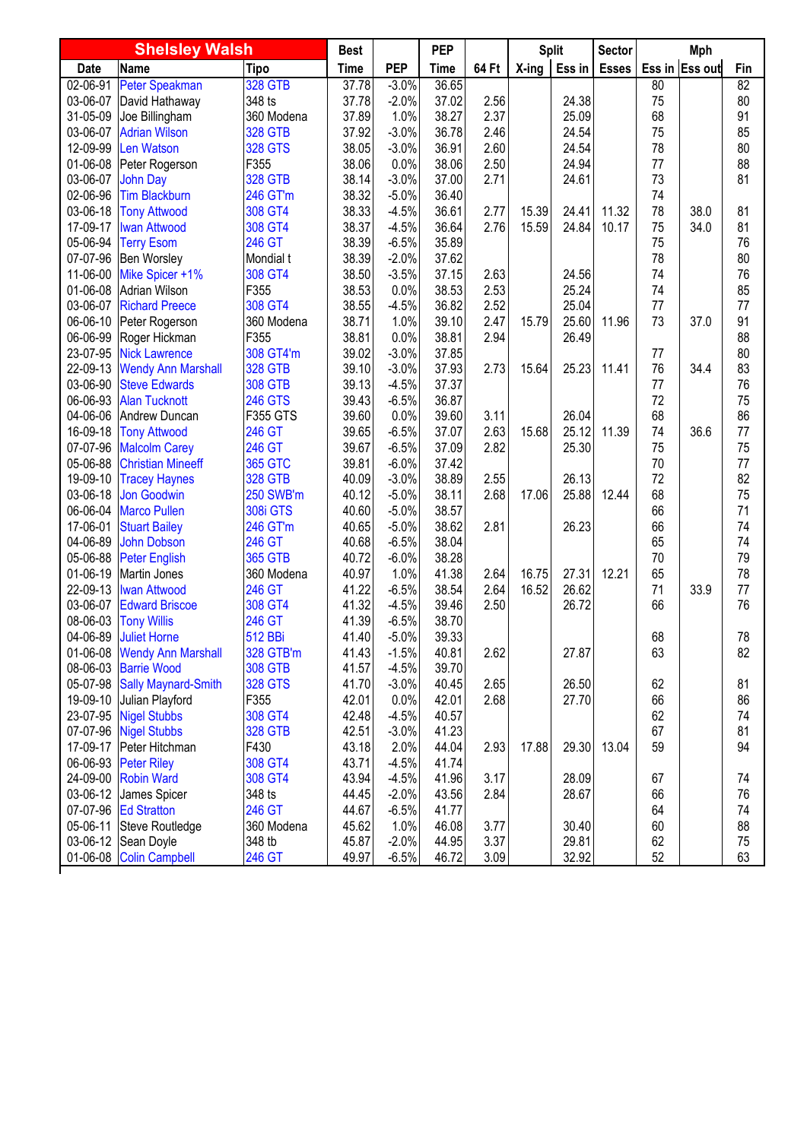| <b>Shelsley Walsh</b> |                              | <b>Best</b>     |             | <b>PEP</b> |             | <b>Split</b> |       | <b>Sector</b> | Mph          |    |                |                 |
|-----------------------|------------------------------|-----------------|-------------|------------|-------------|--------------|-------|---------------|--------------|----|----------------|-----------------|
| <b>Date</b>           | Name                         | <b>Tipo</b>     | <b>Time</b> | <b>PEP</b> | <b>Time</b> | 64 Ft        | X-ing | Ess in        | <b>Esses</b> |    | Ess in Ess out | Fin             |
| 02-06-91              | Peter Speakman               | <b>328 GTB</b>  | 37.78       | $-3.0%$    | 36.65       |              |       |               |              | 80 |                | $\overline{82}$ |
| 03-06-07              | David Hathaway               | 348 ts          | 37.78       | $-2.0%$    | 37.02       | 2.56         |       | 24.38         |              | 75 |                | 80              |
| 31-05-09              | Joe Billingham               | 360 Modena      | 37.89       | 1.0%       | 38.27       | 2.37         |       | 25.09         |              | 68 |                | 91              |
| 03-06-07              | <b>Adrian Wilson</b>         | <b>328 GTB</b>  | 37.92       | $-3.0%$    | 36.78       | 2.46         |       | 24.54         |              | 75 |                | 85              |
| 12-09-99              | Len Watson                   | <b>328 GTS</b>  | 38.05       | $-3.0%$    | 36.91       | 2.60         |       | 24.54         |              | 78 |                | 80              |
| 01-06-08              | Peter Rogerson               | F355            | 38.06       | 0.0%       | 38.06       | 2.50         |       | 24.94         |              | 77 |                | 88              |
| 03-06-07              | <b>John Day</b>              | <b>328 GTB</b>  | 38.14       | $-3.0%$    | 37.00       | 2.71         |       | 24.61         |              | 73 |                | 81              |
| 02-06-96              | <b>Tim Blackburn</b>         | 246 GT'm        | 38.32       | $-5.0%$    | 36.40       |              |       |               |              | 74 |                |                 |
| 03-06-18              | <b>Tony Attwood</b>          | 308 GT4         | 38.33       | $-4.5%$    | 36.61       | 2.77         | 15.39 | 24.41         | 11.32        | 78 | 38.0           | 81              |
| 17-09-17              | <b>Iwan Attwood</b>          | 308 GT4         | 38.37       | $-4.5%$    | 36.64       | 2.76         | 15.59 | 24.84         | 10.17        | 75 | 34.0           | 81              |
| 05-06-94              | <b>Terry Esom</b>            | 246 GT          | 38.39       | $-6.5%$    | 35.89       |              |       |               |              | 75 |                | 76              |
| 07-07-96              | Ben Worsley                  | Mondial t       | 38.39       | $-2.0%$    | 37.62       |              |       |               |              | 78 |                | 80              |
| 11-06-00              | Mike Spicer +1%              | 308 GT4         | 38.50       | $-3.5%$    | 37.15       | 2.63         |       | 24.56         |              | 74 |                | 76              |
| 01-06-08              | <b>Adrian Wilson</b>         | F355            | 38.53       | 0.0%       | 38.53       | 2.53         |       | 25.24         |              | 74 |                | 85              |
| 03-06-07              | <b>Richard Preece</b>        | 308 GT4         | 38.55       | $-4.5%$    | 36.82       | 2.52         |       | 25.04         |              | 77 |                | 77              |
| 06-06-10              | Peter Rogerson               | 360 Modena      | 38.71       | 1.0%       | 39.10       | 2.47         | 15.79 | 25.60         | 11.96        | 73 | 37.0           | 91              |
| 06-06-99              | Roger Hickman                | F355            | 38.81       | 0.0%       | 38.81       | 2.94         |       | 26.49         |              |    |                | 88              |
| 23-07-95              | <b>Nick Lawrence</b>         | 308 GT4'm       | 39.02       | $-3.0%$    | 37.85       |              |       |               |              | 77 |                | 80              |
| 22-09-13              | <b>Wendy Ann Marshall</b>    | <b>328 GTB</b>  | 39.10       | $-3.0%$    | 37.93       | 2.73         | 15.64 | 25.23         | 11.41        | 76 | 34.4           | 83              |
| 03-06-90              | <b>Steve Edwards</b>         | <b>308 GTB</b>  | 39.13       | $-4.5%$    | 37.37       |              |       |               |              | 77 |                | 76              |
| 06-06-93              | <b>Alan Tucknott</b>         | <b>246 GTS</b>  | 39.43       | $-6.5%$    | 36.87       |              |       |               |              | 72 |                | 75              |
| 04-06-06              | Andrew Duncan                | F355 GTS        | 39.60       | 0.0%       | 39.60       | 3.11         |       | 26.04         |              | 68 |                | 86              |
| 16-09-18              | <b>Tony Attwood</b>          | 246 GT          | 39.65       | $-6.5%$    | 37.07       | 2.63         | 15.68 | 25.12         | 11.39        | 74 | 36.6           | 77              |
| 07-07-96              | <b>Malcolm Carey</b>         | 246 GT          | 39.67       | $-6.5%$    | 37.09       | 2.82         |       | 25.30         |              | 75 |                | 75              |
| 05-06-88              | <b>Christian Mineeff</b>     | <b>365 GTC</b>  | 39.81       | $-6.0%$    | 37.42       |              |       |               |              | 70 |                | 77              |
| 19-09-10              | <b>Tracey Haynes</b>         | <b>328 GTB</b>  | 40.09       | $-3.0%$    | 38.89       | 2.55         |       | 26.13         |              | 72 |                | 82              |
| 03-06-18              | <b>Jon Goodwin</b>           | 250 SWB'm       | 40.12       | $-5.0%$    | 38.11       | 2.68         | 17.06 | 25.88         | 12.44        | 68 |                | 75              |
| 06-06-04              | <b>Marco Pullen</b>          | <b>308i GTS</b> | 40.60       | $-5.0%$    | 38.57       |              |       |               |              | 66 |                | 71              |
| 17-06-01              | <b>Stuart Bailey</b>         | 246 GT'm        | 40.65       | $-5.0%$    | 38.62       | 2.81         |       | 26.23         |              | 66 |                | 74              |
| 04-06-89              | <b>John Dobson</b>           | 246 GT          | 40.68       | $-6.5%$    | 38.04       |              |       |               |              | 65 |                | 74              |
| 05-06-88              | <b>Peter English</b>         | <b>365 GTB</b>  | 40.72       | $-6.0%$    | 38.28       |              |       |               |              | 70 |                | 79              |
| 01-06-19              | Martin Jones                 | 360 Modena      | 40.97       | 1.0%       | 41.38       | 2.64         | 16.75 | 27.31         | 12.21        | 65 |                | 78              |
| 22-09-13              | <b>Iwan Attwood</b>          | 246 GT          | 41.22       | $-6.5%$    | 38.54       | 2.64         | 16.52 | 26.62         |              | 71 | 33.9           | 77              |
| 03-06-07              | <b>Edward Briscoe</b>        | 308 GT4         | 41.32       | $-4.5%$    | 39.46       | 2.50         |       | 26.72         |              | 66 |                | 76              |
| 08-06-03              | <b>Tony Willis</b>           | 246 GT          | 41.39       | $-6.5%$    | 38.70       |              |       |               |              |    |                |                 |
| 04-06-89              | <b>Juliet Horne</b>          | <b>512 BBi</b>  | 41.40       | $-5.0%$    | 39.33       |              |       |               |              | 68 |                | 78              |
| 01-06-08              | <b>Wendy Ann Marshall</b>    | 328 GTB'm       | 41.43       | $-1.5%$    | 40.81       | 2.62         |       | 27.87         |              | 63 |                | 82              |
|                       | 08-06-03 Barrie Wood         | <b>308 GTB</b>  | 41.57       | $-4.5%$    | 39.70       |              |       |               |              |    |                |                 |
|                       | 05-07-98 Sally Maynard-Smith | <b>328 GTS</b>  | 41.70       | $-3.0%$    | 40.45       | 2.65         |       | 26.50         |              | 62 |                | 81              |
| 19-09-10              | Julian Playford              | F355            | 42.01       | 0.0%       | 42.01       | 2.68         |       | 27.70         |              | 66 |                | 86              |
|                       | 23-07-95 Nigel Stubbs        | 308 GT4         | 42.48       | $-4.5%$    | 40.57       |              |       |               |              | 62 |                | 74              |
|                       | 07-07-96 Nigel Stubbs        | <b>328 GTB</b>  | 42.51       | $-3.0%$    | 41.23       |              |       |               |              | 67 |                | 81              |
| 17-09-17              | Peter Hitchman               | F430            | 43.18       | 2.0%       | 44.04       | 2.93         | 17.88 | 29.30         | 13.04        | 59 |                | 94              |
| 06-06-93              | <b>Peter Riley</b>           | 308 GT4         | 43.71       | $-4.5%$    | 41.74       |              |       |               |              |    |                |                 |
|                       | 24-09-00 Robin Ward          | 308 GT4         | 43.94       | $-4.5%$    | 41.96       | 3.17         |       | 28.09         |              | 67 |                | 74              |
| 03-06-12              | James Spicer                 | 348 ts          | 44.45       | $-2.0%$    | 43.56       | 2.84         |       | 28.67         |              | 66 |                | 76              |
|                       | 07-07-96 Ed Stratton         | 246 GT          | 44.67       | $-6.5%$    | 41.77       |              |       |               |              | 64 |                | 74              |
| 05-06-11              | Steve Routledge              | 360 Modena      | 45.62       | 1.0%       | 46.08       | 3.77         |       | 30.40         |              | 60 |                | 88              |
| $03 - 06 - 12$        | Sean Doyle                   | 348 tb          | 45.87       | $-2.0%$    | 44.95       | 3.37         |       | 29.81         |              | 62 |                | 75              |
|                       | 01-06-08 Colin Campbell      | 246 GT          | 49.97       | $-6.5%$    | 46.72       | 3.09         |       | 32.92         |              | 52 |                | 63              |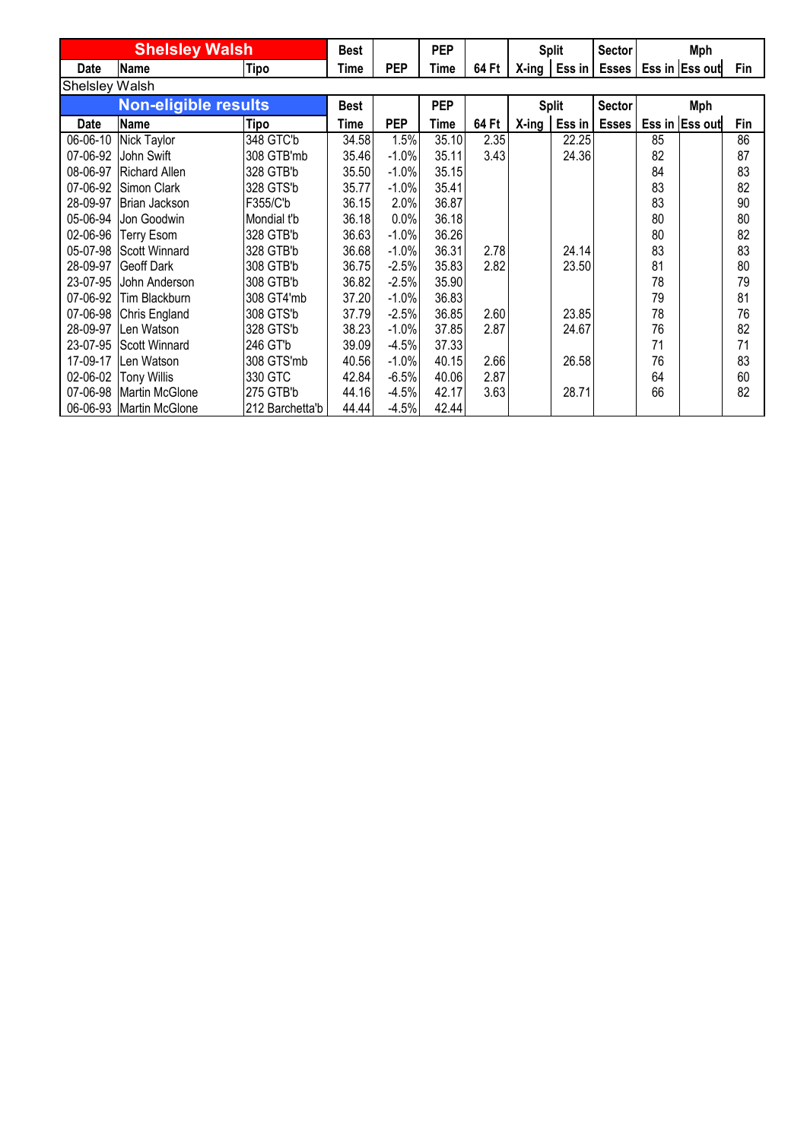| <b>Shelsley Walsh</b> |                             |                 | <b>Best</b> |            | <b>PEP</b> |       |          | <b>Split</b> | Sector        |    | Mph                                       |     |
|-----------------------|-----------------------------|-----------------|-------------|------------|------------|-------|----------|--------------|---------------|----|-------------------------------------------|-----|
| Date                  | <b>Name</b>                 | Tipo            | Time        | <b>PEP</b> | Time       | 64 Ft |          |              |               |    | X-ing   Ess in   Esses   Ess in   Ess out | Fin |
| <b>Shelsley Walsh</b> |                             |                 |             |            |            |       |          |              |               |    |                                           |     |
|                       | <b>Non-eligible results</b> |                 | <b>Best</b> |            | <b>PEP</b> |       |          | <b>Split</b> | <b>Sector</b> |    | <b>Mph</b>                                |     |
| Date                  | <b>Name</b>                 | Tipo            | Time        | <b>PEP</b> | Time       | 64 Ft | $X$ -ing | Ess in       | <b>Esses</b>  |    | Ess in Ess out                            | Fin |
| 06-06-10              | Nick Taylor                 | 348 GTC'b       | 34.58       | 1.5%       | 35.10      | 2.35  |          | 22.25        |               | 85 |                                           | 86  |
| 07-06-92              | John Swift                  | 308 GTB'mb      | 35.46       | $-1.0%$    | 35.11      | 3.43  |          | 24.36        |               | 82 |                                           | 87  |
| 08-06-97              | <b>Richard Allen</b>        | 328 GTB'b       | 35.50       | $-1.0%$    | 35.15      |       |          |              |               | 84 |                                           | 83  |
| 07-06-92              | Simon Clark                 | 328 GTS'b       | 35.77       | $-1.0%$    | 35.41      |       |          |              |               | 83 |                                           | 82  |
| 28-09-97              | Brian Jackson               | F355/C'b        | 36.15       | 2.0%       | 36.87      |       |          |              |               | 83 |                                           | 90  |
| 05-06-94              | Jon Goodwin                 | Mondial t'b     | 36.18       | 0.0%       | 36.18      |       |          |              |               | 80 |                                           | 80  |
| 02-06-96              | <b>Terry Esom</b>           | 328 GTB'b       | 36.63       | $-1.0%$    | 36.26      |       |          |              |               | 80 |                                           | 82  |
| 05-07-98              | <b>Scott Winnard</b>        | 328 GTB'b       | 36.68       | $-1.0%$    | 36.31      | 2.78  |          | 24.14        |               | 83 |                                           | 83  |
| 28-09-97              | <b>Geoff Dark</b>           | 308 GTB'b       | 36.75       | $-2.5%$    | 35.83      | 2.82  |          | 23.50        |               | 81 |                                           | 80  |
| 23-07-95              | John Anderson               | 308 GTB'b       | 36.82       | $-2.5%$    | 35.90      |       |          |              |               | 78 |                                           | 79  |
| 07-06-92              | Tim Blackburn               | 308 GT4'mb      | 37.20       | $-1.0%$    | 36.83      |       |          |              |               | 79 |                                           | 81  |
| 07-06-98              | Chris England               | 308 GTS'b       | 37.79       | $-2.5%$    | 36.85      | 2.60  |          | 23.85        |               | 78 |                                           | 76  |
| 28-09-97              | Len Watson                  | 328 GTS'b       | 38.23       | $-1.0%$    | 37.85      | 2.87  |          | 24.67        |               | 76 |                                           | 82  |
| 23-07-95              | <b>Scott Winnard</b>        | 246 GT'b        | 39.09       | $-4.5%$    | 37.33      |       |          |              |               | 71 |                                           | 71  |
| 17-09-17              | Len Watson                  | 308 GTS'mb      | 40.56       | $-1.0%$    | 40.15      | 2.66  |          | 26.58        |               | 76 |                                           | 83  |
| 02-06-02              | <b>Tony Willis</b>          | 330 GTC         | 42.84       | $-6.5%$    | 40.06      | 2.87  |          |              |               | 64 |                                           | 60  |
|                       | 07-06-98 Martin McGlone     | 275 GTB'b       | 44.16       | $-4.5%$    | 42.17      | 3.63  |          | 28.71        |               | 66 |                                           | 82  |
|                       | 06-06-93 Martin McGlone     | 212 Barchetta'b | 44.44       | $-4.5%$    | 42.44      |       |          |              |               |    |                                           |     |